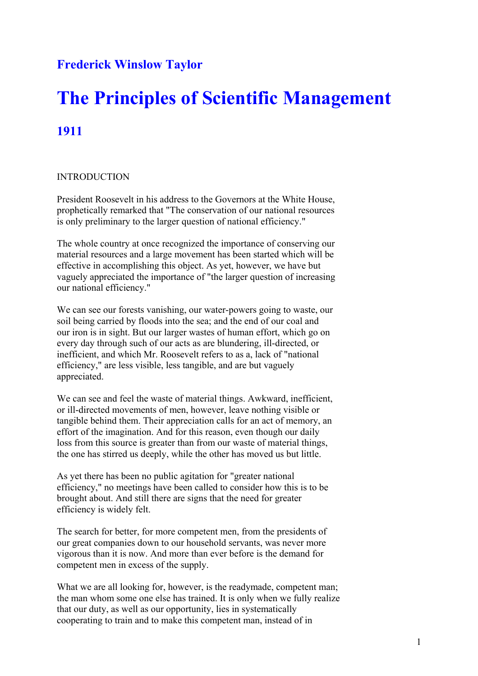## **Frederick Winslow Taylor**

# **The Principles of Scientific Management 1911**

## INTRODUCTION

President Roosevelt in his address to the Governors at the White House, prophetically remarked that "The conservation of our national resources is only preliminary to the larger question of national efficiency."

The whole country at once recognized the importance of conserving our material resources and a large movement has been started which will be effective in accomplishing this object. As yet, however, we have but vaguely appreciated the importance of "the larger question of increasing our national efficiency."

We can see our forests vanishing, our water-powers going to waste, our soil being carried by floods into the sea; and the end of our coal and our iron is in sight. But our larger wastes of human effort, which go on every day through such of our acts as are blundering, ill-directed, or inefficient, and which Mr. Roosevelt refers to as a, lack of "national efficiency," are less visible, less tangible, and are but vaguely appreciated.

We can see and feel the waste of material things. Awkward, inefficient, or ill-directed movements of men, however, leave nothing visible or tangible behind them. Their appreciation calls for an act of memory, an effort of the imagination. And for this reason, even though our daily loss from this source is greater than from our waste of material things, the one has stirred us deeply, while the other has moved us but little.

As yet there has been no public agitation for "greater national efficiency," no meetings have been called to consider how this is to be brought about. And still there are signs that the need for greater efficiency is widely felt.

The search for better, for more competent men, from the presidents of our great companies down to our household servants, was never more vigorous than it is now. And more than ever before is the demand for competent men in excess of the supply.

What we are all looking for, however, is the readymade, competent man; the man whom some one else has trained. It is only when we fully realize that our duty, as well as our opportunity, lies in systematically cooperating to train and to make this competent man, instead of in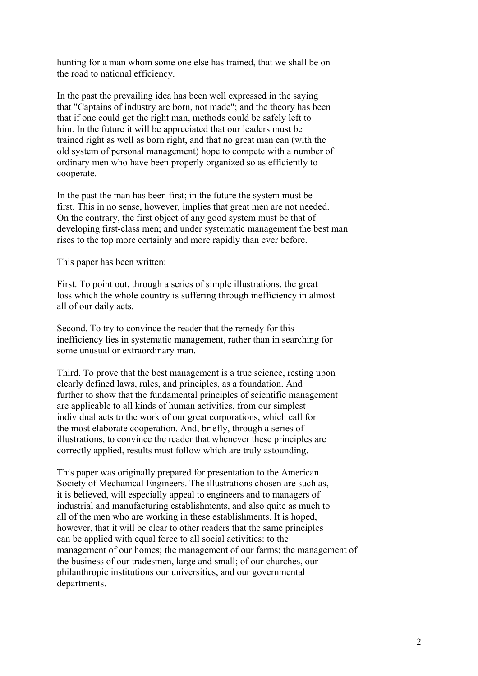hunting for a man whom some one else has trained, that we shall be on the road to national efficiency.

In the past the prevailing idea has been well expressed in the saying that "Captains of industry are born, not made"; and the theory has been that if one could get the right man, methods could be safely left to him. In the future it will be appreciated that our leaders must be trained right as well as born right, and that no great man can (with the old system of personal management) hope to compete with a number of ordinary men who have been properly organized so as efficiently to cooperate.

In the past the man has been first; in the future the system must be first. This in no sense, however, implies that great men are not needed. On the contrary, the first object of any good system must be that of developing first-class men; and under systematic management the best man rises to the top more certainly and more rapidly than ever before.

This paper has been written:

First. To point out, through a series of simple illustrations, the great loss which the whole country is suffering through inefficiency in almost all of our daily acts.

Second. To try to convince the reader that the remedy for this inefficiency lies in systematic management, rather than in searching for some unusual or extraordinary man.

Third. To prove that the best management is a true science, resting upon clearly defined laws, rules, and principles, as a foundation. And further to show that the fundamental principles of scientific management are applicable to all kinds of human activities, from our simplest individual acts to the work of our great corporations, which call for the most elaborate cooperation. And, briefly, through a series of illustrations, to convince the reader that whenever these principles are correctly applied, results must follow which are truly astounding.

This paper was originally prepared for presentation to the American Society of Mechanical Engineers. The illustrations chosen are such as, it is believed, will especially appeal to engineers and to managers of industrial and manufacturing establishments, and also quite as much to all of the men who are working in these establishments. It is hoped, however, that it will be clear to other readers that the same principles can be applied with equal force to all social activities: to the management of our homes; the management of our farms; the management of the business of our tradesmen, large and small; of our churches, our philanthropic institutions our universities, and our governmental departments.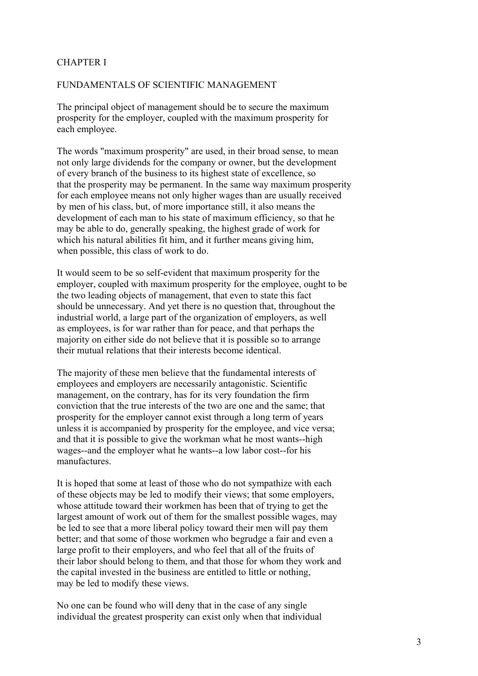## CHAPTER I

## FUNDAMENTALS OF SCIENTIFIC MANAGEMENT

The principal object of management should be to secure the maximum prosperity for the employer, coupled with the maximum prosperity for each employee.

The words "maximum prosperity" are used, in their broad sense, to mean not only large dividends for the company or owner, but the development of every branch of the business to its highest state of excellence, so that the prosperity may be permanent. In the same way maximum prosperity for each employee means not only higher wages than are usually received by men of his class, but, of more importance still, it also means the development of each man to his state of maximum efficiency, so that he may be able to do, generally speaking, the highest grade of work for which his natural abilities fit him, and it further means giving him, when possible, this class of work to do.

It would seem to be so self-evident that maximum prosperity for the employer, coupled with maximum prosperity for the employee, ought to be the two leading objects of management, that even to state this fact should be unnecessary. And yet there is no question that, throughout the industrial world, a large part of the organization of employers, as well as employees, is for war rather than for peace, and that perhaps the majority on either side do not believe that it is possible so to arrange their mutual relations that their interests become identical.

The majority of these men believe that the fundamental interests of employees and employers are necessarily antagonistic. Scientific management, on the contrary, has for its very foundation the firm conviction that the true interests of the two are one and the same; that prosperity for the employer cannot exist through a long term of years unless it is accompanied by prosperity for the employee, and vice versa; and that it is possible to give the workman what he most wants--high wages--and the employer what he wants--a low labor cost--for his manufactures.

It is hoped that some at least of those who do not sympathize with each of these objects may be led to modify their views; that some employers, whose attitude toward their workmen has been that of trying to get the largest amount of work out of them for the smallest possible wages, may be led to see that a more liberal policy toward their men will pay them better; and that some of those workmen who begrudge a fair and even a large profit to their employers, and who feel that all of the fruits of their labor should belong to them, and that those for whom they work and the capital invested in the business are entitled to little or nothing, may be led to modify these views.

No one can be found who will deny that in the case of any single individual the greatest prosperity can exist only when that individual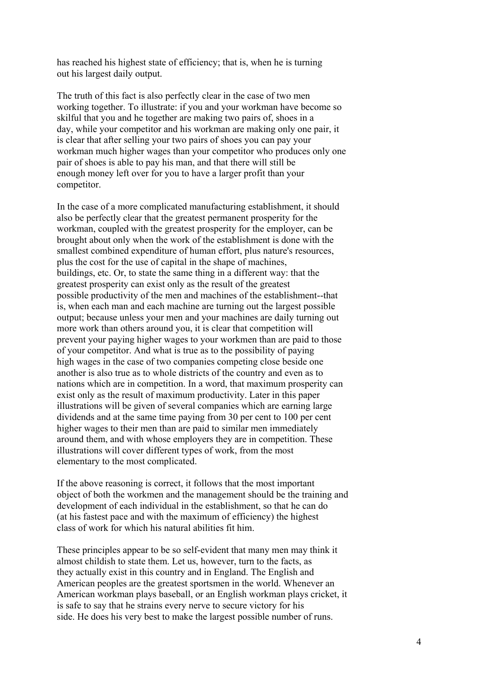has reached his highest state of efficiency; that is, when he is turning out his largest daily output.

The truth of this fact is also perfectly clear in the case of two men working together. To illustrate: if you and your workman have become so skilful that you and he together are making two pairs of, shoes in a day, while your competitor and his workman are making only one pair, it is clear that after selling your two pairs of shoes you can pay your workman much higher wages than your competitor who produces only one pair of shoes is able to pay his man, and that there will still be enough money left over for you to have a larger profit than your competitor.

In the case of a more complicated manufacturing establishment, it should also be perfectly clear that the greatest permanent prosperity for the workman, coupled with the greatest prosperity for the employer, can be brought about only when the work of the establishment is done with the smallest combined expenditure of human effort, plus nature's resources, plus the cost for the use of capital in the shape of machines, buildings, etc. Or, to state the same thing in a different way: that the greatest prosperity can exist only as the result of the greatest possible productivity of the men and machines of the establishment--that is, when each man and each machine are turning out the largest possible output; because unless your men and your machines are daily turning out more work than others around you, it is clear that competition will prevent your paying higher wages to your workmen than are paid to those of your competitor. And what is true as to the possibility of paying high wages in the case of two companies competing close beside one another is also true as to whole districts of the country and even as to nations which are in competition. In a word, that maximum prosperity can exist only as the result of maximum productivity. Later in this paper illustrations will be given of several companies which are earning large dividends and at the same time paying from 30 per cent to 100 per cent higher wages to their men than are paid to similar men immediately around them, and with whose employers they are in competition. These illustrations will cover different types of work, from the most elementary to the most complicated.

If the above reasoning is correct, it follows that the most important object of both the workmen and the management should be the training and development of each individual in the establishment, so that he can do (at his fastest pace and with the maximum of efficiency) the highest class of work for which his natural abilities fit him.

These principles appear to be so self-evident that many men may think it almost childish to state them. Let us, however, turn to the facts, as they actually exist in this country and in England. The English and American peoples are the greatest sportsmen in the world. Whenever an American workman plays baseball, or an English workman plays cricket, it is safe to say that he strains every nerve to secure victory for his side. He does his very best to make the largest possible number of runs.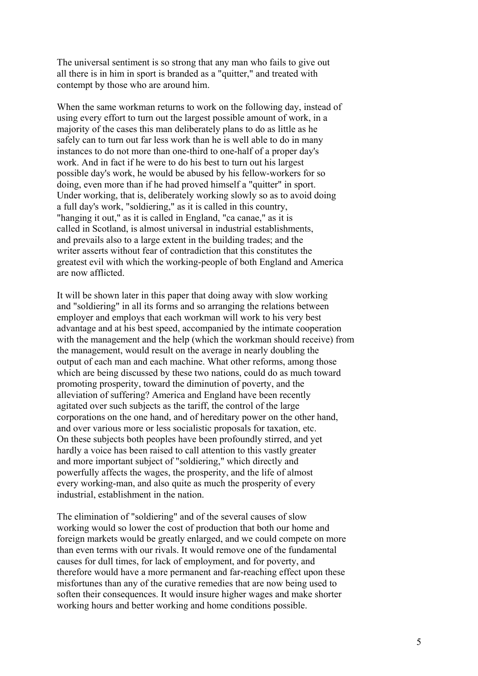The universal sentiment is so strong that any man who fails to give out all there is in him in sport is branded as a "quitter," and treated with contempt by those who are around him.

When the same workman returns to work on the following day, instead of using every effort to turn out the largest possible amount of work, in a majority of the cases this man deliberately plans to do as little as he safely can to turn out far less work than he is well able to do in many instances to do not more than one-third to one-half of a proper day's work. And in fact if he were to do his best to turn out his largest possible day's work, he would be abused by his fellow-workers for so doing, even more than if he had proved himself a "quitter" in sport. Under working, that is, deliberately working slowly so as to avoid doing a full day's work, "soldiering," as it is called in this country, "hanging it out," as it is called in England, "ca canae," as it is called in Scotland, is almost universal in industrial establishments, and prevails also to a large extent in the building trades; and the writer asserts without fear of contradiction that this constitutes the greatest evil with which the working-people of both England and America are now afflicted.

It will be shown later in this paper that doing away with slow working and "soldiering" in all its forms and so arranging the relations between employer and employs that each workman will work to his very best advantage and at his best speed, accompanied by the intimate cooperation with the management and the help (which the workman should receive) from the management, would result on the average in nearly doubling the output of each man and each machine. What other reforms, among those which are being discussed by these two nations, could do as much toward promoting prosperity, toward the diminution of poverty, and the alleviation of suffering? America and England have been recently agitated over such subjects as the tariff, the control of the large corporations on the one hand, and of hereditary power on the other hand, and over various more or less socialistic proposals for taxation, etc. On these subjects both peoples have been profoundly stirred, and yet hardly a voice has been raised to call attention to this vastly greater and more important subject of "soldiering," which directly and powerfully affects the wages, the prosperity, and the life of almost every working-man, and also quite as much the prosperity of every industrial, establishment in the nation.

The elimination of "soldiering" and of the several causes of slow working would so lower the cost of production that both our home and foreign markets would be greatly enlarged, and we could compete on more than even terms with our rivals. It would remove one of the fundamental causes for dull times, for lack of employment, and for poverty, and therefore would have a more permanent and far-reaching effect upon these misfortunes than any of the curative remedies that are now being used to soften their consequences. It would insure higher wages and make shorter working hours and better working and home conditions possible.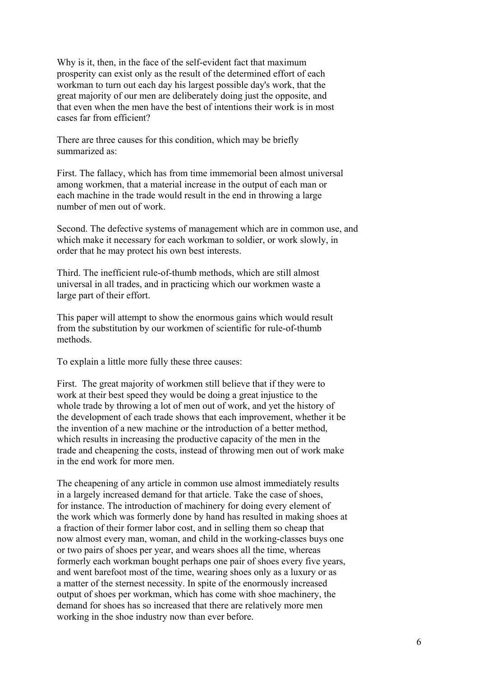Why is it, then, in the face of the self-evident fact that maximum prosperity can exist only as the result of the determined effort of each workman to turn out each day his largest possible day's work, that the great majority of our men are deliberately doing just the opposite, and that even when the men have the best of intentions their work is in most cases far from efficient?

There are three causes for this condition, which may be briefly summarized as:

First. The fallacy, which has from time immemorial been almost universal among workmen, that a material increase in the output of each man or each machine in the trade would result in the end in throwing a large number of men out of work.

Second. The defective systems of management which are in common use, and which make it necessary for each workman to soldier, or work slowly, in order that he may protect his own best interests.

Third. The inefficient rule-of-thumb methods, which are still almost universal in all trades, and in practicing which our workmen waste a large part of their effort.

This paper will attempt to show the enormous gains which would result from the substitution by our workmen of scientific for rule-of-thumb methods.

To explain a little more fully these three causes:

First. The great majority of workmen still believe that if they were to work at their best speed they would be doing a great injustice to the whole trade by throwing a lot of men out of work, and yet the history of the development of each trade shows that each improvement, whether it be the invention of a new machine or the introduction of a better method, which results in increasing the productive capacity of the men in the trade and cheapening the costs, instead of throwing men out of work make in the end work for more men.

The cheapening of any article in common use almost immediately results in a largely increased demand for that article. Take the case of shoes, for instance. The introduction of machinery for doing every element of the work which was formerly done by hand has resulted in making shoes at a fraction of their former labor cost, and in selling them so cheap that now almost every man, woman, and child in the working-classes buys one or two pairs of shoes per year, and wears shoes all the time, whereas formerly each workman bought perhaps one pair of shoes every five years, and went barefoot most of the time, wearing shoes only as a luxury or as a matter of the sternest necessity. In spite of the enormously increased output of shoes per workman, which has come with shoe machinery, the demand for shoes has so increased that there are relatively more men working in the shoe industry now than ever before.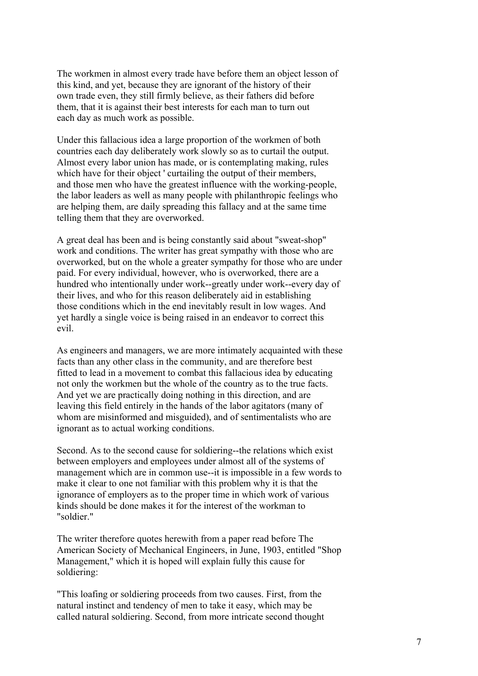The workmen in almost every trade have before them an object lesson of this kind, and yet, because they are ignorant of the history of their own trade even, they still firmly believe, as their fathers did before them, that it is against their best interests for each man to turn out each day as much work as possible.

Under this fallacious idea a large proportion of the workmen of both countries each day deliberately work slowly so as to curtail the output. Almost every labor union has made, or is contemplating making, rules which have for their object ' curtailing the output of their members. and those men who have the greatest influence with the working-people, the labor leaders as well as many people with philanthropic feelings who are helping them, are daily spreading this fallacy and at the same time telling them that they are overworked.

A great deal has been and is being constantly said about "sweat-shop" work and conditions. The writer has great sympathy with those who are overworked, but on the whole a greater sympathy for those who are under paid. For every individual, however, who is overworked, there are a hundred who intentionally under work--greatly under work--every day of their lives, and who for this reason deliberately aid in establishing those conditions which in the end inevitably result in low wages. And yet hardly a single voice is being raised in an endeavor to correct this evil.

As engineers and managers, we are more intimately acquainted with these facts than any other class in the community, and are therefore best fitted to lead in a movement to combat this fallacious idea by educating not only the workmen but the whole of the country as to the true facts. And yet we are practically doing nothing in this direction, and are leaving this field entirely in the hands of the labor agitators (many of whom are misinformed and misguided), and of sentimentalists who are ignorant as to actual working conditions.

Second. As to the second cause for soldiering--the relations which exist between employers and employees under almost all of the systems of management which are in common use--it is impossible in a few words to make it clear to one not familiar with this problem why it is that the ignorance of employers as to the proper time in which work of various kinds should be done makes it for the interest of the workman to "soldier."

The writer therefore quotes herewith from a paper read before The American Society of Mechanical Engineers, in June, 1903, entitled "Shop Management," which it is hoped will explain fully this cause for soldiering:

"This loafing or soldiering proceeds from two causes. First, from the natural instinct and tendency of men to take it easy, which may be called natural soldiering. Second, from more intricate second thought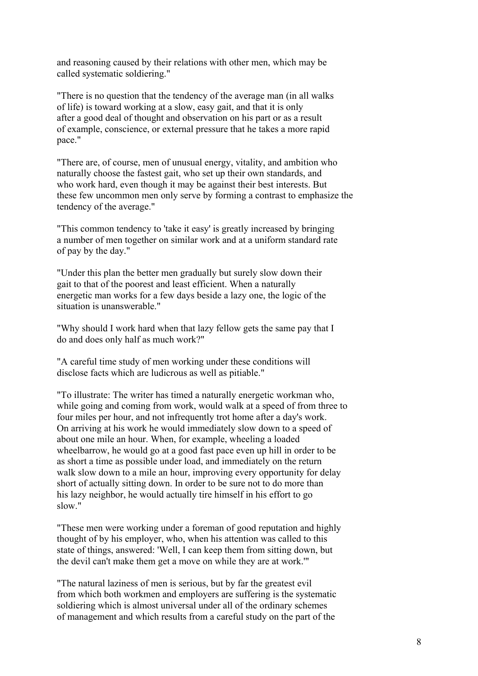and reasoning caused by their relations with other men, which may be called systematic soldiering."

"There is no question that the tendency of the average man (in all walks of life) is toward working at a slow, easy gait, and that it is only after a good deal of thought and observation on his part or as a result of example, conscience, or external pressure that he takes a more rapid pace."

"There are, of course, men of unusual energy, vitality, and ambition who naturally choose the fastest gait, who set up their own standards, and who work hard, even though it may be against their best interests. But these few uncommon men only serve by forming a contrast to emphasize the tendency of the average."

"This common tendency to 'take it easy' is greatly increased by bringing a number of men together on similar work and at a uniform standard rate of pay by the day."

"Under this plan the better men gradually but surely slow down their gait to that of the poorest and least efficient. When a naturally energetic man works for a few days beside a lazy one, the logic of the situation is unanswerable."

"Why should I work hard when that lazy fellow gets the same pay that I do and does only half as much work?"

"A careful time study of men working under these conditions will disclose facts which are ludicrous as well as pitiable."

"To illustrate: The writer has timed a naturally energetic workman who, while going and coming from work, would walk at a speed of from three to four miles per hour, and not infrequently trot home after a day's work. On arriving at his work he would immediately slow down to a speed of about one mile an hour. When, for example, wheeling a loaded wheelbarrow, he would go at a good fast pace even up hill in order to be as short a time as possible under load, and immediately on the return walk slow down to a mile an hour, improving every opportunity for delay short of actually sitting down. In order to be sure not to do more than his lazy neighbor, he would actually tire himself in his effort to go slow."

"These men were working under a foreman of good reputation and highly thought of by his employer, who, when his attention was called to this state of things, answered: 'Well, I can keep them from sitting down, but the devil can't make them get a move on while they are at work.'"

"The natural laziness of men is serious, but by far the greatest evil from which both workmen and employers are suffering is the systematic soldiering which is almost universal under all of the ordinary schemes of management and which results from a careful study on the part of the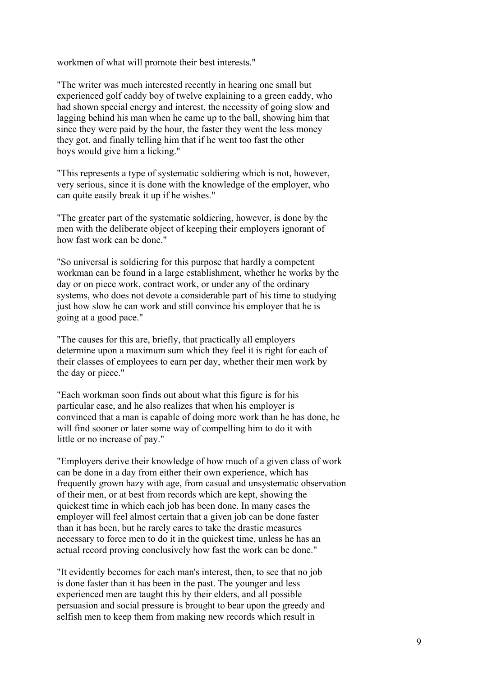workmen of what will promote their best interests."

"The writer was much interested recently in hearing one small but experienced golf caddy boy of twelve explaining to a green caddy, who had shown special energy and interest, the necessity of going slow and lagging behind his man when he came up to the ball, showing him that since they were paid by the hour, the faster they went the less money they got, and finally telling him that if he went too fast the other boys would give him a licking."

"This represents a type of systematic soldiering which is not, however, very serious, since it is done with the knowledge of the employer, who can quite easily break it up if he wishes."

"The greater part of the systematic soldiering, however, is done by the men with the deliberate object of keeping their employers ignorant of how fast work can be done."

"So universal is soldiering for this purpose that hardly a competent workman can be found in a large establishment, whether he works by the day or on piece work, contract work, or under any of the ordinary systems, who does not devote a considerable part of his time to studying just how slow he can work and still convince his employer that he is going at a good pace."

"The causes for this are, briefly, that practically all employers determine upon a maximum sum which they feel it is right for each of their classes of employees to earn per day, whether their men work by the day or piece."

"Each workman soon finds out about what this figure is for his particular case, and he also realizes that when his employer is convinced that a man is capable of doing more work than he has done, he will find sooner or later some way of compelling him to do it with little or no increase of pay."

"Employers derive their knowledge of how much of a given class of work can be done in a day from either their own experience, which has frequently grown hazy with age, from casual and unsystematic observation of their men, or at best from records which are kept, showing the quickest time in which each job has been done. In many cases the employer will feel almost certain that a given job can be done faster than it has been, but he rarely cares to take the drastic measures necessary to force men to do it in the quickest time, unless he has an actual record proving conclusively how fast the work can be done."

"It evidently becomes for each man's interest, then, to see that no job is done faster than it has been in the past. The younger and less experienced men are taught this by their elders, and all possible persuasion and social pressure is brought to bear upon the greedy and selfish men to keep them from making new records which result in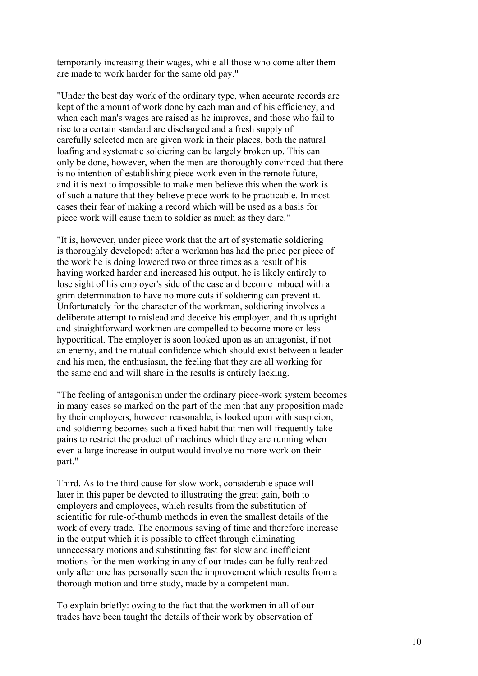temporarily increasing their wages, while all those who come after them are made to work harder for the same old pay."

"Under the best day work of the ordinary type, when accurate records are kept of the amount of work done by each man and of his efficiency, and when each man's wages are raised as he improves, and those who fail to rise to a certain standard are discharged and a fresh supply of carefully selected men are given work in their places, both the natural loafing and systematic soldiering can be largely broken up. This can only be done, however, when the men are thoroughly convinced that there is no intention of establishing piece work even in the remote future, and it is next to impossible to make men believe this when the work is of such a nature that they believe piece work to be practicable. In most cases their fear of making a record which will be used as a basis for piece work will cause them to soldier as much as they dare."

"It is, however, under piece work that the art of systematic soldiering is thoroughly developed; after a workman has had the price per piece of the work he is doing lowered two or three times as a result of his having worked harder and increased his output, he is likely entirely to lose sight of his employer's side of the case and become imbued with a grim determination to have no more cuts if soldiering can prevent it. Unfortunately for the character of the workman, soldiering involves a deliberate attempt to mislead and deceive his employer, and thus upright and straightforward workmen are compelled to become more or less hypocritical. The employer is soon looked upon as an antagonist, if not an enemy, and the mutual confidence which should exist between a leader and his men, the enthusiasm, the feeling that they are all working for the same end and will share in the results is entirely lacking.

"The feeling of antagonism under the ordinary piece-work system becomes in many cases so marked on the part of the men that any proposition made by their employers, however reasonable, is looked upon with suspicion, and soldiering becomes such a fixed habit that men will frequently take pains to restrict the product of machines which they are running when even a large increase in output would involve no more work on their part."

Third. As to the third cause for slow work, considerable space will later in this paper be devoted to illustrating the great gain, both to employers and employees, which results from the substitution of scientific for rule-of-thumb methods in even the smallest details of the work of every trade. The enormous saving of time and therefore increase in the output which it is possible to effect through eliminating unnecessary motions and substituting fast for slow and inefficient motions for the men working in any of our trades can be fully realized only after one has personally seen the improvement which results from a thorough motion and time study, made by a competent man.

To explain briefly: owing to the fact that the workmen in all of our trades have been taught the details of their work by observation of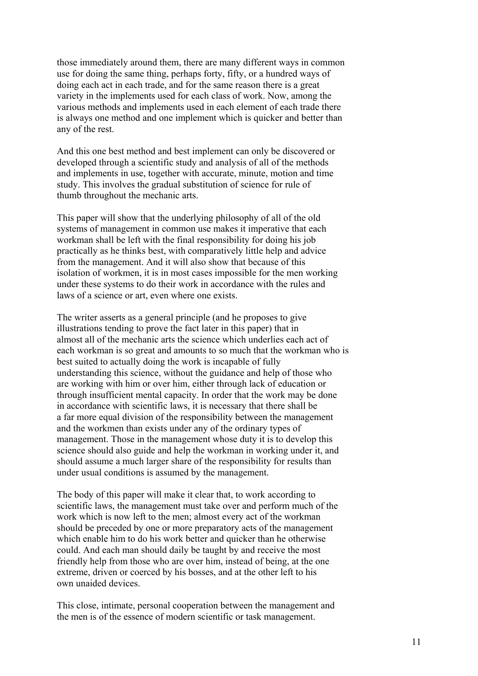those immediately around them, there are many different ways in common use for doing the same thing, perhaps forty, fifty, or a hundred ways of doing each act in each trade, and for the same reason there is a great variety in the implements used for each class of work. Now, among the various methods and implements used in each element of each trade there is always one method and one implement which is quicker and better than any of the rest.

And this one best method and best implement can only be discovered or developed through a scientific study and analysis of all of the methods and implements in use, together with accurate, minute, motion and time study. This involves the gradual substitution of science for rule of thumb throughout the mechanic arts.

This paper will show that the underlying philosophy of all of the old systems of management in common use makes it imperative that each workman shall be left with the final responsibility for doing his job practically as he thinks best, with comparatively little help and advice from the management. And it will also show that because of this isolation of workmen, it is in most cases impossible for the men working under these systems to do their work in accordance with the rules and laws of a science or art, even where one exists.

The writer asserts as a general principle (and he proposes to give illustrations tending to prove the fact later in this paper) that in almost all of the mechanic arts the science which underlies each act of each workman is so great and amounts to so much that the workman who is best suited to actually doing the work is incapable of fully understanding this science, without the guidance and help of those who are working with him or over him, either through lack of education or through insufficient mental capacity. In order that the work may be done in accordance with scientific laws, it is necessary that there shall be a far more equal division of the responsibility between the management and the workmen than exists under any of the ordinary types of management. Those in the management whose duty it is to develop this science should also guide and help the workman in working under it, and should assume a much larger share of the responsibility for results than under usual conditions is assumed by the management.

The body of this paper will make it clear that, to work according to scientific laws, the management must take over and perform much of the work which is now left to the men; almost every act of the workman should be preceded by one or more preparatory acts of the management which enable him to do his work better and quicker than he otherwise could. And each man should daily be taught by and receive the most friendly help from those who are over him, instead of being, at the one extreme, driven or coerced by his bosses, and at the other left to his own unaided devices.

This close, intimate, personal cooperation between the management and the men is of the essence of modern scientific or task management.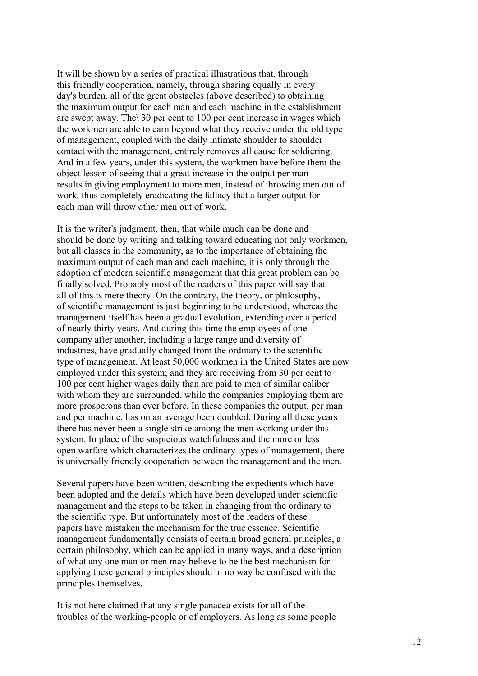It will be shown by a series of practical illustrations that, through this friendly cooperation, namely, through sharing equally in every day's burden, all of the great obstacles (above described) to obtaining the maximum output for each man and each machine in the establishment are swept away. The\ 30 per cent to 100 per cent increase in wages which the workmen are able to earn beyond what they receive under the old type of management, coupled with the daily intimate shoulder to shoulder contact with the management, entirely removes all cause for soldiering. And in a few years, under this system, the workmen have before them the object lesson of seeing that a great increase in the output per man results in giving employment to more men, instead of throwing men out of work, thus completely eradicating the fallacy that a larger output for each man will throw other men out of work.

It is the writer's judgment, then, that while much can be done and should be done by writing and talking toward educating not only workmen, but all classes in the community, as to the importance of obtaining the maximum output of each man and each machine, it is only through the adoption of modern scientific management that this great problem can be finally solved. Probably most of the readers of this paper will say that all of this is mere theory. On the contrary, the theory, or philosophy, of scientific management is just beginning to be understood, whereas the management itself has been a gradual evolution, extending over a period of nearly thirty years. And during this time the employees of one company after another, including a large range and diversity of industries, have gradually changed from the ordinary to the scientific type of management. At least 50,000 workmen in the United States are now employed under this system; and they are receiving from 30 per cent to 100 per cent higher wages daily than are paid to men of similar caliber with whom they are surrounded, while the companies employing them are more prosperous than ever before. In these companies the output, per man and per machine, has on an average been doubled. During all these years there has never been a single strike among the men working under this system. In place of the suspicious watchfulness and the more or less open warfare which characterizes the ordinary types of management, there is universally friendly cooperation between the management and the men.

Several papers have been written, describing the expedients which have been adopted and the details which have been developed under scientific management and the steps to be taken in changing from the ordinary to the scientific type. But unfortunately most of the readers of these papers have mistaken the mechanism for the true essence. Scientific management fundamentally consists of certain broad general principles, a certain philosophy, which can be applied in many ways, and a description of what any one man or men may believe to be the best mechanism for applying these general principles should in no way be confused with the principles themselves.

It is not here claimed that any single panacea exists for all of the troubles of the working-people or of employers. As long as some people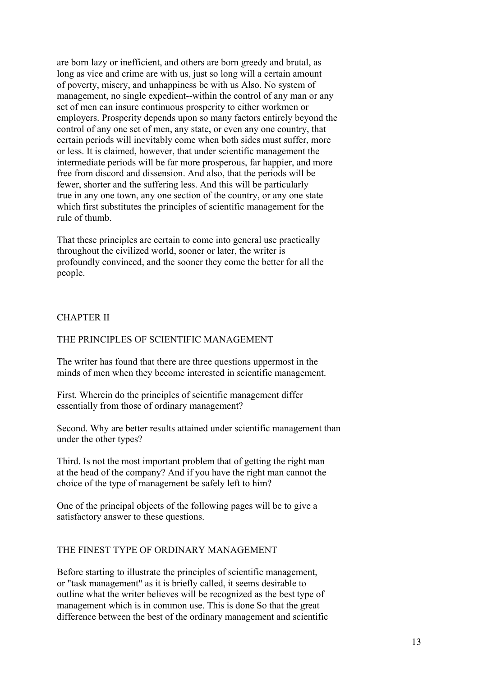are born lazy or inefficient, and others are born greedy and brutal, as long as vice and crime are with us, just so long will a certain amount of poverty, misery, and unhappiness be with us Also. No system of management, no single expedient--within the control of any man or any set of men can insure continuous prosperity to either workmen or employers. Prosperity depends upon so many factors entirely beyond the control of any one set of men, any state, or even any one country, that certain periods will inevitably come when both sides must suffer, more or less. It is claimed, however, that under scientific management the intermediate periods will be far more prosperous, far happier, and more free from discord and dissension. And also, that the periods will be fewer, shorter and the suffering less. And this will be particularly true in any one town, any one section of the country, or any one state which first substitutes the principles of scientific management for the rule of thumb.

That these principles are certain to come into general use practically throughout the civilized world, sooner or later, the writer is profoundly convinced, and the sooner they come the better for all the people.

## CHAPTER II

## THE PRINCIPLES OF SCIENTIFIC MANAGEMENT

The writer has found that there are three questions uppermost in the minds of men when they become interested in scientific management.

First. Wherein do the principles of scientific management differ essentially from those of ordinary management?

Second. Why are better results attained under scientific management than under the other types?

Third. Is not the most important problem that of getting the right man at the head of the company? And if you have the right man cannot the choice of the type of management be safely left to him?

One of the principal objects of the following pages will be to give a satisfactory answer to these questions.

## THE FINEST TYPE OF ORDINARY MANAGEMENT

Before starting to illustrate the principles of scientific management, or "task management" as it is briefly called, it seems desirable to outline what the writer believes will be recognized as the best type of management which is in common use. This is done So that the great difference between the best of the ordinary management and scientific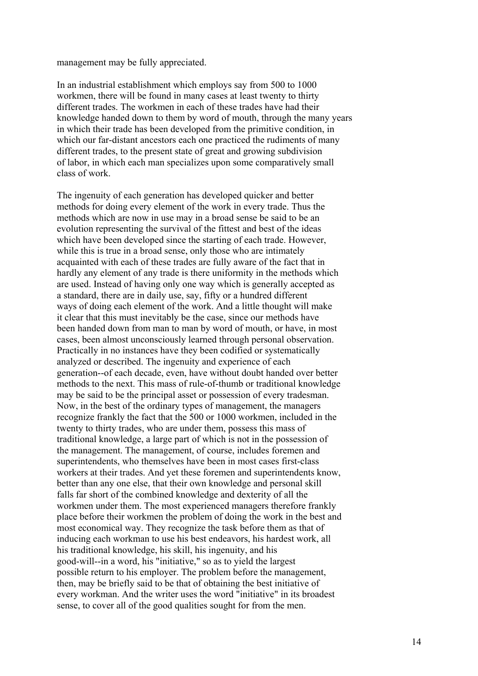### management may be fully appreciated.

In an industrial establishment which employs say from 500 to 1000 workmen, there will be found in many cases at least twenty to thirty different trades. The workmen in each of these trades have had their knowledge handed down to them by word of mouth, through the many years in which their trade has been developed from the primitive condition, in which our far-distant ancestors each one practiced the rudiments of many different trades, to the present state of great and growing subdivision of labor, in which each man specializes upon some comparatively small class of work.

The ingenuity of each generation has developed quicker and better methods for doing every element of the work in every trade. Thus the methods which are now in use may in a broad sense be said to be an evolution representing the survival of the fittest and best of the ideas which have been developed since the starting of each trade. However, while this is true in a broad sense, only those who are intimately acquainted with each of these trades are fully aware of the fact that in hardly any element of any trade is there uniformity in the methods which are used. Instead of having only one way which is generally accepted as a standard, there are in daily use, say, fifty or a hundred different ways of doing each element of the work. And a little thought will make it clear that this must inevitably be the case, since our methods have been handed down from man to man by word of mouth, or have, in most cases, been almost unconsciously learned through personal observation. Practically in no instances have they been codified or systematically analyzed or described. The ingenuity and experience of each generation--of each decade, even, have without doubt handed over better methods to the next. This mass of rule-of-thumb or traditional knowledge may be said to be the principal asset or possession of every tradesman. Now, in the best of the ordinary types of management, the managers recognize frankly the fact that the 500 or 1000 workmen, included in the twenty to thirty trades, who are under them, possess this mass of traditional knowledge, a large part of which is not in the possession of the management. The management, of course, includes foremen and superintendents, who themselves have been in most cases first-class workers at their trades. And yet these foremen and superintendents know, better than any one else, that their own knowledge and personal skill falls far short of the combined knowledge and dexterity of all the workmen under them. The most experienced managers therefore frankly place before their workmen the problem of doing the work in the best and most economical way. They recognize the task before them as that of inducing each workman to use his best endeavors, his hardest work, all his traditional knowledge, his skill, his ingenuity, and his good-will--in a word, his "initiative," so as to yield the largest possible return to his employer. The problem before the management, then, may be briefly said to be that of obtaining the best initiative of every workman. And the writer uses the word "initiative" in its broadest sense, to cover all of the good qualities sought for from the men.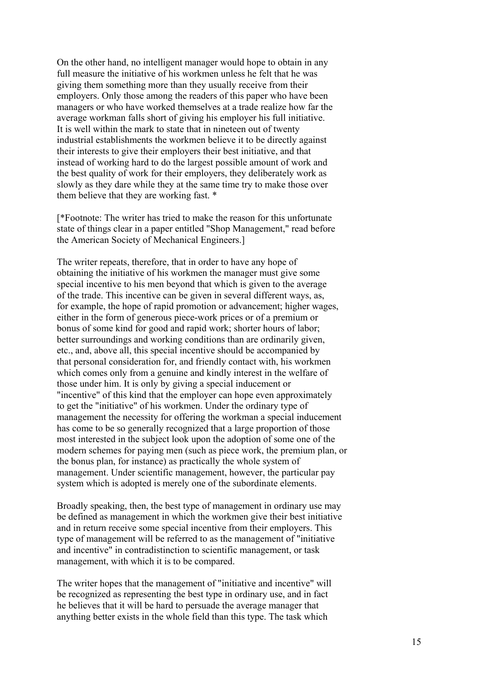On the other hand, no intelligent manager would hope to obtain in any full measure the initiative of his workmen unless he felt that he was giving them something more than they usually receive from their employers. Only those among the readers of this paper who have been managers or who have worked themselves at a trade realize how far the average workman falls short of giving his employer his full initiative. It is well within the mark to state that in nineteen out of twenty industrial establishments the workmen believe it to be directly against their interests to give their employers their best initiative, and that instead of working hard to do the largest possible amount of work and the best quality of work for their employers, they deliberately work as slowly as they dare while they at the same time try to make those over them believe that they are working fast. \*

[\*Footnote: The writer has tried to make the reason for this unfortunate state of things clear in a paper entitled "Shop Management," read before the American Society of Mechanical Engineers.]

The writer repeats, therefore, that in order to have any hope of obtaining the initiative of his workmen the manager must give some special incentive to his men beyond that which is given to the average of the trade. This incentive can be given in several different ways, as, for example, the hope of rapid promotion or advancement; higher wages, either in the form of generous piece-work prices or of a premium or bonus of some kind for good and rapid work; shorter hours of labor; better surroundings and working conditions than are ordinarily given, etc., and, above all, this special incentive should be accompanied by that personal consideration for, and friendly contact with, his workmen which comes only from a genuine and kindly interest in the welfare of those under him. It is only by giving a special inducement or "incentive" of this kind that the employer can hope even approximately to get the "initiative" of his workmen. Under the ordinary type of management the necessity for offering the workman a special inducement has come to be so generally recognized that a large proportion of those most interested in the subject look upon the adoption of some one of the modern schemes for paying men (such as piece work, the premium plan, or the bonus plan, for instance) as practically the whole system of management. Under scientific management, however, the particular pay system which is adopted is merely one of the subordinate elements.

Broadly speaking, then, the best type of management in ordinary use may be defined as management in which the workmen give their best initiative and in return receive some special incentive from their employers. This type of management will be referred to as the management of "initiative and incentive" in contradistinction to scientific management, or task management, with which it is to be compared.

The writer hopes that the management of "initiative and incentive" will be recognized as representing the best type in ordinary use, and in fact he believes that it will be hard to persuade the average manager that anything better exists in the whole field than this type. The task which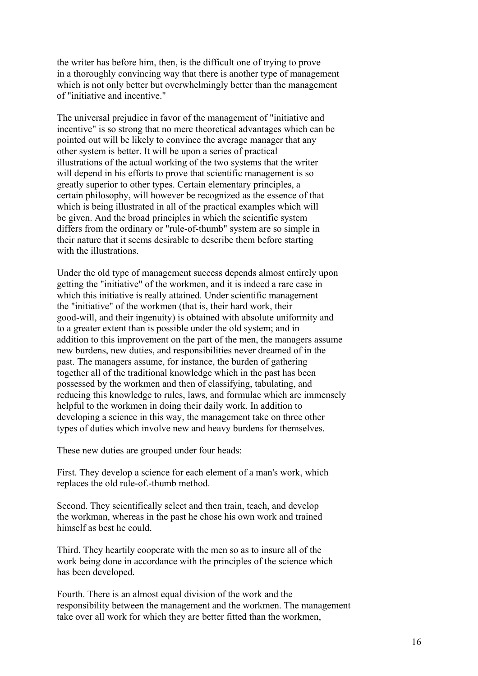the writer has before him, then, is the difficult one of trying to prove in a thoroughly convincing way that there is another type of management which is not only better but overwhelmingly better than the management of "initiative and incentive."

The universal prejudice in favor of the management of "initiative and incentive" is so strong that no mere theoretical advantages which can be pointed out will be likely to convince the average manager that any other system is better. It will be upon a series of practical illustrations of the actual working of the two systems that the writer will depend in his efforts to prove that scientific management is so greatly superior to other types. Certain elementary principles, a certain philosophy, will however be recognized as the essence of that which is being illustrated in all of the practical examples which will be given. And the broad principles in which the scientific system differs from the ordinary or "rule-of-thumb" system are so simple in their nature that it seems desirable to describe them before starting with the illustrations.

Under the old type of management success depends almost entirely upon getting the "initiative" of the workmen, and it is indeed a rare case in which this initiative is really attained. Under scientific management the "initiative" of the workmen (that is, their hard work, their good-will, and their ingenuity) is obtained with absolute uniformity and to a greater extent than is possible under the old system; and in addition to this improvement on the part of the men, the managers assume new burdens, new duties, and responsibilities never dreamed of in the past. The managers assume, for instance, the burden of gathering together all of the traditional knowledge which in the past has been possessed by the workmen and then of classifying, tabulating, and reducing this knowledge to rules, laws, and formulae which are immensely helpful to the workmen in doing their daily work. In addition to developing a science in this way, the management take on three other types of duties which involve new and heavy burdens for themselves.

These new duties are grouped under four heads:

First. They develop a science for each element of a man's work, which replaces the old rule-of.-thumb method.

Second. They scientifically select and then train, teach, and develop the workman, whereas in the past he chose his own work and trained himself as best he could.

Third. They heartily cooperate with the men so as to insure all of the work being done in accordance with the principles of the science which has been developed.

Fourth. There is an almost equal division of the work and the responsibility between the management and the workmen. The management take over all work for which they are better fitted than the workmen,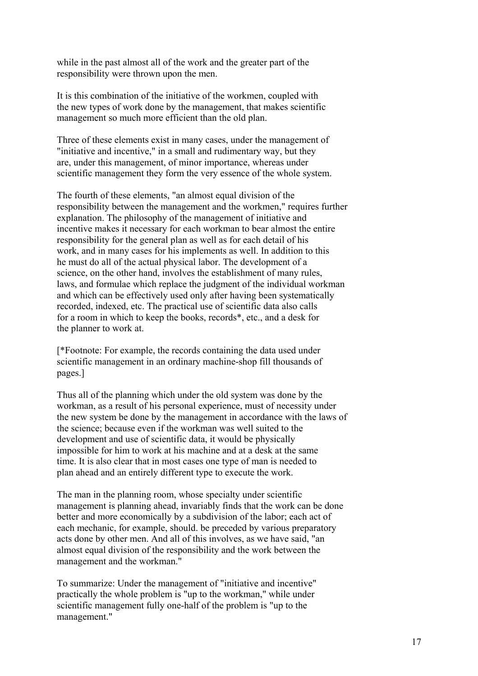while in the past almost all of the work and the greater part of the responsibility were thrown upon the men.

It is this combination of the initiative of the workmen, coupled with the new types of work done by the management, that makes scientific management so much more efficient than the old plan.

Three of these elements exist in many cases, under the management of "initiative and incentive," in a small and rudimentary way, but they are, under this management, of minor importance, whereas under scientific management they form the very essence of the whole system.

The fourth of these elements, "an almost equal division of the responsibility between the management and the workmen," requires further explanation. The philosophy of the management of initiative and incentive makes it necessary for each workman to bear almost the entire responsibility for the general plan as well as for each detail of his work, and in many cases for his implements as well. In addition to this he must do all of the actual physical labor. The development of a science, on the other hand, involves the establishment of many rules, laws, and formulae which replace the judgment of the individual workman and which can be effectively used only after having been systematically recorded, indexed, etc. The practical use of scientific data also calls for a room in which to keep the books, records\*, etc., and a desk for the planner to work at.

[\*Footnote: For example, the records containing the data used under scientific management in an ordinary machine-shop fill thousands of pages.]

Thus all of the planning which under the old system was done by the workman, as a result of his personal experience, must of necessity under the new system be done by the management in accordance with the laws of the science; because even if the workman was well suited to the development and use of scientific data, it would be physically impossible for him to work at his machine and at a desk at the same time. It is also clear that in most cases one type of man is needed to plan ahead and an entirely different type to execute the work.

The man in the planning room, whose specialty under scientific management is planning ahead, invariably finds that the work can be done better and more economically by a subdivision of the labor; each act of each mechanic, for example, should. be preceded by various preparatory acts done by other men. And all of this involves, as we have said, "an almost equal division of the responsibility and the work between the management and the workman."

To summarize: Under the management of "initiative and incentive" practically the whole problem is "up to the workman," while under scientific management fully one-half of the problem is "up to the management."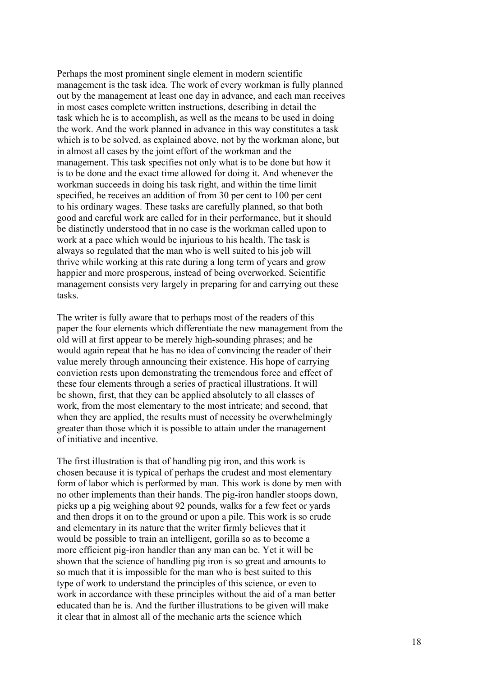Perhaps the most prominent single element in modern scientific management is the task idea. The work of every workman is fully planned out by the management at least one day in advance, and each man receives in most cases complete written instructions, describing in detail the task which he is to accomplish, as well as the means to be used in doing the work. And the work planned in advance in this way constitutes a task which is to be solved, as explained above, not by the workman alone, but in almost all cases by the joint effort of the workman and the management. This task specifies not only what is to be done but how it is to be done and the exact time allowed for doing it. And whenever the workman succeeds in doing his task right, and within the time limit specified, he receives an addition of from 30 per cent to 100 per cent to his ordinary wages. These tasks are carefully planned, so that both good and careful work are called for in their performance, but it should be distinctly understood that in no case is the workman called upon to work at a pace which would be injurious to his health. The task is always so regulated that the man who is well suited to his job will thrive while working at this rate during a long term of years and grow happier and more prosperous, instead of being overworked. Scientific management consists very largely in preparing for and carrying out these tasks.

The writer is fully aware that to perhaps most of the readers of this paper the four elements which differentiate the new management from the old will at first appear to be merely high-sounding phrases; and he would again repeat that he has no idea of convincing the reader of their value merely through announcing their existence. His hope of carrying conviction rests upon demonstrating the tremendous force and effect of these four elements through a series of practical illustrations. It will be shown, first, that they can be applied absolutely to all classes of work, from the most elementary to the most intricate; and second, that when they are applied, the results must of necessity be overwhelmingly greater than those which it is possible to attain under the management of initiative and incentive.

The first illustration is that of handling pig iron, and this work is chosen because it is typical of perhaps the crudest and most elementary form of labor which is performed by man. This work is done by men with no other implements than their hands. The pig-iron handler stoops down, picks up a pig weighing about 92 pounds, walks for a few feet or yards and then drops it on to the ground or upon a pile. This work is so crude and elementary in its nature that the writer firmly believes that it would be possible to train an intelligent, gorilla so as to become a more efficient pig-iron handler than any man can be. Yet it will be shown that the science of handling pig iron is so great and amounts to so much that it is impossible for the man who is best suited to this type of work to understand the principles of this science, or even to work in accordance with these principles without the aid of a man better educated than he is. And the further illustrations to be given will make it clear that in almost all of the mechanic arts the science which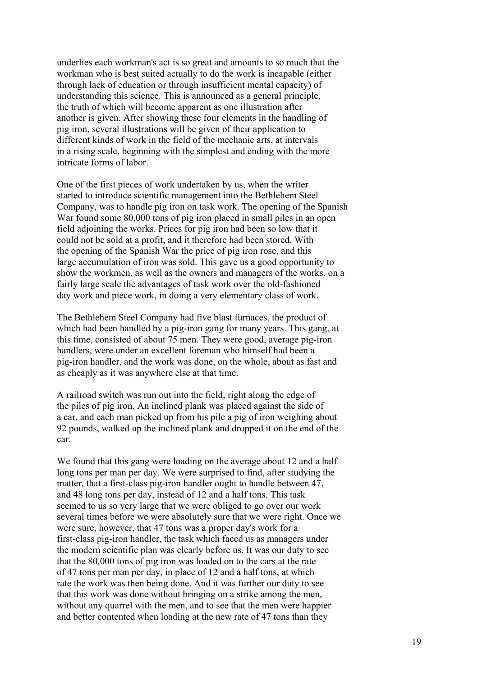underlies each workman's act is so great and amounts to so much that the workman who is best suited actually to do the work is incapable (either through lack of education or through insufficient mental capacity) of understanding this science. This is announced as a general principle, the truth of which will become apparent as one illustration after another is given. After showing these four elements in the handling of pig iron, several illustrations will be given of their application to different kinds of work in the field of the mechanic arts, at intervals in a rising scale, beginning with the simplest and ending with the more intricate forms of labor.

One of the first pieces of work undertaken by us, when the writer started to introduce scientific management into the Bethlehem Steel Company, was to handle pig iron on task work. The opening of the Spanish War found some 80,000 tons of pig iron placed in small piles in an open field adjoining the works. Prices for pig iron had been so low that it could not be sold at a profit, and it therefore had been stored. With the opening of the Spanish War the price of pig iron rose, and this large accumulation of iron was sold. This gave us a good opportunity to show the workmen, as well as the owners and managers of the works, on a fairly large scale the advantages of task work over the old-fashioned day work and piece work, in doing a very elementary class of work.

The Bethlehem Steel Company had five blast furnaces, the product of which had been handled by a pig-iron gang for many years. This gang, at this time, consisted of about 75 men. They were good, average pig-iron handlers, were under an excellent foreman who himself had been a pig-iron handler, and the work was done, on the whole, about as fast and as cheaply as it was anywhere else at that time.

A railroad switch was run out into the field, right along the edge of the piles of pig iron. An inclined plank was placed against the side of a car, and each man picked up from his pile a pig of iron weighing about 92 pounds, walked up the inclined plank and dropped it on the end of the car.

We found that this gang were loading on the average about 12 and a half long tons per man per day. We were surprised to find, after studying the matter, that a first-class pig-iron handler ought to handle between 47, and 48 long tons per day, instead of 12 and a half tons. This task seemed to us so very large that we were obliged to go over our work several times before we were absolutely sure that we were right. Once we were sure, however, that 47 tons was a proper day's work for a first-class pig-iron handler, the task which faced us as managers under the modern scientific plan was clearly before us. It was our duty to see that the 80,000 tons of pig iron was loaded on to the cars at the rate of 47 tons per man per day, in place of 12 and a half tons, at which rate the work was then being done. And it was further our duty to see that this work was done without bringing on a strike among the men, without any quarrel with the men, and to see that the men were happier and better contented when loading at the new rate of 47 tons than they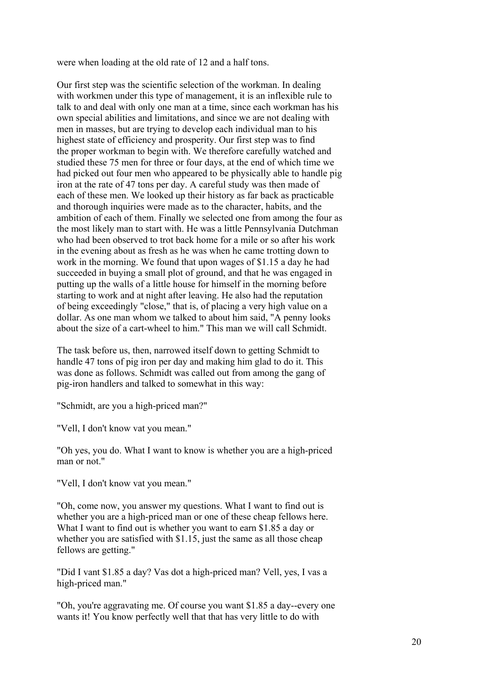were when loading at the old rate of 12 and a half tons.

Our first step was the scientific selection of the workman. In dealing with workmen under this type of management, it is an inflexible rule to talk to and deal with only one man at a time, since each workman has his own special abilities and limitations, and since we are not dealing with men in masses, but are trying to develop each individual man to his highest state of efficiency and prosperity. Our first step was to find the proper workman to begin with. We therefore carefully watched and studied these 75 men for three or four days, at the end of which time we had picked out four men who appeared to be physically able to handle pig iron at the rate of 47 tons per day. A careful study was then made of each of these men. We looked up their history as far back as practicable and thorough inquiries were made as to the character, habits, and the ambition of each of them. Finally we selected one from among the four as the most likely man to start with. He was a little Pennsylvania Dutchman who had been observed to trot back home for a mile or so after his work in the evening about as fresh as he was when he came trotting down to work in the morning. We found that upon wages of \$1.15 a day he had succeeded in buying a small plot of ground, and that he was engaged in putting up the walls of a little house for himself in the morning before starting to work and at night after leaving. He also had the reputation of being exceedingly "close," that is, of placing a very high value on a dollar. As one man whom we talked to about him said, "A penny looks about the size of a cart-wheel to him." This man we will call Schmidt.

The task before us, then, narrowed itself down to getting Schmidt to handle 47 tons of pig iron per day and making him glad to do it. This was done as follows. Schmidt was called out from among the gang of pig-iron handlers and talked to somewhat in this way:

"Schmidt, are you a high-priced man?"

"Vell, I don't know vat you mean."

"Oh yes, you do. What I want to know is whether you are a high-priced man or not."

"Vell, I don't know vat you mean."

"Oh, come now, you answer my questions. What I want to find out is whether you are a high-priced man or one of these cheap fellows here. What I want to find out is whether you want to earn \$1.85 a day or whether you are satisfied with \$1.15, just the same as all those cheap fellows are getting."

"Did I vant \$1.85 a day? Vas dot a high-priced man? Vell, yes, I vas a high-priced man."

"Oh, you're aggravating me. Of course you want \$1.85 a day--every one wants it! You know perfectly well that that has very little to do with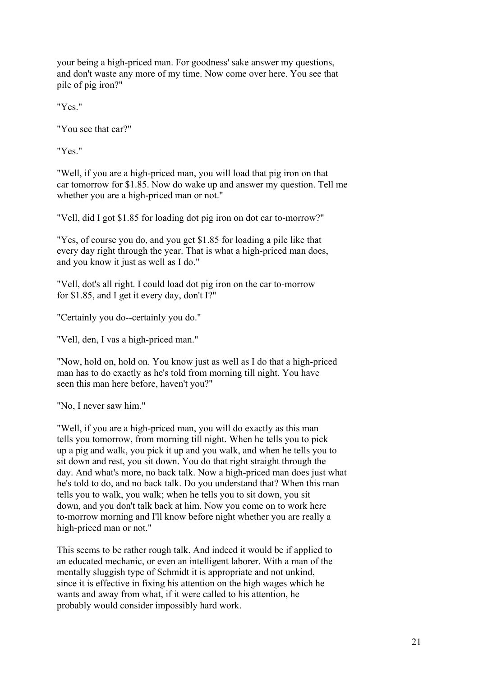your being a high-priced man. For goodness' sake answer my questions, and don't waste any more of my time. Now come over here. You see that pile of pig iron?"

"Yes."

"You see that car?"

"Yes."

"Well, if you are a high-priced man, you will load that pig iron on that car tomorrow for \$1.85. Now do wake up and answer my question. Tell me whether you are a high-priced man or not."

"Vell, did I got \$1.85 for loading dot pig iron on dot car to-morrow?"

"Yes, of course you do, and you get \$1.85 for loading a pile like that every day right through the year. That is what a high-priced man does, and you know it just as well as I do."

"Vell, dot's all right. I could load dot pig iron on the car to-morrow for \$1.85, and I get it every day, don't I?"

"Certainly you do--certainly you do."

"Vell, den, I vas a high-priced man."

"Now, hold on, hold on. You know just as well as I do that a high-priced man has to do exactly as he's told from morning till night. You have seen this man here before, haven't you?"

"No, I never saw him."

"Well, if you are a high-priced man, you will do exactly as this man tells you tomorrow, from morning till night. When he tells you to pick up a pig and walk, you pick it up and you walk, and when he tells you to sit down and rest, you sit down. You do that right straight through the day. And what's more, no back talk. Now a high-priced man does just what he's told to do, and no back talk. Do you understand that? When this man tells you to walk, you walk; when he tells you to sit down, you sit down, and you don't talk back at him. Now you come on to work here to-morrow morning and I'll know before night whether you are really a high-priced man or not."

This seems to be rather rough talk. And indeed it would be if applied to an educated mechanic, or even an intelligent laborer. With a man of the mentally sluggish type of Schmidt it is appropriate and not unkind, since it is effective in fixing his attention on the high wages which he wants and away from what, if it were called to his attention, he probably would consider impossibly hard work.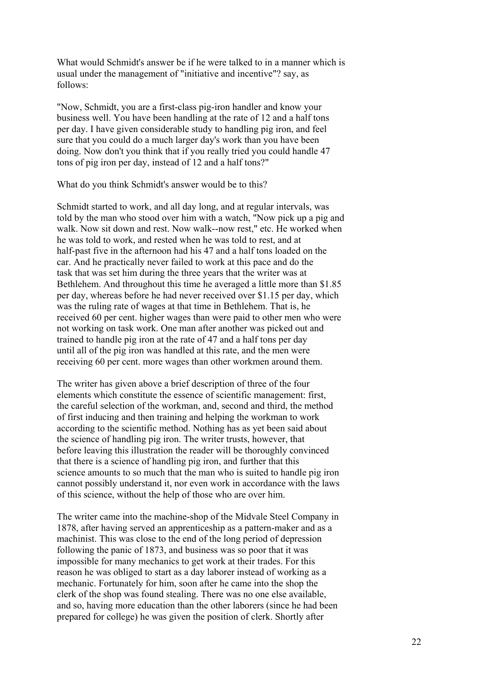What would Schmidt's answer be if he were talked to in a manner which is usual under the management of "initiative and incentive"? say, as follows:

"Now, Schmidt, you are a first-class pig-iron handler and know your business well. You have been handling at the rate of 12 and a half tons per day. I have given considerable study to handling pig iron, and feel sure that you could do a much larger day's work than you have been doing. Now don't you think that if you really tried you could handle 47 tons of pig iron per day, instead of 12 and a half tons?"

What do you think Schmidt's answer would be to this?

Schmidt started to work, and all day long, and at regular intervals, was told by the man who stood over him with a watch, "Now pick up a pig and walk. Now sit down and rest. Now walk--now rest," etc. He worked when he was told to work, and rested when he was told to rest, and at half-past five in the afternoon had his 47 and a half tons loaded on the car. And he practically never failed to work at this pace and do the task that was set him during the three years that the writer was at Bethlehem. And throughout this time he averaged a little more than \$1.85 per day, whereas before he had never received over \$1.15 per day, which was the ruling rate of wages at that time in Bethlehem. That is, he received 60 per cent. higher wages than were paid to other men who were not working on task work. One man after another was picked out and trained to handle pig iron at the rate of 47 and a half tons per day until all of the pig iron was handled at this rate, and the men were receiving 60 per cent. more wages than other workmen around them.

The writer has given above a brief description of three of the four elements which constitute the essence of scientific management: first, the careful selection of the workman, and, second and third, the method of first inducing and then training and helping the workman to work according to the scientific method. Nothing has as yet been said about the science of handling pig iron. The writer trusts, however, that before leaving this illustration the reader will be thoroughly convinced that there is a science of handling pig iron, and further that this science amounts to so much that the man who is suited to handle pig iron cannot possibly understand it, nor even work in accordance with the laws of this science, without the help of those who are over him.

The writer came into the machine-shop of the Midvale Steel Company in 1878, after having served an apprenticeship as a pattern-maker and as a machinist. This was close to the end of the long period of depression following the panic of 1873, and business was so poor that it was impossible for many mechanics to get work at their trades. For this reason he was obliged to start as a day laborer instead of working as a mechanic. Fortunately for him, soon after he came into the shop the clerk of the shop was found stealing. There was no one else available, and so, having more education than the other laborers (since he had been prepared for college) he was given the position of clerk. Shortly after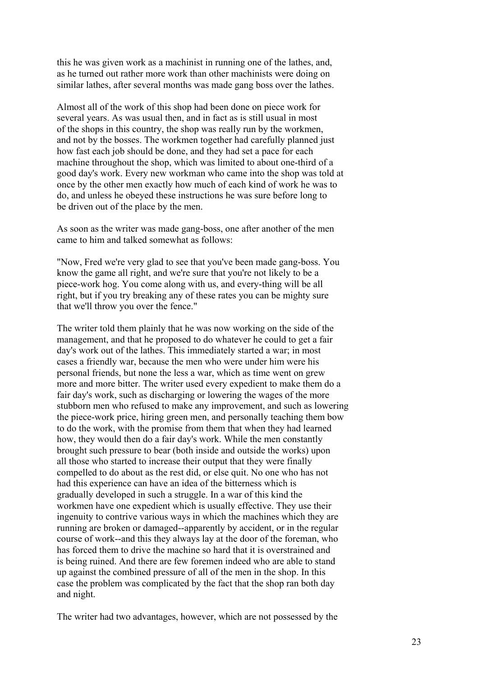this he was given work as a machinist in running one of the lathes, and, as he turned out rather more work than other machinists were doing on similar lathes, after several months was made gang boss over the lathes.

Almost all of the work of this shop had been done on piece work for several years. As was usual then, and in fact as is still usual in most of the shops in this country, the shop was really run by the workmen, and not by the bosses. The workmen together had carefully planned just how fast each job should be done, and they had set a pace for each machine throughout the shop, which was limited to about one-third of a good day's work. Every new workman who came into the shop was told at once by the other men exactly how much of each kind of work he was to do, and unless he obeyed these instructions he was sure before long to be driven out of the place by the men.

As soon as the writer was made gang-boss, one after another of the men came to him and talked somewhat as follows:

"Now, Fred we're very glad to see that you've been made gang-boss. You know the game all right, and we're sure that you're not likely to be a piece-work hog. You come along with us, and every-thing will be all right, but if you try breaking any of these rates you can be mighty sure that we'll throw you over the fence."

The writer told them plainly that he was now working on the side of the management, and that he proposed to do whatever he could to get a fair day's work out of the lathes. This immediately started a war; in most cases a friendly war, because the men who were under him were his personal friends, but none the less a war, which as time went on grew more and more bitter. The writer used every expedient to make them do a fair day's work, such as discharging or lowering the wages of the more stubborn men who refused to make any improvement, and such as lowering the piece-work price, hiring green men, and personally teaching them bow to do the work, with the promise from them that when they had learned how, they would then do a fair day's work. While the men constantly brought such pressure to bear (both inside and outside the works) upon all those who started to increase their output that they were finally compelled to do about as the rest did, or else quit. No one who has not had this experience can have an idea of the bitterness which is gradually developed in such a struggle. In a war of this kind the workmen have one expedient which is usually effective. They use their ingenuity to contrive various ways in which the machines which they are running are broken or damaged--apparently by accident, or in the regular course of work--and this they always lay at the door of the foreman, who has forced them to drive the machine so hard that it is overstrained and is being ruined. And there are few foremen indeed who are able to stand up against the combined pressure of all of the men in the shop. In this case the problem was complicated by the fact that the shop ran both day and night.

The writer had two advantages, however, which are not possessed by the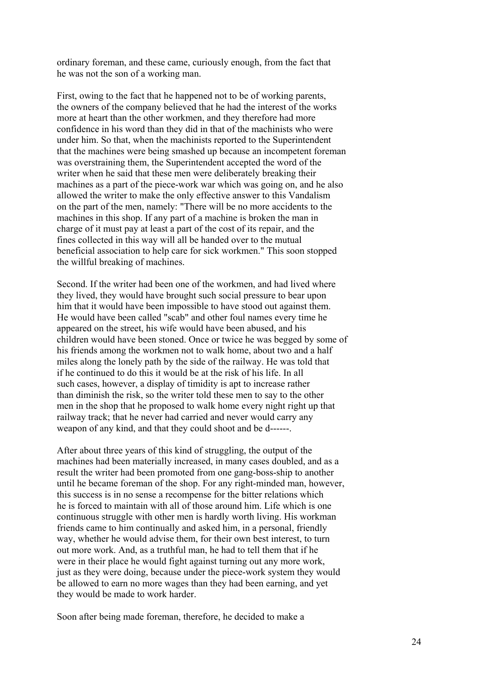ordinary foreman, and these came, curiously enough, from the fact that he was not the son of a working man.

First, owing to the fact that he happened not to be of working parents, the owners of the company believed that he had the interest of the works more at heart than the other workmen, and they therefore had more confidence in his word than they did in that of the machinists who were under him. So that, when the machinists reported to the Superintendent that the machines were being smashed up because an incompetent foreman was overstraining them, the Superintendent accepted the word of the writer when he said that these men were deliberately breaking their machines as a part of the piece-work war which was going on, and he also allowed the writer to make the only effective answer to this Vandalism on the part of the men, namely: "There will be no more accidents to the machines in this shop. If any part of a machine is broken the man in charge of it must pay at least a part of the cost of its repair, and the fines collected in this way will all be handed over to the mutual beneficial association to help care for sick workmen." This soon stopped the willful breaking of machines.

Second. If the writer had been one of the workmen, and had lived where they lived, they would have brought such social pressure to bear upon him that it would have been impossible to have stood out against them. He would have been called "scab" and other foul names every time he appeared on the street, his wife would have been abused, and his children would have been stoned. Once or twice he was begged by some of his friends among the workmen not to walk home, about two and a half miles along the lonely path by the side of the railway. He was told that if he continued to do this it would be at the risk of his life. In all such cases, however, a display of timidity is apt to increase rather than diminish the risk, so the writer told these men to say to the other men in the shop that he proposed to walk home every night right up that railway track; that he never had carried and never would carry any weapon of any kind, and that they could shoot and be d------.

After about three years of this kind of struggling, the output of the machines had been materially increased, in many cases doubled, and as a result the writer had been promoted from one gang-boss-ship to another until he became foreman of the shop. For any right-minded man, however, this success is in no sense a recompense for the bitter relations which he is forced to maintain with all of those around him. Life which is one continuous struggle with other men is hardly worth living. His workman friends came to him continually and asked him, in a personal, friendly way, whether he would advise them, for their own best interest, to turn out more work. And, as a truthful man, he had to tell them that if he were in their place he would fight against turning out any more work, just as they were doing, because under the piece-work system they would be allowed to earn no more wages than they had been earning, and yet they would be made to work harder.

Soon after being made foreman, therefore, he decided to make a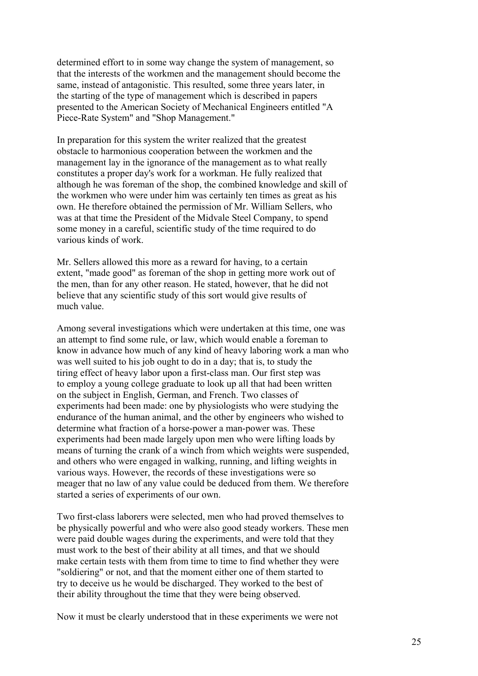determined effort to in some way change the system of management, so that the interests of the workmen and the management should become the same, instead of antagonistic. This resulted, some three years later, in the starting of the type of management which is described in papers presented to the American Society of Mechanical Engineers entitled "A Piece-Rate System" and "Shop Management."

In preparation for this system the writer realized that the greatest obstacle to harmonious cooperation between the workmen and the management lay in the ignorance of the management as to what really constitutes a proper day's work for a workman. He fully realized that although he was foreman of the shop, the combined knowledge and skill of the workmen who were under him was certainly ten times as great as his own. He therefore obtained the permission of Mr. William Sellers, who was at that time the President of the Midvale Steel Company, to spend some money in a careful, scientific study of the time required to do various kinds of work.

Mr. Sellers allowed this more as a reward for having, to a certain extent, "made good" as foreman of the shop in getting more work out of the men, than for any other reason. He stated, however, that he did not believe that any scientific study of this sort would give results of much value.

Among several investigations which were undertaken at this time, one was an attempt to find some rule, or law, which would enable a foreman to know in advance how much of any kind of heavy laboring work a man who was well suited to his job ought to do in a day; that is, to study the tiring effect of heavy labor upon a first-class man. Our first step was to employ a young college graduate to look up all that had been written on the subject in English, German, and French. Two classes of experiments had been made: one by physiologists who were studying the endurance of the human animal, and the other by engineers who wished to determine what fraction of a horse-power a man-power was. These experiments had been made largely upon men who were lifting loads by means of turning the crank of a winch from which weights were suspended, and others who were engaged in walking, running, and lifting weights in various ways. However, the records of these investigations were so meager that no law of any value could be deduced from them. We therefore started a series of experiments of our own.

Two first-class laborers were selected, men who had proved themselves to be physically powerful and who were also good steady workers. These men were paid double wages during the experiments, and were told that they must work to the best of their ability at all times, and that we should make certain tests with them from time to time to find whether they were "soldiering" or not, and that the moment either one of them started to try to deceive us he would be discharged. They worked to the best of their ability throughout the time that they were being observed.

Now it must be clearly understood that in these experiments we were not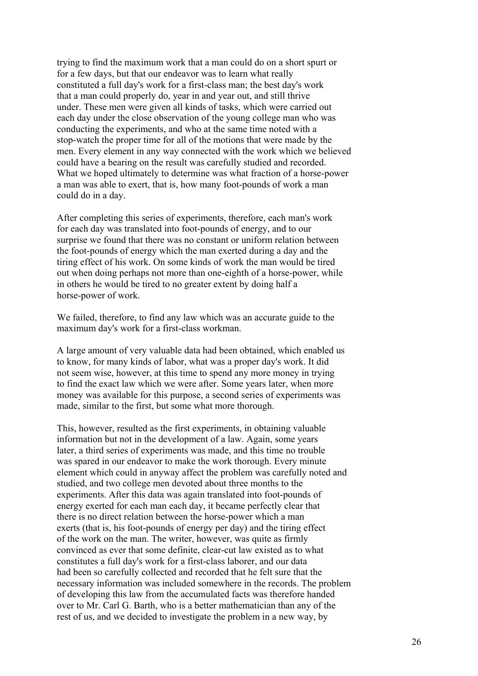trying to find the maximum work that a man could do on a short spurt or for a few days, but that our endeavor was to learn what really constituted a full day's work for a first-class man; the best day's work that a man could properly do, year in and year out, and still thrive under. These men were given all kinds of tasks, which were carried out each day under the close observation of the young college man who was conducting the experiments, and who at the same time noted with a stop-watch the proper time for all of the motions that were made by the men. Every element in any way connected with the work which we believed could have a bearing on the result was carefully studied and recorded. What we hoped ultimately to determine was what fraction of a horse-power a man was able to exert, that is, how many foot-pounds of work a man could do in a day.

After completing this series of experiments, therefore, each man's work for each day was translated into foot-pounds of energy, and to our surprise we found that there was no constant or uniform relation between the foot-pounds of energy which the man exerted during a day and the tiring effect of his work. On some kinds of work the man would be tired out when doing perhaps not more than one-eighth of a horse-power, while in others he would be tired to no greater extent by doing half a horse-power of work.

We failed, therefore, to find any law which was an accurate guide to the maximum day's work for a first-class workman.

A large amount of very valuable data had been obtained, which enabled us to know, for many kinds of labor, what was a proper day's work. It did not seem wise, however, at this time to spend any more money in trying to find the exact law which we were after. Some years later, when more money was available for this purpose, a second series of experiments was made, similar to the first, but some what more thorough.

This, however, resulted as the first experiments, in obtaining valuable information but not in the development of a law. Again, some years later, a third series of experiments was made, and this time no trouble was spared in our endeavor to make the work thorough. Every minute element which could in anyway affect the problem was carefully noted and studied, and two college men devoted about three months to the experiments. After this data was again translated into foot-pounds of energy exerted for each man each day, it became perfectly clear that there is no direct relation between the horse-power which a man exerts (that is, his foot-pounds of energy per day) and the tiring effect of the work on the man. The writer, however, was quite as firmly convinced as ever that some definite, clear-cut law existed as to what constitutes a full day's work for a first-class laborer, and our data had been so carefully collected and recorded that he felt sure that the necessary information was included somewhere in the records. The problem of developing this law from the accumulated facts was therefore handed over to Mr. Carl G. Barth, who is a better mathematician than any of the rest of us, and we decided to investigate the problem in a new way, by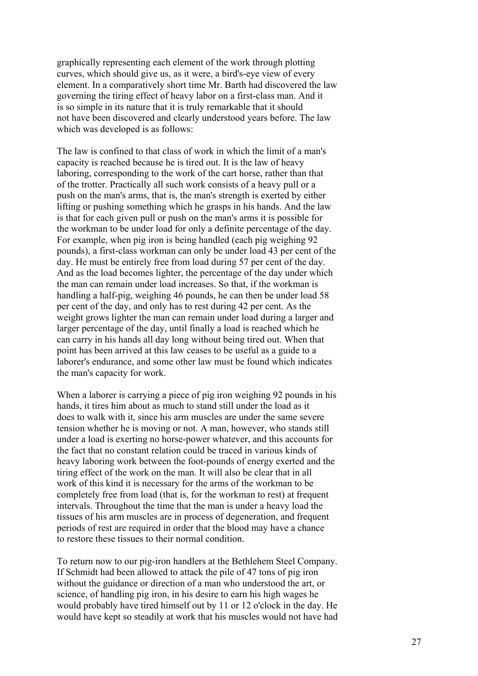graphically representing each element of the work through plotting curves, which should give us, as it were, a bird's-eye view of every element. In a comparatively short time Mr. Barth had discovered the law governing the tiring effect of heavy labor on a first-class man. And it is so simple in its nature that it is truly remarkable that it should not have been discovered and clearly understood years before. The law which was developed is as follows:

The law is confined to that class of work in which the limit of a man's capacity is reached because he is tired out. It is the law of heavy laboring, corresponding to the work of the cart horse, rather than that of the trotter. Practically all such work consists of a heavy pull or a push on the man's arms, that is, the man's strength is exerted by either lifting or pushing something which he grasps in his hands. And the law is that for each given pull or push on the man's arms it is possible for the workman to be under load for only a definite percentage of the day. For example, when pig iron is being handled (each pig weighing 92 pounds), a first-class workman can only be under load 43 per cent of the day. He must be entirely free from load during 57 per cent of the day. And as the load becomes lighter, the percentage of the day under which the man can remain under load increases. So that, if the workman is handling a half-pig, weighing 46 pounds, he can then be under load 58 per cent of the day, and only has to rest during 42 per cent. As the weight grows lighter the man can remain under load during a larger and larger percentage of the day, until finally a load is reached which he can carry in his hands all day long without being tired out. When that point has been arrived at this law ceases to be useful as a guide to a laborer's endurance, and some other law must be found which indicates the man's capacity for work.

When a laborer is carrying a piece of pig iron weighing 92 pounds in his hands, it tires him about as much to stand still under the load as it does to walk with it, since his arm muscles are under the same severe tension whether he is moving or not. A man, however, who stands still under a load is exerting no horse-power whatever, and this accounts for the fact that no constant relation could be traced in various kinds of heavy laboring work between the foot-pounds of energy exerted and the tiring effect of the work on the man. It will also be clear that in all work of this kind it is necessary for the arms of the workman to be completely free from load (that is, for the workman to rest) at frequent intervals. Throughout the time that the man is under a heavy load the tissues of his arm muscles are in process of degeneration, and frequent periods of rest are required in order that the blood may have a chance to restore these tissues to their normal condition.

To return now to our pig-iron handlers at the Bethlehem Steel Company. If Schmidt had been allowed to attack the pile of 47 tons of pig iron without the guidance or direction of a man who understood the art, or science, of handling pig iron, in his desire to earn his high wages he would probably have tired himself out by 11 or 12 o'clock in the day. He would have kept so steadily at work that his muscles would not have had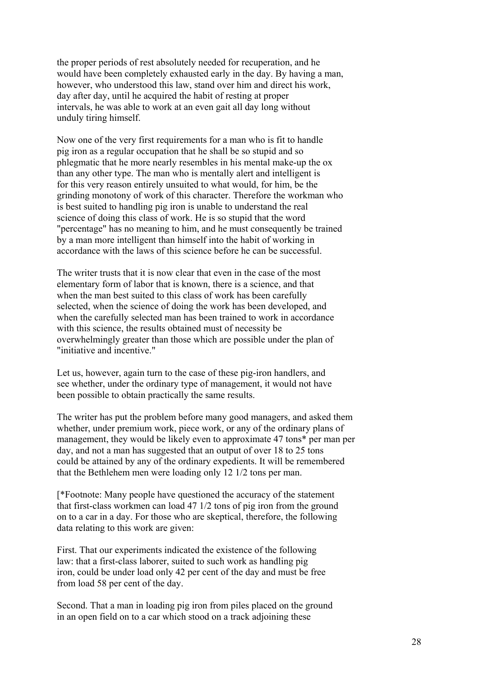the proper periods of rest absolutely needed for recuperation, and he would have been completely exhausted early in the day. By having a man, however, who understood this law, stand over him and direct his work, day after day, until he acquired the habit of resting at proper intervals, he was able to work at an even gait all day long without unduly tiring himself.

Now one of the very first requirements for a man who is fit to handle pig iron as a regular occupation that he shall be so stupid and so phlegmatic that he more nearly resembles in his mental make-up the ox than any other type. The man who is mentally alert and intelligent is for this very reason entirely unsuited to what would, for him, be the grinding monotony of work of this character. Therefore the workman who is best suited to handling pig iron is unable to understand the real science of doing this class of work. He is so stupid that the word "percentage" has no meaning to him, and he must consequently be trained by a man more intelligent than himself into the habit of working in accordance with the laws of this science before he can be successful.

The writer trusts that it is now clear that even in the case of the most elementary form of labor that is known, there is a science, and that when the man best suited to this class of work has been carefully selected, when the science of doing the work has been developed, and when the carefully selected man has been trained to work in accordance with this science, the results obtained must of necessity be overwhelmingly greater than those which are possible under the plan of "initiative and incentive."

Let us, however, again turn to the case of these pig-iron handlers, and see whether, under the ordinary type of management, it would not have been possible to obtain practically the same results.

The writer has put the problem before many good managers, and asked them whether, under premium work, piece work, or any of the ordinary plans of management, they would be likely even to approximate 47 tons\* per man per day, and not a man has suggested that an output of over 18 to 25 tons could be attained by any of the ordinary expedients. It will be remembered that the Bethlehem men were loading only 12 1/2 tons per man.

[\*Footnote: Many people have questioned the accuracy of the statement that first-class workmen can load 47 1/2 tons of pig iron from the ground on to a car in a day. For those who are skeptical, therefore, the following data relating to this work are given:

First. That our experiments indicated the existence of the following law: that a first-class laborer, suited to such work as handling pig iron, could be under load only 42 per cent of the day and must be free from load 58 per cent of the day.

Second. That a man in loading pig iron from piles placed on the ground in an open field on to a car which stood on a track adjoining these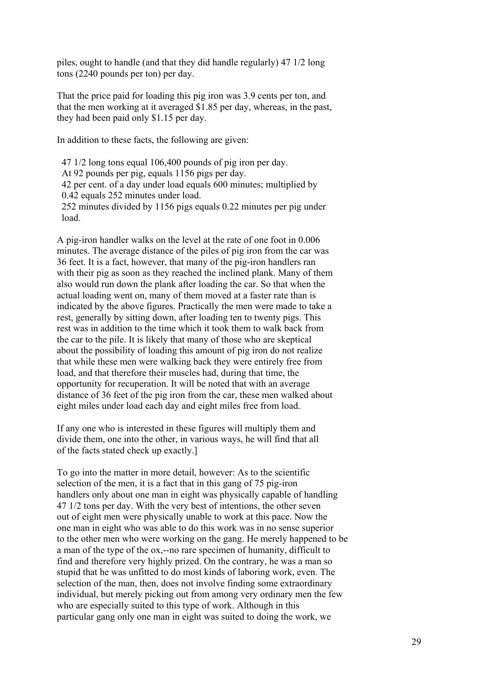piles, ought to handle (and that they did handle regularly) 47 1/2 long tons (2240 pounds per ton) per day.

That the price paid for loading this pig iron was 3.9 cents per ton, and that the men working at it averaged \$1.85 per day, whereas, in the past, they had been paid only \$1.15 per day.

In addition to these facts, the following are given:

 47 1/2 long tons equal 106,400 pounds of pig iron per day. At 92 pounds per pig, equals 1156 pigs per day. 42 per cent. of a day under load equals 600 minutes; multiplied by 0.42 equals 252 minutes under load. 252 minutes divided by 1156 pigs equals 0.22 minutes per pig under

 load. A pig-iron handler walks on the level at the rate of one foot in 0.006

minutes. The average distance of the piles of pig iron from the car was 36 feet. It is a fact, however, that many of the pig-iron handlers ran with their pig as soon as they reached the inclined plank. Many of them also would run down the plank after loading the car. So that when the actual loading went on, many of them moved at a faster rate than is indicated by the above figures. Practically the men were made to take a rest, generally by sitting down, after loading ten to twenty pigs. This rest was in addition to the time which it took them to walk back from the car to the pile. It is likely that many of those who are skeptical about the possibility of loading this amount of pig iron do not realize that while these men were walking back they were entirely free from load, and that therefore their muscles had, during that time, the opportunity for recuperation. It will be noted that with an average distance of 36 feet of the pig iron from the car, these men walked about eight miles under load each day and eight miles free from load.

If any one who is interested in these figures will multiply them and divide them, one into the other, in various ways, he will find that all of the facts stated check up exactly.]

To go into the matter in more detail, however: As to the scientific selection of the men, it is a fact that in this gang of 75 pig-iron handlers only about one man in eight was physically capable of handling 47 1/2 tons per day. With the very best of intentions, the other seven out of eight men were physically unable to work at this pace. Now the one man in eight who was able to do this work was in no sense superior to the other men who were working on the gang. He merely happened to be a man of the type of the ox,--no rare specimen of humanity, difficult to find and therefore very highly prized. On the contrary, he was a man so stupid that he was unfitted to do most kinds of laboring work, even. The selection of the man, then, does not involve finding some extraordinary individual, but merely picking out from among very ordinary men the few who are especially suited to this type of work. Although in this particular gang only one man in eight was suited to doing the work, we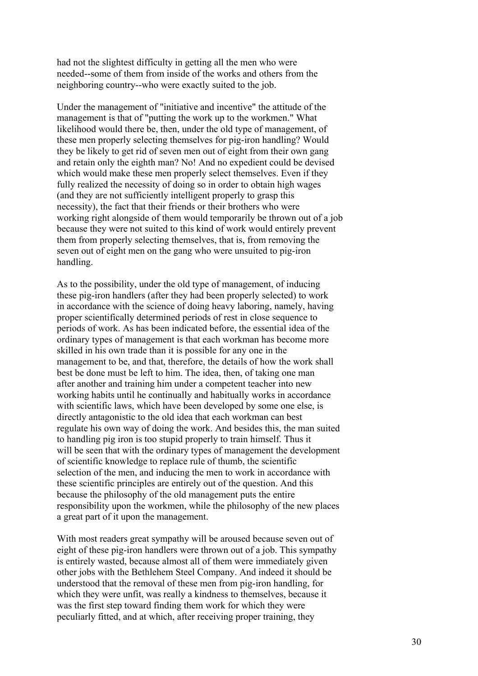had not the slightest difficulty in getting all the men who were needed--some of them from inside of the works and others from the neighboring country--who were exactly suited to the job.

Under the management of "initiative and incentive" the attitude of the management is that of "putting the work up to the workmen." What likelihood would there be, then, under the old type of management, of these men properly selecting themselves for pig-iron handling? Would they be likely to get rid of seven men out of eight from their own gang and retain only the eighth man? No! And no expedient could be devised which would make these men properly select themselves. Even if they fully realized the necessity of doing so in order to obtain high wages (and they are not sufficiently intelligent properly to grasp this necessity), the fact that their friends or their brothers who were working right alongside of them would temporarily be thrown out of a job because they were not suited to this kind of work would entirely prevent them from properly selecting themselves, that is, from removing the seven out of eight men on the gang who were unsuited to pig-iron handling.

As to the possibility, under the old type of management, of inducing these pig-iron handlers (after they had been properly selected) to work in accordance with the science of doing heavy laboring, namely, having proper scientifically determined periods of rest in close sequence to periods of work. As has been indicated before, the essential idea of the ordinary types of management is that each workman has become more skilled in his own trade than it is possible for any one in the management to be, and that, therefore, the details of how the work shall best be done must be left to him. The idea, then, of taking one man after another and training him under a competent teacher into new working habits until he continually and habitually works in accordance with scientific laws, which have been developed by some one else, is directly antagonistic to the old idea that each workman can best regulate his own way of doing the work. And besides this, the man suited to handling pig iron is too stupid properly to train himself. Thus it will be seen that with the ordinary types of management the development of scientific knowledge to replace rule of thumb, the scientific selection of the men, and inducing the men to work in accordance with these scientific principles are entirely out of the question. And this because the philosophy of the old management puts the entire responsibility upon the workmen, while the philosophy of the new places a great part of it upon the management.

With most readers great sympathy will be aroused because seven out of eight of these pig-iron handlers were thrown out of a job. This sympathy is entirely wasted, because almost all of them were immediately given other jobs with the Bethlehem Steel Company. And indeed it should be understood that the removal of these men from pig-iron handling, for which they were unfit, was really a kindness to themselves, because it was the first step toward finding them work for which they were peculiarly fitted, and at which, after receiving proper training, they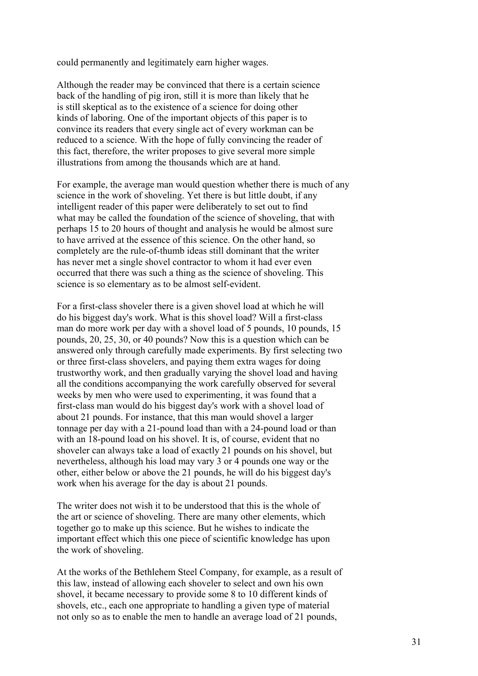could permanently and legitimately earn higher wages.

Although the reader may be convinced that there is a certain science back of the handling of pig iron, still it is more than likely that he is still skeptical as to the existence of a science for doing other kinds of laboring. One of the important objects of this paper is to convince its readers that every single act of every workman can be reduced to a science. With the hope of fully convincing the reader of this fact, therefore, the writer proposes to give several more simple illustrations from among the thousands which are at hand.

For example, the average man would question whether there is much of any science in the work of shoveling. Yet there is but little doubt, if any intelligent reader of this paper were deliberately to set out to find what may be called the foundation of the science of shoveling, that with perhaps 15 to 20 hours of thought and analysis he would be almost sure to have arrived at the essence of this science. On the other hand, so completely are the rule-of-thumb ideas still dominant that the writer has never met a single shovel contractor to whom it had ever even occurred that there was such a thing as the science of shoveling. This science is so elementary as to be almost self-evident.

For a first-class shoveler there is a given shovel load at which he will do his biggest day's work. What is this shovel load? Will a first-class man do more work per day with a shovel load of 5 pounds, 10 pounds, 15 pounds, 20, 25, 30, or 40 pounds? Now this is a question which can be answered only through carefully made experiments. By first selecting two or three first-class shovelers, and paying them extra wages for doing trustworthy work, and then gradually varying the shovel load and having all the conditions accompanying the work carefully observed for several weeks by men who were used to experimenting, it was found that a first-class man would do his biggest day's work with a shovel load of about 21 pounds. For instance, that this man would shovel a larger tonnage per day with a 21-pound load than with a 24-pound load or than with an 18-pound load on his shovel. It is, of course, evident that no shoveler can always take a load of exactly 21 pounds on his shovel, but nevertheless, although his load may vary 3 or 4 pounds one way or the other, either below or above the 21 pounds, he will do his biggest day's work when his average for the day is about 21 pounds.

The writer does not wish it to be understood that this is the whole of the art or science of shoveling. There are many other elements, which together go to make up this science. But he wishes to indicate the important effect which this one piece of scientific knowledge has upon the work of shoveling.

At the works of the Bethlehem Steel Company, for example, as a result of this law, instead of allowing each shoveler to select and own his own shovel, it became necessary to provide some 8 to 10 different kinds of shovels, etc., each one appropriate to handling a given type of material not only so as to enable the men to handle an average load of 21 pounds,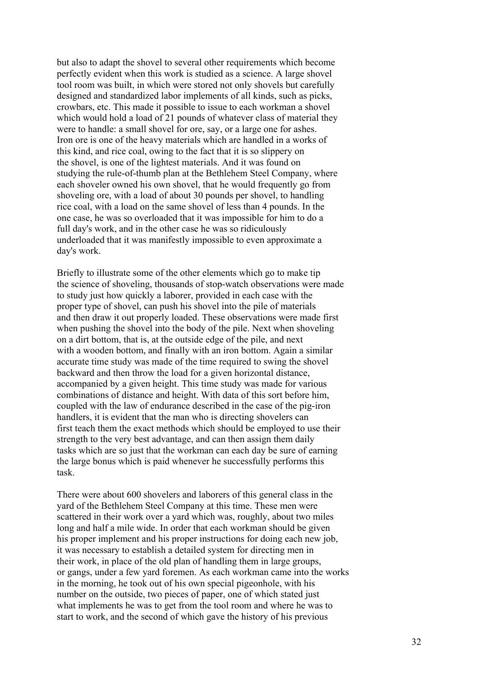but also to adapt the shovel to several other requirements which become perfectly evident when this work is studied as a science. A large shovel tool room was built, in which were stored not only shovels but carefully designed and standardized labor implements of all kinds, such as picks, crowbars, etc. This made it possible to issue to each workman a shovel which would hold a load of 21 pounds of whatever class of material they were to handle: a small shovel for ore, say, or a large one for ashes. Iron ore is one of the heavy materials which are handled in a works of this kind, and rice coal, owing to the fact that it is so slippery on the shovel, is one of the lightest materials. And it was found on studying the rule-of-thumb plan at the Bethlehem Steel Company, where each shoveler owned his own shovel, that he would frequently go from shoveling ore, with a load of about 30 pounds per shovel, to handling rice coal, with a load on the same shovel of less than 4 pounds. In the one case, he was so overloaded that it was impossible for him to do a full day's work, and in the other case he was so ridiculously underloaded that it was manifestly impossible to even approximate a day's work.

Briefly to illustrate some of the other elements which go to make tip the science of shoveling, thousands of stop-watch observations were made to study just how quickly a laborer, provided in each case with the proper type of shovel, can push his shovel into the pile of materials and then draw it out properly loaded. These observations were made first when pushing the shovel into the body of the pile. Next when shoveling on a dirt bottom, that is, at the outside edge of the pile, and next with a wooden bottom, and finally with an iron bottom. Again a similar accurate time study was made of the time required to swing the shovel backward and then throw the load for a given horizontal distance, accompanied by a given height. This time study was made for various combinations of distance and height. With data of this sort before him, coupled with the law of endurance described in the case of the pig-iron handlers, it is evident that the man who is directing shovelers can first teach them the exact methods which should be employed to use their strength to the very best advantage, and can then assign them daily tasks which are so just that the workman can each day be sure of earning the large bonus which is paid whenever he successfully performs this task.

There were about 600 shovelers and laborers of this general class in the yard of the Bethlehem Steel Company at this time. These men were scattered in their work over a yard which was, roughly, about two miles long and half a mile wide. In order that each workman should be given his proper implement and his proper instructions for doing each new job, it was necessary to establish a detailed system for directing men in their work, in place of the old plan of handling them in large groups, or gangs, under a few yard foremen. As each workman came into the works in the morning, he took out of his own special pigeonhole, with his number on the outside, two pieces of paper, one of which stated just what implements he was to get from the tool room and where he was to start to work, and the second of which gave the history of his previous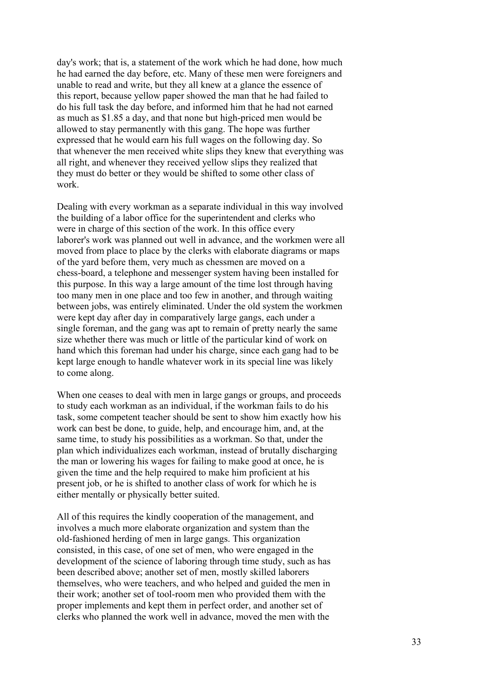day's work; that is, a statement of the work which he had done, how much he had earned the day before, etc. Many of these men were foreigners and unable to read and write, but they all knew at a glance the essence of this report, because yellow paper showed the man that he had failed to do his full task the day before, and informed him that he had not earned as much as \$1.85 a day, and that none but high-priced men would be allowed to stay permanently with this gang. The hope was further expressed that he would earn his full wages on the following day. So that whenever the men received white slips they knew that everything was all right, and whenever they received yellow slips they realized that they must do better or they would be shifted to some other class of work.

Dealing with every workman as a separate individual in this way involved the building of a labor office for the superintendent and clerks who were in charge of this section of the work. In this office every laborer's work was planned out well in advance, and the workmen were all moved from place to place by the clerks with elaborate diagrams or maps of the yard before them, very much as chessmen are moved on a chess-board, a telephone and messenger system having been installed for this purpose. In this way a large amount of the time lost through having too many men in one place and too few in another, and through waiting between jobs, was entirely eliminated. Under the old system the workmen were kept day after day in comparatively large gangs, each under a single foreman, and the gang was apt to remain of pretty nearly the same size whether there was much or little of the particular kind of work on hand which this foreman had under his charge, since each gang had to be kept large enough to handle whatever work in its special line was likely to come along.

When one ceases to deal with men in large gangs or groups, and proceeds to study each workman as an individual, if the workman fails to do his task, some competent teacher should be sent to show him exactly how his work can best be done, to guide, help, and encourage him, and, at the same time, to study his possibilities as a workman. So that, under the plan which individualizes each workman, instead of brutally discharging the man or lowering his wages for failing to make good at once, he is given the time and the help required to make him proficient at his present job, or he is shifted to another class of work for which he is either mentally or physically better suited.

All of this requires the kindly cooperation of the management, and involves a much more elaborate organization and system than the old-fashioned herding of men in large gangs. This organization consisted, in this case, of one set of men, who were engaged in the development of the science of laboring through time study, such as has been described above; another set of men, mostly skilled laborers themselves, who were teachers, and who helped and guided the men in their work; another set of tool-room men who provided them with the proper implements and kept them in perfect order, and another set of clerks who planned the work well in advance, moved the men with the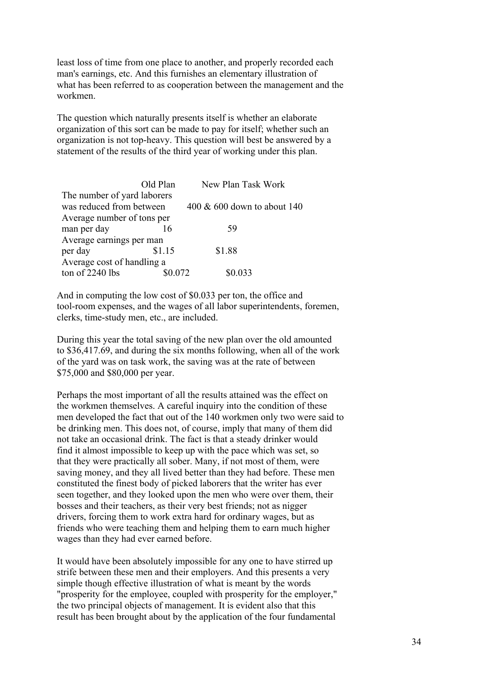least loss of time from one place to another, and properly recorded each man's earnings, etc. And this furnishes an elementary illustration of what has been referred to as cooperation between the management and the workmen.

The question which naturally presents itself is whether an elaborate organization of this sort can be made to pay for itself; whether such an organization is not top-heavy. This question will best be answered by a statement of the results of the third year of working under this plan.

|                             | Old Plan | New Plan Task Work             |
|-----------------------------|----------|--------------------------------|
| The number of yard laborers |          |                                |
| was reduced from between    |          | $400 \& 600$ down to about 140 |
| Average number of tons per  |          |                                |
| man per day                 | 16       | 59                             |
| Average earnings per man    |          |                                |
| per day                     | \$1.15   | \$1.88                         |
| Average cost of handling a  |          |                                |
| ton of 2240 lbs             | 0.072    | 0.033                          |

And in computing the low cost of \$0.033 per ton, the office and tool-room expenses, and the wages of all labor superintendents, foremen, clerks, time-study men, etc., are included.

During this year the total saving of the new plan over the old amounted to \$36,417.69, and during the six months following, when all of the work of the yard was on task work, the saving was at the rate of between \$75,000 and \$80,000 per year.

Perhaps the most important of all the results attained was the effect on the workmen themselves. A careful inquiry into the condition of these men developed the fact that out of the 140 workmen only two were said to be drinking men. This does not, of course, imply that many of them did not take an occasional drink. The fact is that a steady drinker would find it almost impossible to keep up with the pace which was set, so that they were practically all sober. Many, if not most of them, were saving money, and they all lived better than they had before. These men constituted the finest body of picked laborers that the writer has ever seen together, and they looked upon the men who were over them, their bosses and their teachers, as their very best friends; not as nigger drivers, forcing them to work extra hard for ordinary wages, but as friends who were teaching them and helping them to earn much higher wages than they had ever earned before.

It would have been absolutely impossible for any one to have stirred up strife between these men and their employers. And this presents a very simple though effective illustration of what is meant by the words "prosperity for the employee, coupled with prosperity for the employer," the two principal objects of management. It is evident also that this result has been brought about by the application of the four fundamental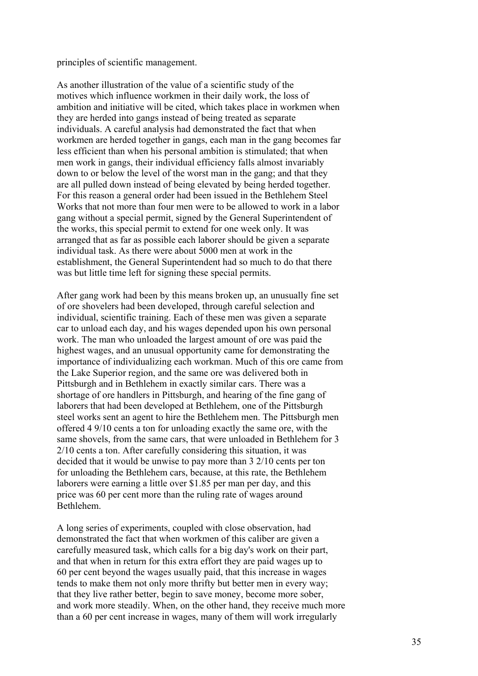principles of scientific management.

As another illustration of the value of a scientific study of the motives which influence workmen in their daily work, the loss of ambition and initiative will be cited, which takes place in workmen when they are herded into gangs instead of being treated as separate individuals. A careful analysis had demonstrated the fact that when workmen are herded together in gangs, each man in the gang becomes far less efficient than when his personal ambition is stimulated; that when men work in gangs, their individual efficiency falls almost invariably down to or below the level of the worst man in the gang; and that they are all pulled down instead of being elevated by being herded together. For this reason a general order had been issued in the Bethlehem Steel Works that not more than four men were to be allowed to work in a labor gang without a special permit, signed by the General Superintendent of the works, this special permit to extend for one week only. It was arranged that as far as possible each laborer should be given a separate individual task. As there were about 5000 men at work in the establishment, the General Superintendent had so much to do that there was but little time left for signing these special permits.

After gang work had been by this means broken up, an unusually fine set of ore shovelers had been developed, through careful selection and individual, scientific training. Each of these men was given a separate car to unload each day, and his wages depended upon his own personal work. The man who unloaded the largest amount of ore was paid the highest wages, and an unusual opportunity came for demonstrating the importance of individualizing each workman. Much of this ore came from the Lake Superior region, and the same ore was delivered both in Pittsburgh and in Bethlehem in exactly similar cars. There was a shortage of ore handlers in Pittsburgh, and hearing of the fine gang of laborers that had been developed at Bethlehem, one of the Pittsburgh steel works sent an agent to hire the Bethlehem men. The Pittsburgh men offered 4 9/10 cents a ton for unloading exactly the same ore, with the same shovels, from the same cars, that were unloaded in Bethlehem for 3 2/10 cents a ton. After carefully considering this situation, it was decided that it would be unwise to pay more than 3 2/10 cents per ton for unloading the Bethlehem cars, because, at this rate, the Bethlehem laborers were earning a little over \$1.85 per man per day, and this price was 60 per cent more than the ruling rate of wages around Bethlehem.

A long series of experiments, coupled with close observation, had demonstrated the fact that when workmen of this caliber are given a carefully measured task, which calls for a big day's work on their part, and that when in return for this extra effort they are paid wages up to 60 per cent beyond the wages usually paid, that this increase in wages tends to make them not only more thrifty but better men in every way; that they live rather better, begin to save money, become more sober, and work more steadily. When, on the other hand, they receive much more than a 60 per cent increase in wages, many of them will work irregularly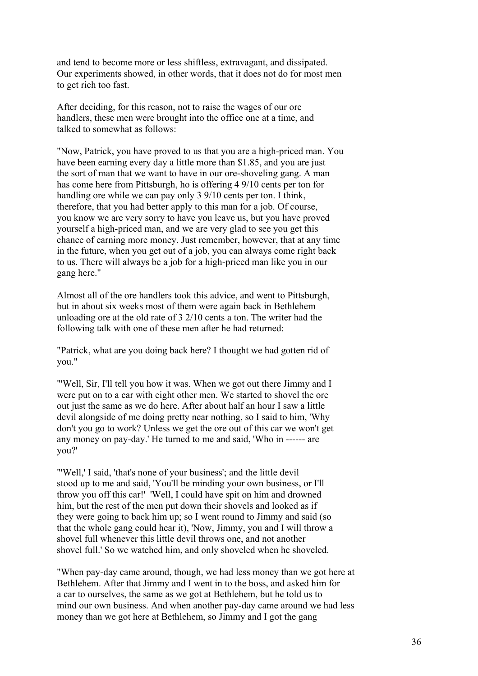and tend to become more or less shiftless, extravagant, and dissipated. Our experiments showed, in other words, that it does not do for most men to get rich too fast.

After deciding, for this reason, not to raise the wages of our ore handlers, these men were brought into the office one at a time, and talked to somewhat as follows:

"Now, Patrick, you have proved to us that you are a high-priced man. You have been earning every day a little more than \$1.85, and you are just the sort of man that we want to have in our ore-shoveling gang. A man has come here from Pittsburgh, ho is offering 4 9/10 cents per ton for handling ore while we can pay only 3 9/10 cents per ton. I think, therefore, that you had better apply to this man for a job. Of course, you know we are very sorry to have you leave us, but you have proved yourself a high-priced man, and we are very glad to see you get this chance of earning more money. Just remember, however, that at any time in the future, when you get out of a job, you can always come right back to us. There will always be a job for a high-priced man like you in our gang here."

Almost all of the ore handlers took this advice, and went to Pittsburgh, but in about six weeks most of them were again back in Bethlehem unloading ore at the old rate of 3 2/10 cents a ton. The writer had the following talk with one of these men after he had returned:

"Patrick, what are you doing back here? I thought we had gotten rid of you."

"'Well, Sir, I'll tell you how it was. When we got out there Jimmy and I were put on to a car with eight other men. We started to shovel the ore out just the same as we do here. After about half an hour I saw a little devil alongside of me doing pretty near nothing, so I said to him, 'Why don't you go to work? Unless we get the ore out of this car we won't get any money on pay-day.' He turned to me and said, 'Who in ------ are you?'

"'Well,' I said, 'that's none of your business'; and the little devil stood up to me and said, 'You'll be minding your own business, or I'll throw you off this car!' 'Well, I could have spit on him and drowned him, but the rest of the men put down their shovels and looked as if they were going to back him up; so I went round to Jimmy and said (so that the whole gang could hear it), 'Now, Jimmy, you and I will throw a shovel full whenever this little devil throws one, and not another shovel full.' So we watched him, and only shoveled when he shoveled.

"When pay-day came around, though, we had less money than we got here at Bethlehem. After that Jimmy and I went in to the boss, and asked him for a car to ourselves, the same as we got at Bethlehem, but he told us to mind our own business. And when another pay-day came around we had less money than we got here at Bethlehem, so Jimmy and I got the gang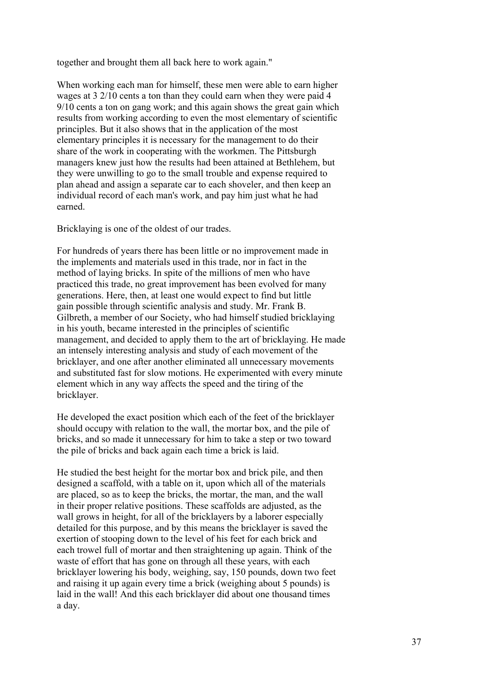together and brought them all back here to work again."

When working each man for himself, these men were able to earn higher wages at 3 2/10 cents a ton than they could earn when they were paid 4 9/10 cents a ton on gang work; and this again shows the great gain which results from working according to even the most elementary of scientific principles. But it also shows that in the application of the most elementary principles it is necessary for the management to do their share of the work in cooperating with the workmen. The Pittsburgh managers knew just how the results had been attained at Bethlehem, but they were unwilling to go to the small trouble and expense required to plan ahead and assign a separate car to each shoveler, and then keep an individual record of each man's work, and pay him just what he had earned.

Bricklaying is one of the oldest of our trades.

For hundreds of years there has been little or no improvement made in the implements and materials used in this trade, nor in fact in the method of laying bricks. In spite of the millions of men who have practiced this trade, no great improvement has been evolved for many generations. Here, then, at least one would expect to find but little gain possible through scientific analysis and study. Mr. Frank B. Gilbreth, a member of our Society, who had himself studied bricklaying in his youth, became interested in the principles of scientific management, and decided to apply them to the art of bricklaying. He made an intensely interesting analysis and study of each movement of the bricklayer, and one after another eliminated all unnecessary movements and substituted fast for slow motions. He experimented with every minute element which in any way affects the speed and the tiring of the bricklayer.

He developed the exact position which each of the feet of the bricklayer should occupy with relation to the wall, the mortar box, and the pile of bricks, and so made it unnecessary for him to take a step or two toward the pile of bricks and back again each time a brick is laid.

He studied the best height for the mortar box and brick pile, and then designed a scaffold, with a table on it, upon which all of the materials are placed, so as to keep the bricks, the mortar, the man, and the wall in their proper relative positions. These scaffolds are adjusted, as the wall grows in height, for all of the bricklayers by a laborer especially detailed for this purpose, and by this means the bricklayer is saved the exertion of stooping down to the level of his feet for each brick and each trowel full of mortar and then straightening up again. Think of the waste of effort that has gone on through all these years, with each bricklayer lowering his body, weighing, say, 150 pounds, down two feet and raising it up again every time a brick (weighing about 5 pounds) is laid in the wall! And this each bricklayer did about one thousand times a day.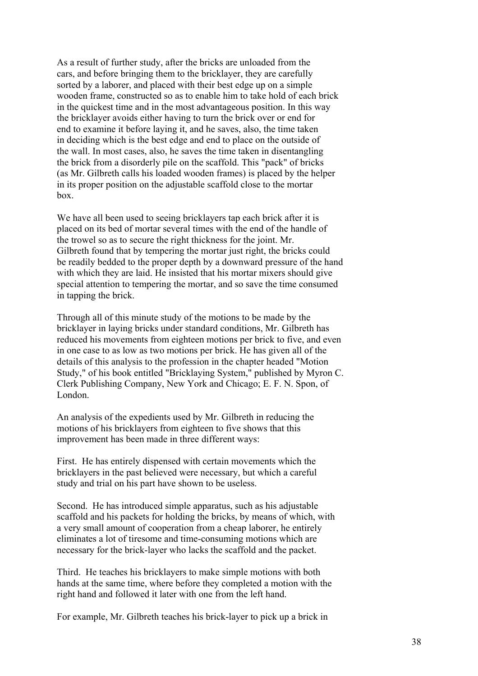As a result of further study, after the bricks are unloaded from the cars, and before bringing them to the bricklayer, they are carefully sorted by a laborer, and placed with their best edge up on a simple wooden frame, constructed so as to enable him to take hold of each brick in the quickest time and in the most advantageous position. In this way the bricklayer avoids either having to turn the brick over or end for end to examine it before laying it, and he saves, also, the time taken in deciding which is the best edge and end to place on the outside of the wall. In most cases, also, he saves the time taken in disentangling the brick from a disorderly pile on the scaffold. This "pack" of bricks (as Mr. Gilbreth calls his loaded wooden frames) is placed by the helper in its proper position on the adjustable scaffold close to the mortar box.

We have all been used to seeing bricklayers tap each brick after it is placed on its bed of mortar several times with the end of the handle of the trowel so as to secure the right thickness for the joint. Mr. Gilbreth found that by tempering the mortar just right, the bricks could be readily bedded to the proper depth by a downward pressure of the hand with which they are laid. He insisted that his mortar mixers should give special attention to tempering the mortar, and so save the time consumed in tapping the brick.

Through all of this minute study of the motions to be made by the bricklayer in laying bricks under standard conditions, Mr. Gilbreth has reduced his movements from eighteen motions per brick to five, and even in one case to as low as two motions per brick. He has given all of the details of this analysis to the profession in the chapter headed "Motion Study," of his book entitled "Bricklaying System," published by Myron C. Clerk Publishing Company, New York and Chicago; E. F. N. Spon, of London.

An analysis of the expedients used by Mr. Gilbreth in reducing the motions of his bricklayers from eighteen to five shows that this improvement has been made in three different ways:

First. He has entirely dispensed with certain movements which the bricklayers in the past believed were necessary, but which a careful study and trial on his part have shown to be useless.

Second. He has introduced simple apparatus, such as his adjustable scaffold and his packets for holding the bricks, by means of which, with a very small amount of cooperation from a cheap laborer, he entirely eliminates a lot of tiresome and time-consuming motions which are necessary for the brick-layer who lacks the scaffold and the packet.

Third. He teaches his bricklayers to make simple motions with both hands at the same time, where before they completed a motion with the right hand and followed it later with one from the left hand.

For example, Mr. Gilbreth teaches his brick-layer to pick up a brick in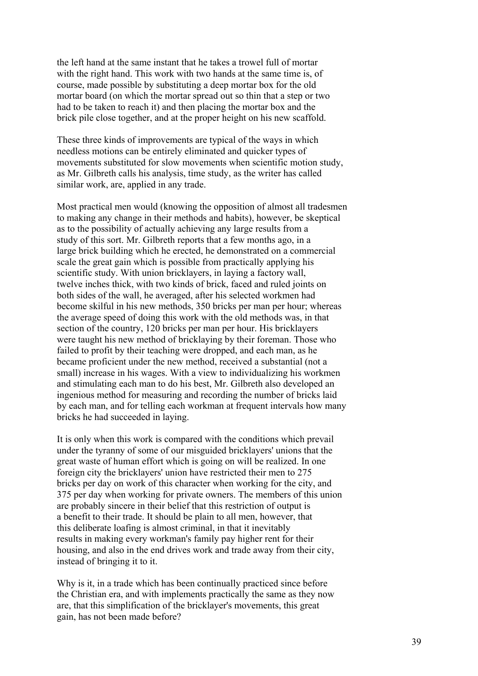the left hand at the same instant that he takes a trowel full of mortar with the right hand. This work with two hands at the same time is, of course, made possible by substituting a deep mortar box for the old mortar board (on which the mortar spread out so thin that a step or two had to be taken to reach it) and then placing the mortar box and the brick pile close together, and at the proper height on his new scaffold.

These three kinds of improvements are typical of the ways in which needless motions can be entirely eliminated and quicker types of movements substituted for slow movements when scientific motion study, as Mr. Gilbreth calls his analysis, time study, as the writer has called similar work, are, applied in any trade.

Most practical men would (knowing the opposition of almost all tradesmen to making any change in their methods and habits), however, be skeptical as to the possibility of actually achieving any large results from a study of this sort. Mr. Gilbreth reports that a few months ago, in a large brick building which he erected, he demonstrated on a commercial scale the great gain which is possible from practically applying his scientific study. With union bricklayers, in laying a factory wall, twelve inches thick, with two kinds of brick, faced and ruled joints on both sides of the wall, he averaged, after his selected workmen had become skilful in his new methods, 350 bricks per man per hour; whereas the average speed of doing this work with the old methods was, in that section of the country, 120 bricks per man per hour. His bricklayers were taught his new method of bricklaying by their foreman. Those who failed to profit by their teaching were dropped, and each man, as he became proficient under the new method, received a substantial (not a small) increase in his wages. With a view to individualizing his workmen and stimulating each man to do his best, Mr. Gilbreth also developed an ingenious method for measuring and recording the number of bricks laid by each man, and for telling each workman at frequent intervals how many bricks he had succeeded in laying.

It is only when this work is compared with the conditions which prevail under the tyranny of some of our misguided bricklayers' unions that the great waste of human effort which is going on will be realized. In one foreign city the bricklayers' union have restricted their men to 275 bricks per day on work of this character when working for the city, and 375 per day when working for private owners. The members of this union are probably sincere in their belief that this restriction of output is a benefit to their trade. It should be plain to all men, however, that this deliberate loafing is almost criminal, in that it inevitably results in making every workman's family pay higher rent for their housing, and also in the end drives work and trade away from their city, instead of bringing it to it.

Why is it, in a trade which has been continually practiced since before the Christian era, and with implements practically the same as they now are, that this simplification of the bricklayer's movements, this great gain, has not been made before?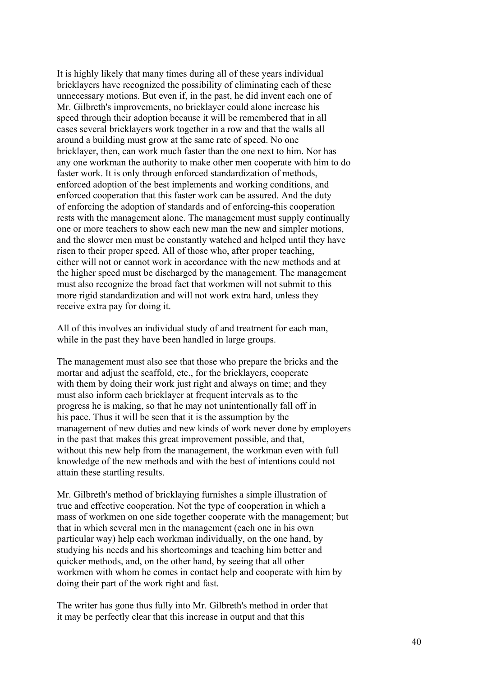It is highly likely that many times during all of these years individual bricklayers have recognized the possibility of eliminating each of these unnecessary motions. But even if, in the past, he did invent each one of Mr. Gilbreth's improvements, no bricklayer could alone increase his speed through their adoption because it will be remembered that in all cases several bricklayers work together in a row and that the walls all around a building must grow at the same rate of speed. No one bricklayer, then, can work much faster than the one next to him. Nor has any one workman the authority to make other men cooperate with him to do faster work. It is only through enforced standardization of methods, enforced adoption of the best implements and working conditions, and enforced cooperation that this faster work can be assured. And the duty of enforcing the adoption of standards and of enforcing-this cooperation rests with the management alone. The management must supply continually one or more teachers to show each new man the new and simpler motions, and the slower men must be constantly watched and helped until they have risen to their proper speed. All of those who, after proper teaching, either will not or cannot work in accordance with the new methods and at the higher speed must be discharged by the management. The management must also recognize the broad fact that workmen will not submit to this more rigid standardization and will not work extra hard, unless they receive extra pay for doing it.

All of this involves an individual study of and treatment for each man, while in the past they have been handled in large groups.

The management must also see that those who prepare the bricks and the mortar and adjust the scaffold, etc., for the bricklayers, cooperate with them by doing their work just right and always on time; and they must also inform each bricklayer at frequent intervals as to the progress he is making, so that he may not unintentionally fall off in his pace. Thus it will be seen that it is the assumption by the management of new duties and new kinds of work never done by employers in the past that makes this great improvement possible, and that, without this new help from the management, the workman even with full knowledge of the new methods and with the best of intentions could not attain these startling results.

Mr. Gilbreth's method of bricklaying furnishes a simple illustration of true and effective cooperation. Not the type of cooperation in which a mass of workmen on one side together cooperate with the management; but that in which several men in the management (each one in his own particular way) help each workman individually, on the one hand, by studying his needs and his shortcomings and teaching him better and quicker methods, and, on the other hand, by seeing that all other workmen with whom he comes in contact help and cooperate with him by doing their part of the work right and fast.

The writer has gone thus fully into Mr. Gilbreth's method in order that it may be perfectly clear that this increase in output and that this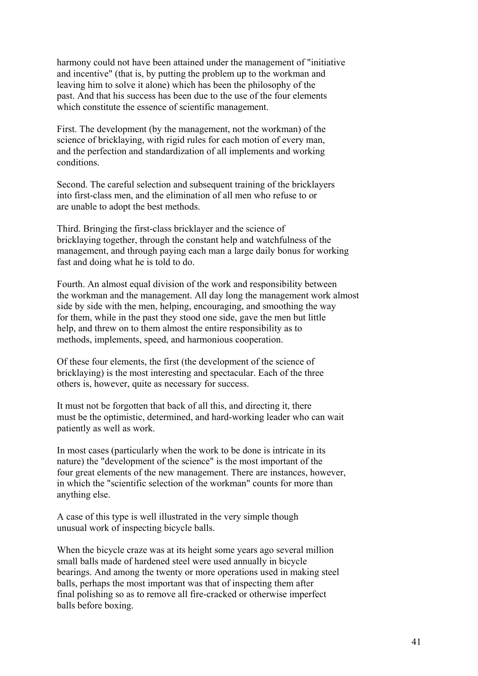harmony could not have been attained under the management of "initiative and incentive" (that is, by putting the problem up to the workman and leaving him to solve it alone) which has been the philosophy of the past. And that his success has been due to the use of the four elements which constitute the essence of scientific management.

First. The development (by the management, not the workman) of the science of bricklaying, with rigid rules for each motion of every man, and the perfection and standardization of all implements and working conditions.

Second. The careful selection and subsequent training of the bricklayers into first-class men, and the elimination of all men who refuse to or are unable to adopt the best methods.

Third. Bringing the first-class bricklayer and the science of bricklaying together, through the constant help and watchfulness of the management, and through paying each man a large daily bonus for working fast and doing what he is told to do.

Fourth. An almost equal division of the work and responsibility between the workman and the management. All day long the management work almost side by side with the men, helping, encouraging, and smoothing the way for them, while in the past they stood one side, gave the men but little help, and threw on to them almost the entire responsibility as to methods, implements, speed, and harmonious cooperation.

Of these four elements, the first (the development of the science of bricklaying) is the most interesting and spectacular. Each of the three others is, however, quite as necessary for success.

It must not be forgotten that back of all this, and directing it, there must be the optimistic, determined, and hard-working leader who can wait patiently as well as work.

In most cases (particularly when the work to be done is intricate in its nature) the "development of the science" is the most important of the four great elements of the new management. There are instances, however, in which the "scientific selection of the workman" counts for more than anything else.

A case of this type is well illustrated in the very simple though unusual work of inspecting bicycle balls.

When the bicycle craze was at its height some years ago several million small balls made of hardened steel were used annually in bicycle bearings. And among the twenty or more operations used in making steel balls, perhaps the most important was that of inspecting them after final polishing so as to remove all fire-cracked or otherwise imperfect balls before boxing.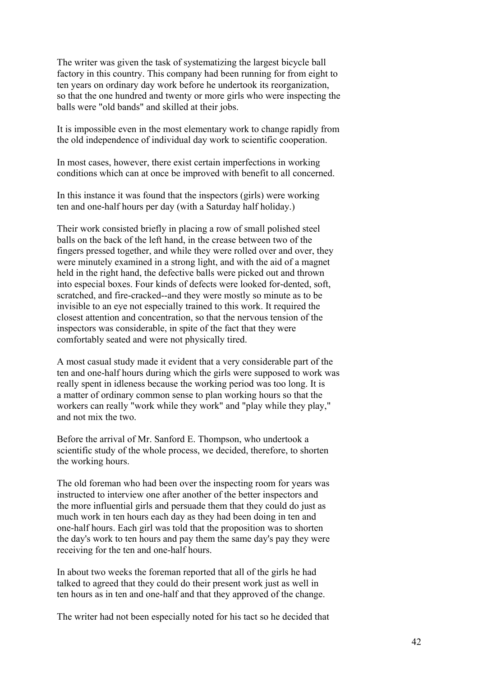The writer was given the task of systematizing the largest bicycle ball factory in this country. This company had been running for from eight to ten years on ordinary day work before he undertook its reorganization, so that the one hundred and twenty or more girls who were inspecting the balls were "old bands" and skilled at their jobs.

It is impossible even in the most elementary work to change rapidly from the old independence of individual day work to scientific cooperation.

In most cases, however, there exist certain imperfections in working conditions which can at once be improved with benefit to all concerned.

In this instance it was found that the inspectors (girls) were working ten and one-half hours per day (with a Saturday half holiday.)

Their work consisted briefly in placing a row of small polished steel balls on the back of the left hand, in the crease between two of the fingers pressed together, and while they were rolled over and over, they were minutely examined in a strong light, and with the aid of a magnet held in the right hand, the defective balls were picked out and thrown into especial boxes. Four kinds of defects were looked for-dented, soft, scratched, and fire-cracked--and they were mostly so minute as to be invisible to an eye not especially trained to this work. It required the closest attention and concentration, so that the nervous tension of the inspectors was considerable, in spite of the fact that they were comfortably seated and were not physically tired.

A most casual study made it evident that a very considerable part of the ten and one-half hours during which the girls were supposed to work was really spent in idleness because the working period was too long. It is a matter of ordinary common sense to plan working hours so that the workers can really "work while they work" and "play while they play," and not mix the two.

Before the arrival of Mr. Sanford E. Thompson, who undertook a scientific study of the whole process, we decided, therefore, to shorten the working hours.

The old foreman who had been over the inspecting room for years was instructed to interview one after another of the better inspectors and the more influential girls and persuade them that they could do just as much work in ten hours each day as they had been doing in ten and one-half hours. Each girl was told that the proposition was to shorten the day's work to ten hours and pay them the same day's pay they were receiving for the ten and one-half hours.

In about two weeks the foreman reported that all of the girls he had talked to agreed that they could do their present work just as well in ten hours as in ten and one-half and that they approved of the change.

The writer had not been especially noted for his tact so he decided that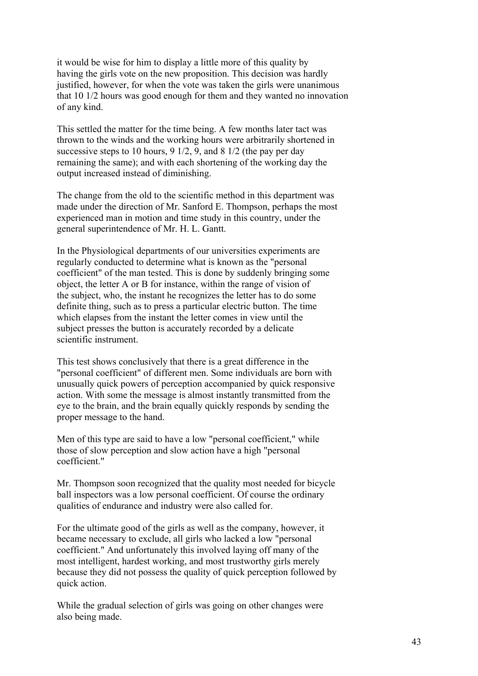it would be wise for him to display a little more of this quality by having the girls vote on the new proposition. This decision was hardly justified, however, for when the vote was taken the girls were unanimous that 10 1/2 hours was good enough for them and they wanted no innovation of any kind.

This settled the matter for the time being. A few months later tact was thrown to the winds and the working hours were arbitrarily shortened in successive steps to 10 hours, 9 1/2, 9, and 8 1/2 (the pay per day remaining the same); and with each shortening of the working day the output increased instead of diminishing.

The change from the old to the scientific method in this department was made under the direction of Mr. Sanford E. Thompson, perhaps the most experienced man in motion and time study in this country, under the general superintendence of Mr. H. L. Gantt.

In the Physiological departments of our universities experiments are regularly conducted to determine what is known as the "personal coefficient" of the man tested. This is done by suddenly bringing some object, the letter A or B for instance, within the range of vision of the subject, who, the instant he recognizes the letter has to do some definite thing, such as to press a particular electric button. The time which elapses from the instant the letter comes in view until the subject presses the button is accurately recorded by a delicate scientific instrument.

This test shows conclusively that there is a great difference in the "personal coefficient" of different men. Some individuals are born with unusually quick powers of perception accompanied by quick responsive action. With some the message is almost instantly transmitted from the eye to the brain, and the brain equally quickly responds by sending the proper message to the hand.

Men of this type are said to have a low "personal coefficient," while those of slow perception and slow action have a high "personal coefficient."

Mr. Thompson soon recognized that the quality most needed for bicycle ball inspectors was a low personal coefficient. Of course the ordinary qualities of endurance and industry were also called for.

For the ultimate good of the girls as well as the company, however, it became necessary to exclude, all girls who lacked a low "personal coefficient." And unfortunately this involved laying off many of the most intelligent, hardest working, and most trustworthy girls merely because they did not possess the quality of quick perception followed by quick action.

While the gradual selection of girls was going on other changes were also being made.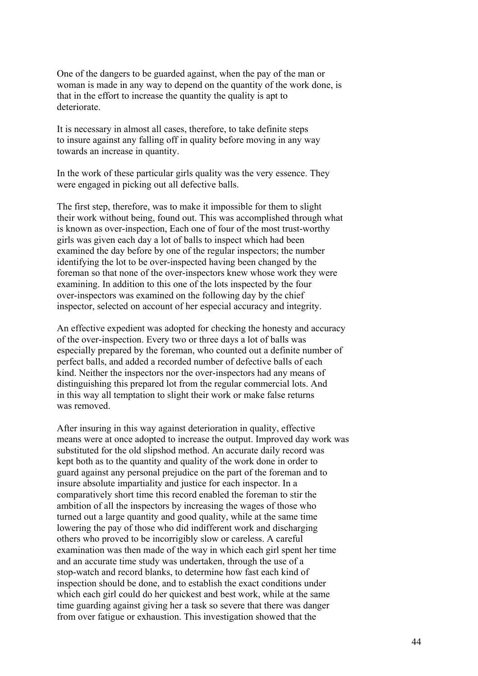One of the dangers to be guarded against, when the pay of the man or woman is made in any way to depend on the quantity of the work done, is that in the effort to increase the quantity the quality is apt to deteriorate.

It is necessary in almost all cases, therefore, to take definite steps to insure against any falling off in quality before moving in any way towards an increase in quantity.

In the work of these particular girls quality was the very essence. They were engaged in picking out all defective balls.

The first step, therefore, was to make it impossible for them to slight their work without being, found out. This was accomplished through what is known as over-inspection, Each one of four of the most trust-worthy girls was given each day a lot of balls to inspect which had been examined the day before by one of the regular inspectors; the number identifying the lot to be over-inspected having been changed by the foreman so that none of the over-inspectors knew whose work they were examining. In addition to this one of the lots inspected by the four over-inspectors was examined on the following day by the chief inspector, selected on account of her especial accuracy and integrity.

An effective expedient was adopted for checking the honesty and accuracy of the over-inspection. Every two or three days a lot of balls was especially prepared by the foreman, who counted out a definite number of perfect balls, and added a recorded number of defective balls of each kind. Neither the inspectors nor the over-inspectors had any means of distinguishing this prepared lot from the regular commercial lots. And in this way all temptation to slight their work or make false returns was removed.

After insuring in this way against deterioration in quality, effective means were at once adopted to increase the output. Improved day work was substituted for the old slipshod method. An accurate daily record was kept both as to the quantity and quality of the work done in order to guard against any personal prejudice on the part of the foreman and to insure absolute impartiality and justice for each inspector. In a comparatively short time this record enabled the foreman to stir the ambition of all the inspectors by increasing the wages of those who turned out a large quantity and good quality, while at the same time lowering the pay of those who did indifferent work and discharging others who proved to be incorrigibly slow or careless. A careful examination was then made of the way in which each girl spent her time and an accurate time study was undertaken, through the use of a stop-watch and record blanks, to determine how fast each kind of inspection should be done, and to establish the exact conditions under which each girl could do her quickest and best work, while at the same time guarding against giving her a task so severe that there was danger from over fatigue or exhaustion. This investigation showed that the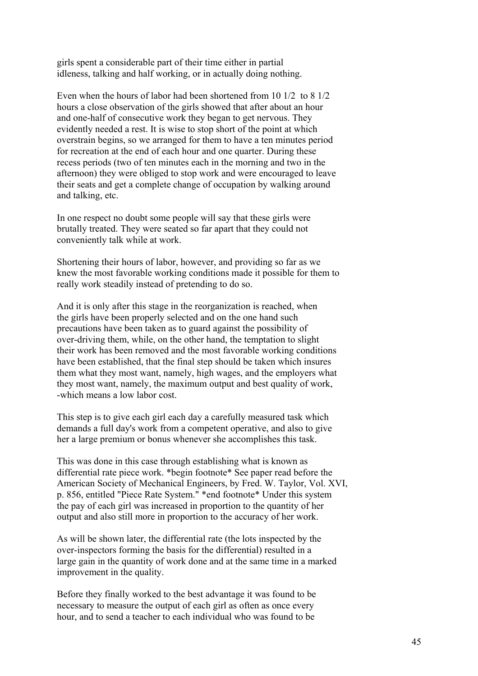girls spent a considerable part of their time either in partial idleness, talking and half working, or in actually doing nothing.

Even when the hours of labor had been shortened from 10 1/2 to 8 1/2 hours a close observation of the girls showed that after about an hour and one-half of consecutive work they began to get nervous. They evidently needed a rest. It is wise to stop short of the point at which overstrain begins, so we arranged for them to have a ten minutes period for recreation at the end of each hour and one quarter. During these recess periods (two of ten minutes each in the morning and two in the afternoon) they were obliged to stop work and were encouraged to leave their seats and get a complete change of occupation by walking around and talking, etc.

In one respect no doubt some people will say that these girls were brutally treated. They were seated so far apart that they could not conveniently talk while at work.

Shortening their hours of labor, however, and providing so far as we knew the most favorable working conditions made it possible for them to really work steadily instead of pretending to do so.

And it is only after this stage in the reorganization is reached, when the girls have been properly selected and on the one hand such precautions have been taken as to guard against the possibility of over-driving them, while, on the other hand, the temptation to slight their work has been removed and the most favorable working conditions have been established, that the final step should be taken which insures them what they most want, namely, high wages, and the employers what they most want, namely, the maximum output and best quality of work, -which means a low labor cost.

This step is to give each girl each day a carefully measured task which demands a full day's work from a competent operative, and also to give her a large premium or bonus whenever she accomplishes this task.

This was done in this case through establishing what is known as differential rate piece work. \*begin footnote\* See paper read before the American Society of Mechanical Engineers, by Fred. W. Taylor, Vol. XVI, p. 856, entitled "Piece Rate System." \*end footnote\* Under this system the pay of each girl was increased in proportion to the quantity of her output and also still more in proportion to the accuracy of her work.

As will be shown later, the differential rate (the lots inspected by the over-inspectors forming the basis for the differential) resulted in a large gain in the quantity of work done and at the same time in a marked improvement in the quality.

Before they finally worked to the best advantage it was found to be necessary to measure the output of each girl as often as once every hour, and to send a teacher to each individual who was found to be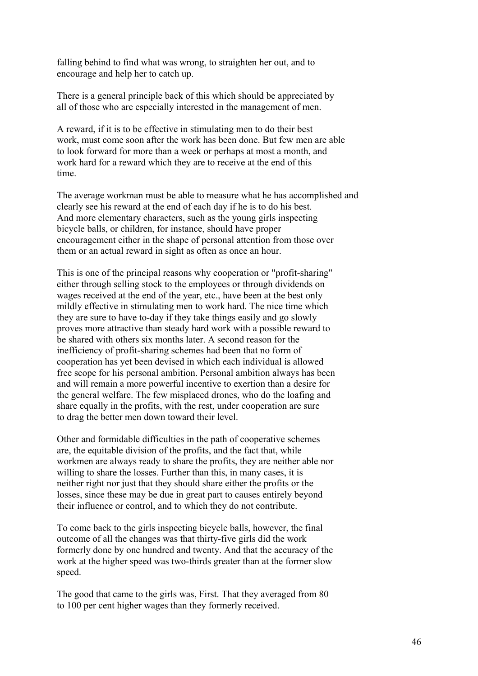falling behind to find what was wrong, to straighten her out, and to encourage and help her to catch up.

There is a general principle back of this which should be appreciated by all of those who are especially interested in the management of men.

A reward, if it is to be effective in stimulating men to do their best work, must come soon after the work has been done. But few men are able to look forward for more than a week or perhaps at most a month, and work hard for a reward which they are to receive at the end of this time.

The average workman must be able to measure what he has accomplished and clearly see his reward at the end of each day if he is to do his best. And more elementary characters, such as the young girls inspecting bicycle balls, or children, for instance, should have proper encouragement either in the shape of personal attention from those over them or an actual reward in sight as often as once an hour.

This is one of the principal reasons why cooperation or "profit-sharing" either through selling stock to the employees or through dividends on wages received at the end of the year, etc., have been at the best only mildly effective in stimulating men to work hard. The nice time which they are sure to have to-day if they take things easily and go slowly proves more attractive than steady hard work with a possible reward to be shared with others six months later. A second reason for the inefficiency of profit-sharing schemes had been that no form of cooperation has yet been devised in which each individual is allowed free scope for his personal ambition. Personal ambition always has been and will remain a more powerful incentive to exertion than a desire for the general welfare. The few misplaced drones, who do the loafing and share equally in the profits, with the rest, under cooperation are sure to drag the better men down toward their level.

Other and formidable difficulties in the path of cooperative schemes are, the equitable division of the profits, and the fact that, while workmen are always ready to share the profits, they are neither able nor willing to share the losses. Further than this, in many cases, it is neither right nor just that they should share either the profits or the losses, since these may be due in great part to causes entirely beyond their influence or control, and to which they do not contribute.

To come back to the girls inspecting bicycle balls, however, the final outcome of all the changes was that thirty-five girls did the work formerly done by one hundred and twenty. And that the accuracy of the work at the higher speed was two-thirds greater than at the former slow speed.

The good that came to the girls was, First. That they averaged from 80 to 100 per cent higher wages than they formerly received.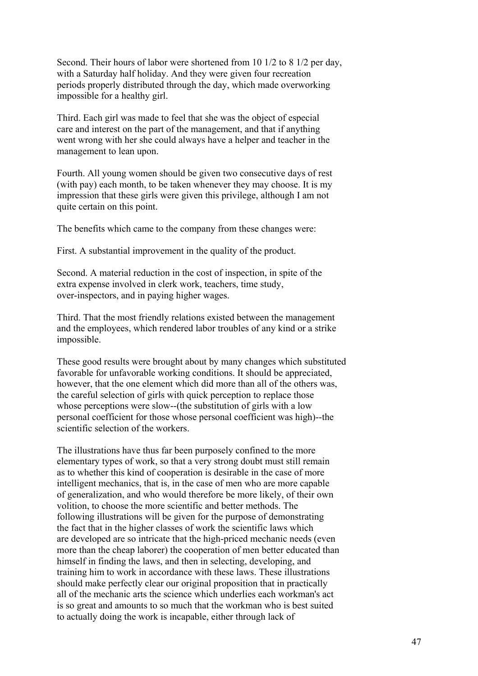Second. Their hours of labor were shortened from 10 1/2 to 8 1/2 per day, with a Saturday half holiday. And they were given four recreation periods properly distributed through the day, which made overworking impossible for a healthy girl.

Third. Each girl was made to feel that she was the object of especial care and interest on the part of the management, and that if anything went wrong with her she could always have a helper and teacher in the management to lean upon.

Fourth. All young women should be given two consecutive days of rest (with pay) each month, to be taken whenever they may choose. It is my impression that these girls were given this privilege, although I am not quite certain on this point.

The benefits which came to the company from these changes were:

First. A substantial improvement in the quality of the product.

Second. A material reduction in the cost of inspection, in spite of the extra expense involved in clerk work, teachers, time study, over-inspectors, and in paying higher wages.

Third. That the most friendly relations existed between the management and the employees, which rendered labor troubles of any kind or a strike impossible.

These good results were brought about by many changes which substituted favorable for unfavorable working conditions. It should be appreciated, however, that the one element which did more than all of the others was, the careful selection of girls with quick perception to replace those whose perceptions were slow--(the substitution of girls with a low personal coefficient for those whose personal coefficient was high)--the scientific selection of the workers.

The illustrations have thus far been purposely confined to the more elementary types of work, so that a very strong doubt must still remain as to whether this kind of cooperation is desirable in the case of more intelligent mechanics, that is, in the case of men who are more capable of generalization, and who would therefore be more likely, of their own volition, to choose the more scientific and better methods. The following illustrations will be given for the purpose of demonstrating the fact that in the higher classes of work the scientific laws which are developed are so intricate that the high-priced mechanic needs (even more than the cheap laborer) the cooperation of men better educated than himself in finding the laws, and then in selecting, developing, and training him to work in accordance with these laws. These illustrations should make perfectly clear our original proposition that in practically all of the mechanic arts the science which underlies each workman's act is so great and amounts to so much that the workman who is best suited to actually doing the work is incapable, either through lack of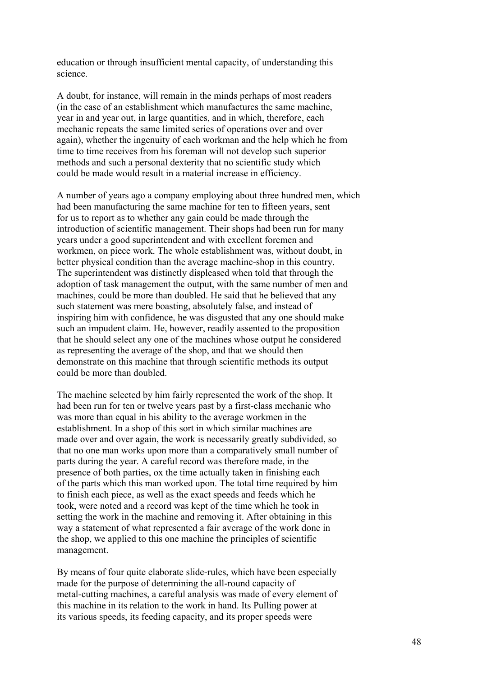education or through insufficient mental capacity, of understanding this science.

A doubt, for instance, will remain in the minds perhaps of most readers (in the case of an establishment which manufactures the same machine, year in and year out, in large quantities, and in which, therefore, each mechanic repeats the same limited series of operations over and over again), whether the ingenuity of each workman and the help which he from time to time receives from his foreman will not develop such superior methods and such a personal dexterity that no scientific study which could be made would result in a material increase in efficiency.

A number of years ago a company employing about three hundred men, which had been manufacturing the same machine for ten to fifteen years, sent for us to report as to whether any gain could be made through the introduction of scientific management. Their shops had been run for many years under a good superintendent and with excellent foremen and workmen, on piece work. The whole establishment was, without doubt, in better physical condition than the average machine-shop in this country. The superintendent was distinctly displeased when told that through the adoption of task management the output, with the same number of men and machines, could be more than doubled. He said that he believed that any such statement was mere boasting, absolutely false, and instead of inspiring him with confidence, he was disgusted that any one should make such an impudent claim. He, however, readily assented to the proposition that he should select any one of the machines whose output he considered as representing the average of the shop, and that we should then demonstrate on this machine that through scientific methods its output could be more than doubled.

The machine selected by him fairly represented the work of the shop. It had been run for ten or twelve years past by a first-class mechanic who was more than equal in his ability to the average workmen in the establishment. In a shop of this sort in which similar machines are made over and over again, the work is necessarily greatly subdivided, so that no one man works upon more than a comparatively small number of parts during the year. A careful record was therefore made, in the presence of both parties, ox the time actually taken in finishing each of the parts which this man worked upon. The total time required by him to finish each piece, as well as the exact speeds and feeds which he took, were noted and a record was kept of the time which he took in setting the work in the machine and removing it. After obtaining in this way a statement of what represented a fair average of the work done in the shop, we applied to this one machine the principles of scientific management.

By means of four quite elaborate slide-rules, which have been especially made for the purpose of determining the all-round capacity of metal-cutting machines, a careful analysis was made of every element of this machine in its relation to the work in hand. Its Pulling power at its various speeds, its feeding capacity, and its proper speeds were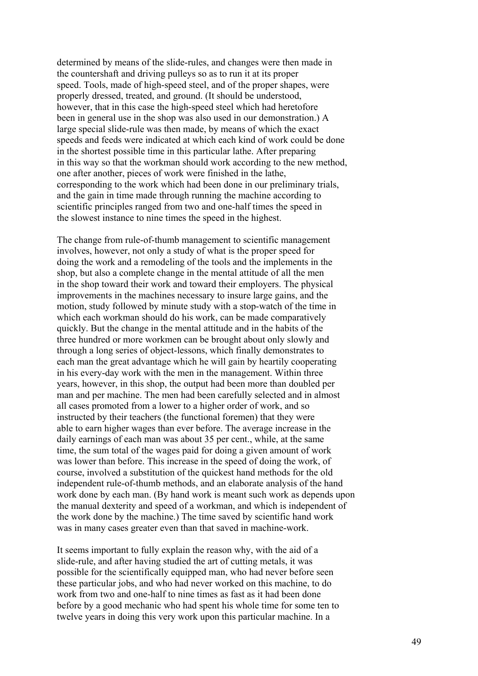determined by means of the slide-rules, and changes were then made in the countershaft and driving pulleys so as to run it at its proper speed. Tools, made of high-speed steel, and of the proper shapes, were properly dressed, treated, and ground. (It should be understood, however, that in this case the high-speed steel which had heretofore been in general use in the shop was also used in our demonstration.) A large special slide-rule was then made, by means of which the exact speeds and feeds were indicated at which each kind of work could be done in the shortest possible time in this particular lathe. After preparing in this way so that the workman should work according to the new method, one after another, pieces of work were finished in the lathe, corresponding to the work which had been done in our preliminary trials, and the gain in time made through running the machine according to scientific principles ranged from two and one-half times the speed in the slowest instance to nine times the speed in the highest.

The change from rule-of-thumb management to scientific management involves, however, not only a study of what is the proper speed for doing the work and a remodeling of the tools and the implements in the shop, but also a complete change in the mental attitude of all the men in the shop toward their work and toward their employers. The physical improvements in the machines necessary to insure large gains, and the motion, study followed by minute study with a stop-watch of the time in which each workman should do his work, can be made comparatively quickly. But the change in the mental attitude and in the habits of the three hundred or more workmen can be brought about only slowly and through a long series of object-lessons, which finally demonstrates to each man the great advantage which he will gain by heartily cooperating in his every-day work with the men in the management. Within three years, however, in this shop, the output had been more than doubled per man and per machine. The men had been carefully selected and in almost all cases promoted from a lower to a higher order of work, and so instructed by their teachers (the functional foremen) that they were able to earn higher wages than ever before. The average increase in the daily earnings of each man was about 35 per cent., while, at the same time, the sum total of the wages paid for doing a given amount of work was lower than before. This increase in the speed of doing the work, of course, involved a substitution of the quickest hand methods for the old independent rule-of-thumb methods, and an elaborate analysis of the hand work done by each man. (By hand work is meant such work as depends upon the manual dexterity and speed of a workman, and which is independent of the work done by the machine.) The time saved by scientific hand work was in many cases greater even than that saved in machine-work.

It seems important to fully explain the reason why, with the aid of a slide-rule, and after having studied the art of cutting metals, it was possible for the scientifically equipped man, who had never before seen these particular jobs, and who had never worked on this machine, to do work from two and one-half to nine times as fast as it had been done before by a good mechanic who had spent his whole time for some ten to twelve years in doing this very work upon this particular machine. In a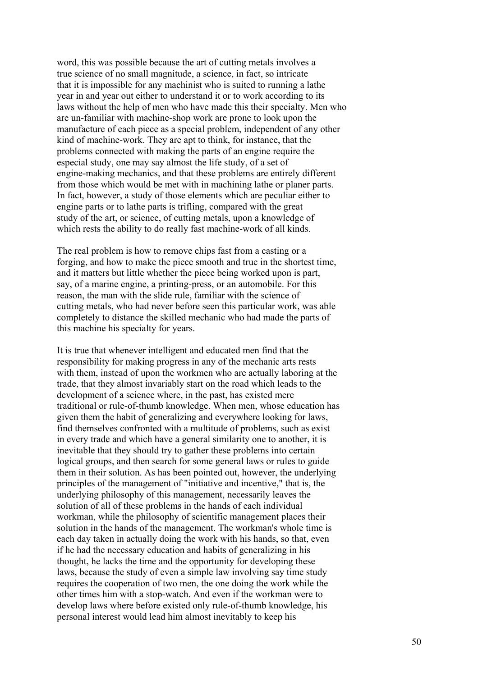word, this was possible because the art of cutting metals involves a true science of no small magnitude, a science, in fact, so intricate that it is impossible for any machinist who is suited to running a lathe year in and year out either to understand it or to work according to its laws without the help of men who have made this their specialty. Men who are un-familiar with machine-shop work are prone to look upon the manufacture of each piece as a special problem, independent of any other kind of machine-work. They are apt to think, for instance, that the problems connected with making the parts of an engine require the especial study, one may say almost the life study, of a set of engine-making mechanics, and that these problems are entirely different from those which would be met with in machining lathe or planer parts. In fact, however, a study of those elements which are peculiar either to engine parts or to lathe parts is trifling, compared with the great study of the art, or science, of cutting metals, upon a knowledge of which rests the ability to do really fast machine-work of all kinds.

The real problem is how to remove chips fast from a casting or a forging, and how to make the piece smooth and true in the shortest time, and it matters but little whether the piece being worked upon is part, say, of a marine engine, a printing-press, or an automobile. For this reason, the man with the slide rule, familiar with the science of cutting metals, who had never before seen this particular work, was able completely to distance the skilled mechanic who had made the parts of this machine his specialty for years.

It is true that whenever intelligent and educated men find that the responsibility for making progress in any of the mechanic arts rests with them, instead of upon the workmen who are actually laboring at the trade, that they almost invariably start on the road which leads to the development of a science where, in the past, has existed mere traditional or rule-of-thumb knowledge. When men, whose education has given them the habit of generalizing and everywhere looking for laws, find themselves confronted with a multitude of problems, such as exist in every trade and which have a general similarity one to another, it is inevitable that they should try to gather these problems into certain logical groups, and then search for some general laws or rules to guide them in their solution. As has been pointed out, however, the underlying principles of the management of "initiative and incentive," that is, the underlying philosophy of this management, necessarily leaves the solution of all of these problems in the hands of each individual workman, while the philosophy of scientific management places their solution in the hands of the management. The workman's whole time is each day taken in actually doing the work with his hands, so that, even if he had the necessary education and habits of generalizing in his thought, he lacks the time and the opportunity for developing these laws, because the study of even a simple law involving say time study requires the cooperation of two men, the one doing the work while the other times him with a stop-watch. And even if the workman were to develop laws where before existed only rule-of-thumb knowledge, his personal interest would lead him almost inevitably to keep his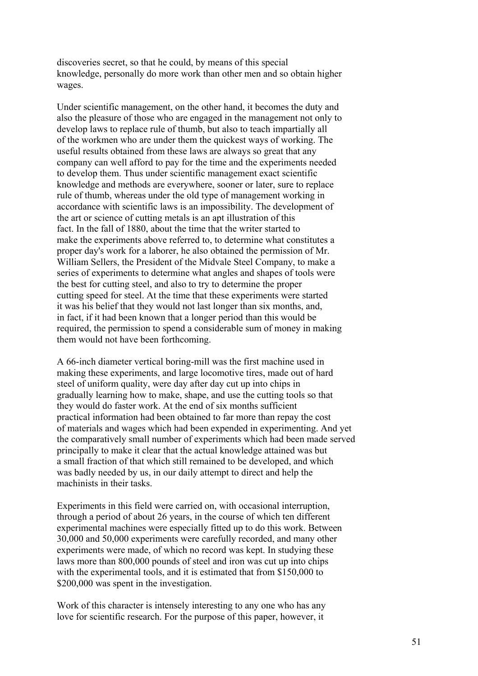discoveries secret, so that he could, by means of this special knowledge, personally do more work than other men and so obtain higher wages.

Under scientific management, on the other hand, it becomes the duty and also the pleasure of those who are engaged in the management not only to develop laws to replace rule of thumb, but also to teach impartially all of the workmen who are under them the quickest ways of working. The useful results obtained from these laws are always so great that any company can well afford to pay for the time and the experiments needed to develop them. Thus under scientific management exact scientific knowledge and methods are everywhere, sooner or later, sure to replace rule of thumb, whereas under the old type of management working in accordance with scientific laws is an impossibility. The development of the art or science of cutting metals is an apt illustration of this fact. In the fall of 1880, about the time that the writer started to make the experiments above referred to, to determine what constitutes a proper day's work for a laborer, he also obtained the permission of Mr. William Sellers, the President of the Midvale Steel Company, to make a series of experiments to determine what angles and shapes of tools were the best for cutting steel, and also to try to determine the proper cutting speed for steel. At the time that these experiments were started it was his belief that they would not last longer than six months, and, in fact, if it had been known that a longer period than this would be required, the permission to spend a considerable sum of money in making them would not have been forthcoming.

A 66-inch diameter vertical boring-mill was the first machine used in making these experiments, and large locomotive tires, made out of hard steel of uniform quality, were day after day cut up into chips in gradually learning how to make, shape, and use the cutting tools so that they would do faster work. At the end of six months sufficient practical information had been obtained to far more than repay the cost of materials and wages which had been expended in experimenting. And yet the comparatively small number of experiments which had been made served principally to make it clear that the actual knowledge attained was but a small fraction of that which still remained to be developed, and which was badly needed by us, in our daily attempt to direct and help the machinists in their tasks.

Experiments in this field were carried on, with occasional interruption, through a period of about 26 years, in the course of which ten different experimental machines were especially fitted up to do this work. Between 30,000 and 50,000 experiments were carefully recorded, and many other experiments were made, of which no record was kept. In studying these laws more than 800,000 pounds of steel and iron was cut up into chips with the experimental tools, and it is estimated that from \$150,000 to \$200,000 was spent in the investigation.

Work of this character is intensely interesting to any one who has any love for scientific research. For the purpose of this paper, however, it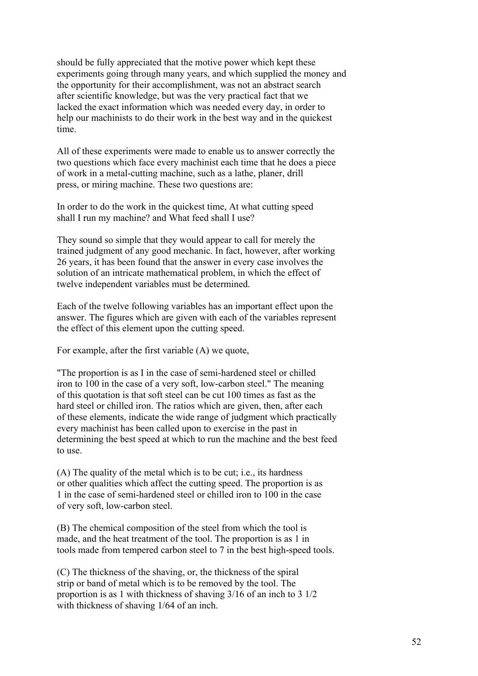should be fully appreciated that the motive power which kept these experiments going through many years, and which supplied the money and the opportunity for their accomplishment, was not an abstract search after scientific knowledge, but was the very practical fact that we lacked the exact information which was needed every day, in order to help our machinists to do their work in the best way and in the quickest time.

All of these experiments were made to enable us to answer correctly the two questions which face every machinist each time that he does a piece of work in a metal-cutting machine, such as a lathe, planer, drill press, or miring machine. These two questions are:

In order to do the work in the quickest time, At what cutting speed shall I run my machine? and What feed shall I use?

They sound so simple that they would appear to call for merely the trained judgment of any good mechanic. In fact, however, after working 26 years, it has been found that the answer in every case involves the solution of an intricate mathematical problem, in which the effect of twelve independent variables must be determined.

Each of the twelve following variables has an important effect upon the answer. The figures which are given with each of the variables represent the effect of this element upon the cutting speed.

For example, after the first variable (A) we quote,

"The proportion is as I in the case of semi-hardened steel or chilled iron to 100 in the case of a very soft, low-carbon steel." The meaning of this quotation is that soft steel can be cut 100 times as fast as the hard steel or chilled iron. The ratios which are given, then, after each of these elements, indicate the wide range of judgment which practically every machinist has been called upon to exercise in the past in determining the best speed at which to run the machine and the best feed to use.

(A) The quality of the metal which is to be cut; i.e., its hardness or other qualities which affect the cutting speed. The proportion is as 1 in the case of semi-hardened steel or chilled iron to 100 in the case of very soft, low-carbon steel.

(B) The chemical composition of the steel from which the tool is made, and the heat treatment of the tool. The proportion is as 1 in tools made from tempered carbon steel to 7 in the best high-speed tools.

(C) The thickness of the shaving, or, the thickness of the spiral strip or band of metal which is to be removed by the tool. The proportion is as 1 with thickness of shaving 3/16 of an inch to 3 1/2 with thickness of shaving  $1/64$  of an inch.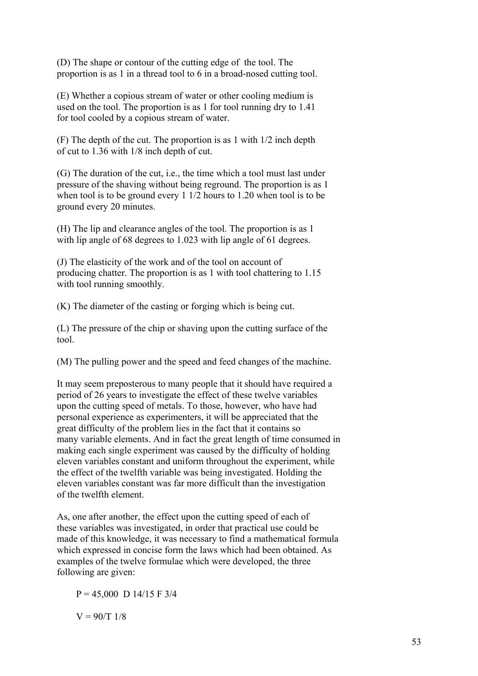(D) The shape or contour of the cutting edge of the tool. The proportion is as 1 in a thread tool to 6 in a broad-nosed cutting tool.

(E) Whether a copious stream of water or other cooling medium is used on the tool. The proportion is as 1 for tool running dry to 1.41 for tool cooled by a copious stream of water.

(F) The depth of the cut. The proportion is as 1 with 1/2 inch depth of cut to 1.36 with 1/8 inch depth of cut.

(G) The duration of the cut, i.e., the time which a tool must last under pressure of the shaving without being reground. The proportion is as 1 when tool is to be ground every 1 1/2 hours to 1.20 when tool is to be ground every 20 minutes.

(H) The lip and clearance angles of the tool. The proportion is as 1 with lip angle of 68 degrees to 1.023 with lip angle of 61 degrees.

(J) The elasticity of the work and of the tool on account of producing chatter. The proportion is as 1 with tool chattering to 1.15 with tool running smoothly.

(K) The diameter of the casting or forging which is being cut.

(L) The pressure of the chip or shaving upon the cutting surface of the tool.

(M) The pulling power and the speed and feed changes of the machine.

It may seem preposterous to many people that it should have required a period of 26 years to investigate the effect of these twelve variables upon the cutting speed of metals. To those, however, who have had personal experience as experimenters, it will be appreciated that the great difficulty of the problem lies in the fact that it contains so many variable elements. And in fact the great length of time consumed in making each single experiment was caused by the difficulty of holding eleven variables constant and uniform throughout the experiment, while the effect of the twelfth variable was being investigated. Holding the eleven variables constant was far more difficult than the investigation of the twelfth element.

As, one after another, the effect upon the cutting speed of each of these variables was investigated, in order that practical use could be made of this knowledge, it was necessary to find a mathematical formula which expressed in concise form the laws which had been obtained. As examples of the twelve formulae which were developed, the three following are given:

 $P = 45,000 \text{ D } 14/15 \text{ F } 3/4$ 

 $V = 90/T$  1/8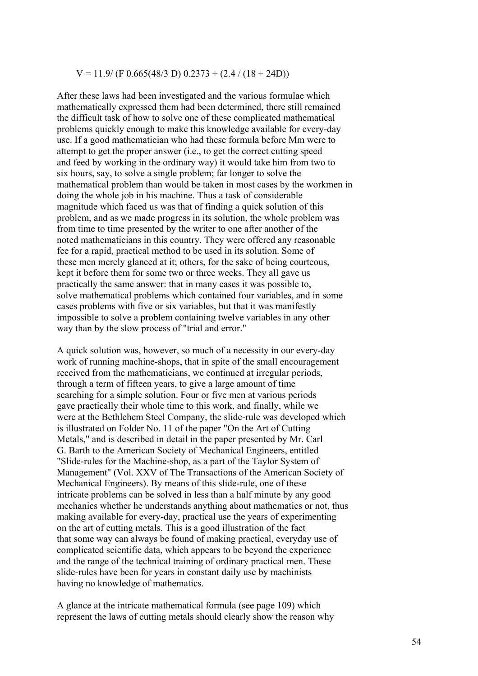#### $V = 11.9/(F \, 0.665(48/3 \, D) \, 0.2373 + (2.4 / (18 + 24D))$

After these laws had been investigated and the various formulae which mathematically expressed them had been determined, there still remained the difficult task of how to solve one of these complicated mathematical problems quickly enough to make this knowledge available for every-day use. If a good mathematician who had these formula before Mm were to attempt to get the proper answer (i.e., to get the correct cutting speed and feed by working in the ordinary way) it would take him from two to six hours, say, to solve a single problem; far longer to solve the mathematical problem than would be taken in most cases by the workmen in doing the whole job in his machine. Thus a task of considerable magnitude which faced us was that of finding a quick solution of this problem, and as we made progress in its solution, the whole problem was from time to time presented by the writer to one after another of the noted mathematicians in this country. They were offered any reasonable fee for a rapid, practical method to be used in its solution. Some of these men merely glanced at it; others, for the sake of being courteous, kept it before them for some two or three weeks. They all gave us practically the same answer: that in many cases it was possible to, solve mathematical problems which contained four variables, and in some cases problems with five or six variables, but that it was manifestly impossible to solve a problem containing twelve variables in any other way than by the slow process of "trial and error."

A quick solution was, however, so much of a necessity in our every-day work of running machine-shops, that in spite of the small encouragement received from the mathematicians, we continued at irregular periods, through a term of fifteen years, to give a large amount of time searching for a simple solution. Four or five men at various periods gave practically their whole time to this work, and finally, while we were at the Bethlehem Steel Company, the slide-rule was developed which is illustrated on Folder No. 11 of the paper "On the Art of Cutting Metals," and is described in detail in the paper presented by Mr. Carl G. Barth to the American Society of Mechanical Engineers, entitled "Slide-rules for the Machine-shop, as a part of the Taylor System of Management" (Vol. XXV of The Transactions of the American Society of Mechanical Engineers). By means of this slide-rule, one of these intricate problems can be solved in less than a half minute by any good mechanics whether he understands anything about mathematics or not, thus making available for every-day, practical use the years of experimenting on the art of cutting metals. This is a good illustration of the fact that some way can always be found of making practical, everyday use of complicated scientific data, which appears to be beyond the experience and the range of the technical training of ordinary practical men. These slide-rules have been for years in constant daily use by machinists having no knowledge of mathematics.

A glance at the intricate mathematical formula (see page 109) which represent the laws of cutting metals should clearly show the reason why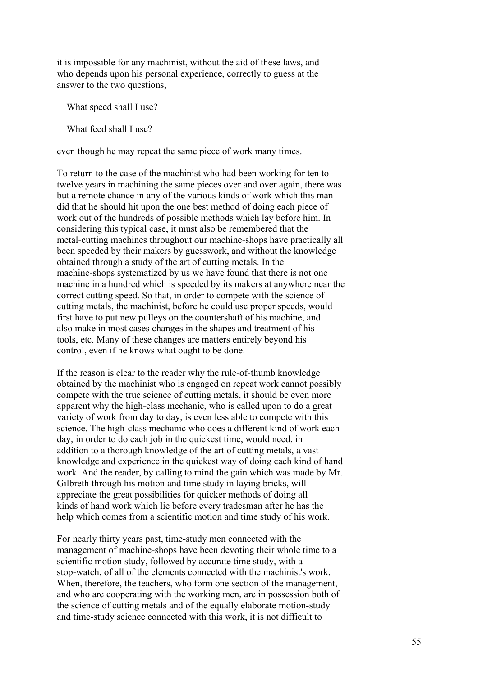it is impossible for any machinist, without the aid of these laws, and who depends upon his personal experience, correctly to guess at the answer to the two questions,

What speed shall I use?

What feed shall I use?

even though he may repeat the same piece of work many times.

To return to the case of the machinist who had been working for ten to twelve years in machining the same pieces over and over again, there was but a remote chance in any of the various kinds of work which this man did that he should hit upon the one best method of doing each piece of work out of the hundreds of possible methods which lay before him. In considering this typical case, it must also be remembered that the metal-cutting machines throughout our machine-shops have practically all been speeded by their makers by guesswork, and without the knowledge obtained through a study of the art of cutting metals. In the machine-shops systematized by us we have found that there is not one machine in a hundred which is speeded by its makers at anywhere near the correct cutting speed. So that, in order to compete with the science of cutting metals, the machinist, before he could use proper speeds, would first have to put new pulleys on the countershaft of his machine, and also make in most cases changes in the shapes and treatment of his tools, etc. Many of these changes are matters entirely beyond his control, even if he knows what ought to be done.

If the reason is clear to the reader why the rule-of-thumb knowledge obtained by the machinist who is engaged on repeat work cannot possibly compete with the true science of cutting metals, it should be even more apparent why the high-class mechanic, who is called upon to do a great variety of work from day to day, is even less able to compete with this science. The high-class mechanic who does a different kind of work each day, in order to do each job in the quickest time, would need, in addition to a thorough knowledge of the art of cutting metals, a vast knowledge and experience in the quickest way of doing each kind of hand work. And the reader, by calling to mind the gain which was made by Mr. Gilbreth through his motion and time study in laying bricks, will appreciate the great possibilities for quicker methods of doing all kinds of hand work which lie before every tradesman after he has the help which comes from a scientific motion and time study of his work.

For nearly thirty years past, time-study men connected with the management of machine-shops have been devoting their whole time to a scientific motion study, followed by accurate time study, with a stop-watch, of all of the elements connected with the machinist's work. When, therefore, the teachers, who form one section of the management, and who are cooperating with the working men, are in possession both of the science of cutting metals and of the equally elaborate motion-study and time-study science connected with this work, it is not difficult to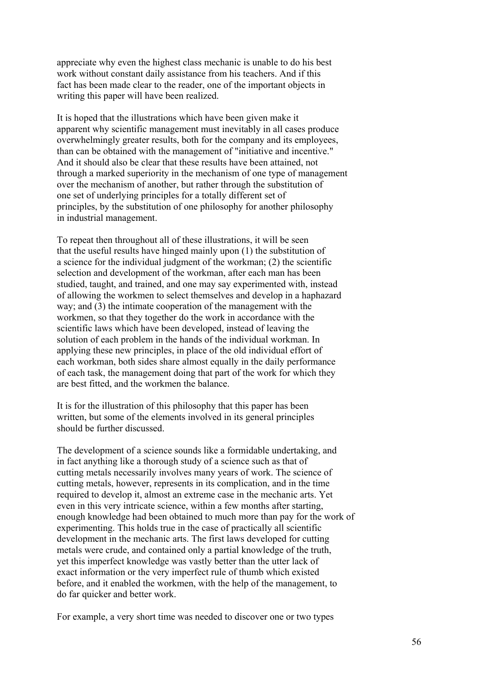appreciate why even the highest class mechanic is unable to do his best work without constant daily assistance from his teachers. And if this fact has been made clear to the reader, one of the important objects in writing this paper will have been realized.

It is hoped that the illustrations which have been given make it apparent why scientific management must inevitably in all cases produce overwhelmingly greater results, both for the company and its employees, than can be obtained with the management of "initiative and incentive." And it should also be clear that these results have been attained, not through a marked superiority in the mechanism of one type of management over the mechanism of another, but rather through the substitution of one set of underlying principles for a totally different set of principles, by the substitution of one philosophy for another philosophy in industrial management.

To repeat then throughout all of these illustrations, it will be seen that the useful results have hinged mainly upon (1) the substitution of a science for the individual judgment of the workman; (2) the scientific selection and development of the workman, after each man has been studied, taught, and trained, and one may say experimented with, instead of allowing the workmen to select themselves and develop in a haphazard way; and (3) the intimate cooperation of the management with the workmen, so that they together do the work in accordance with the scientific laws which have been developed, instead of leaving the solution of each problem in the hands of the individual workman. In applying these new principles, in place of the old individual effort of each workman, both sides share almost equally in the daily performance of each task, the management doing that part of the work for which they are best fitted, and the workmen the balance.

It is for the illustration of this philosophy that this paper has been written, but some of the elements involved in its general principles should be further discussed.

The development of a science sounds like a formidable undertaking, and in fact anything like a thorough study of a science such as that of cutting metals necessarily involves many years of work. The science of cutting metals, however, represents in its complication, and in the time required to develop it, almost an extreme case in the mechanic arts. Yet even in this very intricate science, within a few months after starting, enough knowledge had been obtained to much more than pay for the work of experimenting. This holds true in the case of practically all scientific development in the mechanic arts. The first laws developed for cutting metals were crude, and contained only a partial knowledge of the truth, yet this imperfect knowledge was vastly better than the utter lack of exact information or the very imperfect rule of thumb which existed before, and it enabled the workmen, with the help of the management, to do far quicker and better work.

For example, a very short time was needed to discover one or two types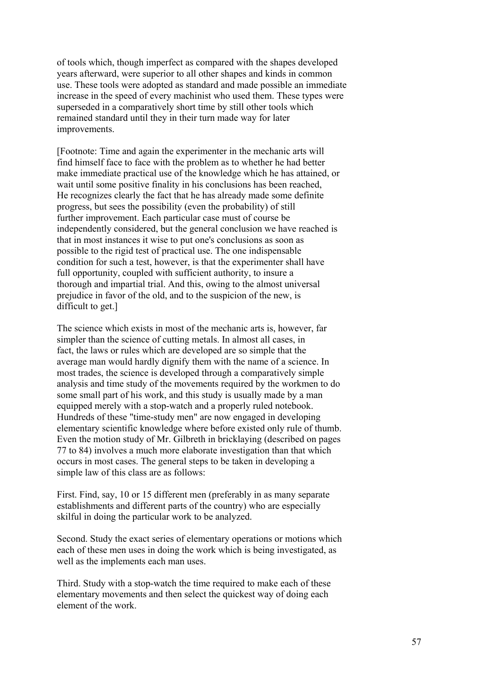of tools which, though imperfect as compared with the shapes developed years afterward, were superior to all other shapes and kinds in common use. These tools were adopted as standard and made possible an immediate increase in the speed of every machinist who used them. These types were superseded in a comparatively short time by still other tools which remained standard until they in their turn made way for later improvements.

[Footnote: Time and again the experimenter in the mechanic arts will find himself face to face with the problem as to whether he had better make immediate practical use of the knowledge which he has attained, or wait until some positive finality in his conclusions has been reached, He recognizes clearly the fact that he has already made some definite progress, but sees the possibility (even the probability) of still further improvement. Each particular case must of course be independently considered, but the general conclusion we have reached is that in most instances it wise to put one's conclusions as soon as possible to the rigid test of practical use. The one indispensable condition for such a test, however, is that the experimenter shall have full opportunity, coupled with sufficient authority, to insure a thorough and impartial trial. And this, owing to the almost universal prejudice in favor of the old, and to the suspicion of the new, is difficult to get.]

The science which exists in most of the mechanic arts is, however, far simpler than the science of cutting metals. In almost all cases, in fact, the laws or rules which are developed are so simple that the average man would hardly dignify them with the name of a science. In most trades, the science is developed through a comparatively simple analysis and time study of the movements required by the workmen to do some small part of his work, and this study is usually made by a man equipped merely with a stop-watch and a properly ruled notebook. Hundreds of these "time-study men" are now engaged in developing elementary scientific knowledge where before existed only rule of thumb. Even the motion study of Mr. Gilbreth in bricklaying (described on pages 77 to 84) involves a much more elaborate investigation than that which occurs in most cases. The general steps to be taken in developing a simple law of this class are as follows:

First. Find, say, 10 or 15 different men (preferably in as many separate establishments and different parts of the country) who are especially skilful in doing the particular work to be analyzed.

Second. Study the exact series of elementary operations or motions which each of these men uses in doing the work which is being investigated, as well as the implements each man uses.

Third. Study with a stop-watch the time required to make each of these elementary movements and then select the quickest way of doing each element of the work.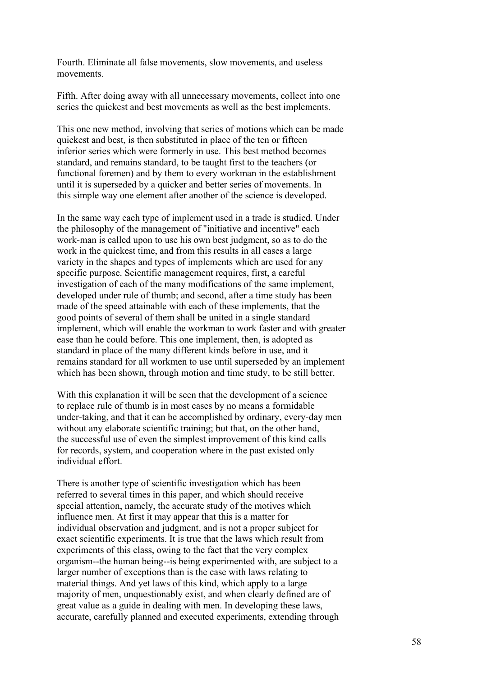Fourth. Eliminate all false movements, slow movements, and useless movements.

Fifth. After doing away with all unnecessary movements, collect into one series the quickest and best movements as well as the best implements.

This one new method, involving that series of motions which can be made quickest and best, is then substituted in place of the ten or fifteen inferior series which were formerly in use. This best method becomes standard, and remains standard, to be taught first to the teachers (or functional foremen) and by them to every workman in the establishment until it is superseded by a quicker and better series of movements. In this simple way one element after another of the science is developed.

In the same way each type of implement used in a trade is studied. Under the philosophy of the management of "initiative and incentive" each work-man is called upon to use his own best judgment, so as to do the work in the quickest time, and from this results in all cases a large variety in the shapes and types of implements which are used for any specific purpose. Scientific management requires, first, a careful investigation of each of the many modifications of the same implement, developed under rule of thumb; and second, after a time study has been made of the speed attainable with each of these implements, that the good points of several of them shall be united in a single standard implement, which will enable the workman to work faster and with greater ease than he could before. This one implement, then, is adopted as standard in place of the many different kinds before in use, and it remains standard for all workmen to use until superseded by an implement which has been shown, through motion and time study, to be still better.

With this explanation it will be seen that the development of a science to replace rule of thumb is in most cases by no means a formidable under-taking, and that it can be accomplished by ordinary, every-day men without any elaborate scientific training; but that, on the other hand, the successful use of even the simplest improvement of this kind calls for records, system, and cooperation where in the past existed only individual effort.

There is another type of scientific investigation which has been referred to several times in this paper, and which should receive special attention, namely, the accurate study of the motives which influence men. At first it may appear that this is a matter for individual observation and judgment, and is not a proper subject for exact scientific experiments. It is true that the laws which result from experiments of this class, owing to the fact that the very complex organism--the human being--is being experimented with, are subject to a larger number of exceptions than is the case with laws relating to material things. And yet laws of this kind, which apply to a large majority of men, unquestionably exist, and when clearly defined are of great value as a guide in dealing with men. In developing these laws, accurate, carefully planned and executed experiments, extending through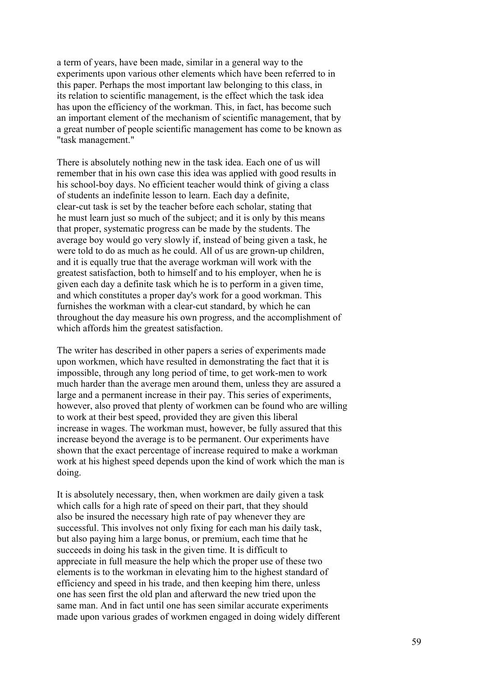a term of years, have been made, similar in a general way to the experiments upon various other elements which have been referred to in this paper. Perhaps the most important law belonging to this class, in its relation to scientific management, is the effect which the task idea has upon the efficiency of the workman. This, in fact, has become such an important element of the mechanism of scientific management, that by a great number of people scientific management has come to be known as "task management."

There is absolutely nothing new in the task idea. Each one of us will remember that in his own case this idea was applied with good results in his school-boy days. No efficient teacher would think of giving a class of students an indefinite lesson to learn. Each day a definite, clear-cut task is set by the teacher before each scholar, stating that he must learn just so much of the subject; and it is only by this means that proper, systematic progress can be made by the students. The average boy would go very slowly if, instead of being given a task, he were told to do as much as he could. All of us are grown-up children, and it is equally true that the average workman will work with the greatest satisfaction, both to himself and to his employer, when he is given each day a definite task which he is to perform in a given time, and which constitutes a proper day's work for a good workman. This furnishes the workman with a clear-cut standard, by which he can throughout the day measure his own progress, and the accomplishment of which affords him the greatest satisfaction.

The writer has described in other papers a series of experiments made upon workmen, which have resulted in demonstrating the fact that it is impossible, through any long period of time, to get work-men to work much harder than the average men around them, unless they are assured a large and a permanent increase in their pay. This series of experiments, however, also proved that plenty of workmen can be found who are willing to work at their best speed, provided they are given this liberal increase in wages. The workman must, however, be fully assured that this increase beyond the average is to be permanent. Our experiments have shown that the exact percentage of increase required to make a workman work at his highest speed depends upon the kind of work which the man is doing.

It is absolutely necessary, then, when workmen are daily given a task which calls for a high rate of speed on their part, that they should also be insured the necessary high rate of pay whenever they are successful. This involves not only fixing for each man his daily task, but also paying him a large bonus, or premium, each time that he succeeds in doing his task in the given time. It is difficult to appreciate in full measure the help which the proper use of these two elements is to the workman in elevating him to the highest standard of efficiency and speed in his trade, and then keeping him there, unless one has seen first the old plan and afterward the new tried upon the same man. And in fact until one has seen similar accurate experiments made upon various grades of workmen engaged in doing widely different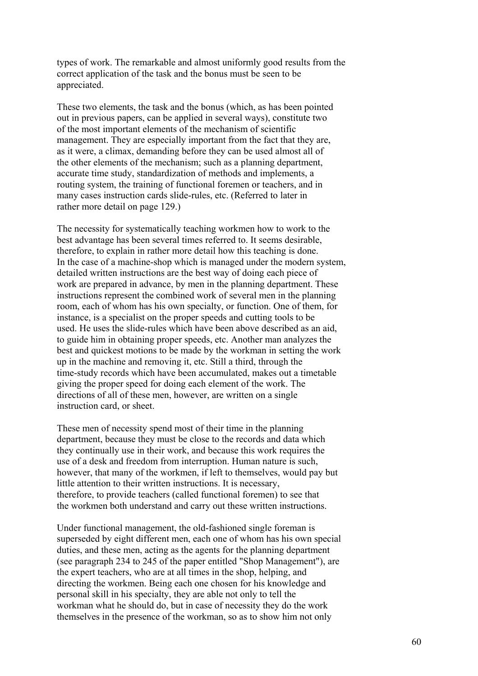types of work. The remarkable and almost uniformly good results from the correct application of the task and the bonus must be seen to be appreciated.

These two elements, the task and the bonus (which, as has been pointed out in previous papers, can be applied in several ways), constitute two of the most important elements of the mechanism of scientific management. They are especially important from the fact that they are, as it were, a climax, demanding before they can be used almost all of the other elements of the mechanism; such as a planning department, accurate time study, standardization of methods and implements, a routing system, the training of functional foremen or teachers, and in many cases instruction cards slide-rules, etc. (Referred to later in rather more detail on page 129.)

The necessity for systematically teaching workmen how to work to the best advantage has been several times referred to. It seems desirable, therefore, to explain in rather more detail how this teaching is done. In the case of a machine-shop which is managed under the modern system, detailed written instructions are the best way of doing each piece of work are prepared in advance, by men in the planning department. These instructions represent the combined work of several men in the planning room, each of whom has his own specialty, or function. One of them, for instance, is a specialist on the proper speeds and cutting tools to be used. He uses the slide-rules which have been above described as an aid, to guide him in obtaining proper speeds, etc. Another man analyzes the best and quickest motions to be made by the workman in setting the work up in the machine and removing it, etc. Still a third, through the time-study records which have been accumulated, makes out a timetable giving the proper speed for doing each element of the work. The directions of all of these men, however, are written on a single instruction card, or sheet.

These men of necessity spend most of their time in the planning department, because they must be close to the records and data which they continually use in their work, and because this work requires the use of a desk and freedom from interruption. Human nature is such, however, that many of the workmen, if left to themselves, would pay but little attention to their written instructions. It is necessary, therefore, to provide teachers (called functional foremen) to see that the workmen both understand and carry out these written instructions.

Under functional management, the old-fashioned single foreman is superseded by eight different men, each one of whom has his own special duties, and these men, acting as the agents for the planning department (see paragraph 234 to 245 of the paper entitled "Shop Management"), are the expert teachers, who are at all times in the shop, helping, and directing the workmen. Being each one chosen for his knowledge and personal skill in his specialty, they are able not only to tell the workman what he should do, but in case of necessity they do the work themselves in the presence of the workman, so as to show him not only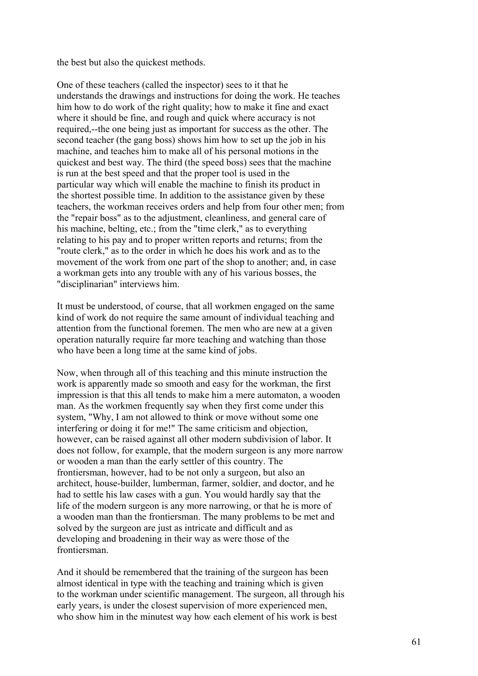the best but also the quickest methods.

One of these teachers (called the inspector) sees to it that he understands the drawings and instructions for doing the work. He teaches him how to do work of the right quality; how to make it fine and exact where it should be fine, and rough and quick where accuracy is not required,--the one being just as important for success as the other. The second teacher (the gang boss) shows him how to set up the job in his machine, and teaches him to make all of his personal motions in the quickest and best way. The third (the speed boss) sees that the machine is run at the best speed and that the proper tool is used in the particular way which will enable the machine to finish its product in the shortest possible time. In addition to the assistance given by these teachers, the workman receives orders and help from four other men; from the "repair boss" as to the adjustment, cleanliness, and general care of his machine, belting, etc.; from the "time clerk," as to everything relating to his pay and to proper written reports and returns; from the "route clerk," as to the order in which he does his work and as to the movement of the work from one part of the shop to another; and, in case a workman gets into any trouble with any of his various bosses, the "disciplinarian" interviews him.

It must be understood, of course, that all workmen engaged on the same kind of work do not require the same amount of individual teaching and attention from the functional foremen. The men who are new at a given operation naturally require far more teaching and watching than those who have been a long time at the same kind of jobs.

Now, when through all of this teaching and this minute instruction the work is apparently made so smooth and easy for the workman, the first impression is that this all tends to make him a mere automaton, a wooden man. As the workmen frequently say when they first come under this system, "Why, I am not allowed to think or move without some one interfering or doing it for me!" The same criticism and objection, however, can be raised against all other modern subdivision of labor. It does not follow, for example, that the modern surgeon is any more narrow or wooden a man than the early settler of this country. The frontiersman, however, had to be not only a surgeon, but also an architect, house-builder, lumberman, farmer, soldier, and doctor, and he had to settle his law cases with a gun. You would hardly say that the life of the modern surgeon is any more narrowing, or that he is more of a wooden man than the frontiersman. The many problems to be met and solved by the surgeon are just as intricate and difficult and as developing and broadening in their way as were those of the frontiersman.

And it should be remembered that the training of the surgeon has been almost identical in type with the teaching and training which is given to the workman under scientific management. The surgeon, all through his early years, is under the closest supervision of more experienced men, who show him in the minutest way how each element of his work is best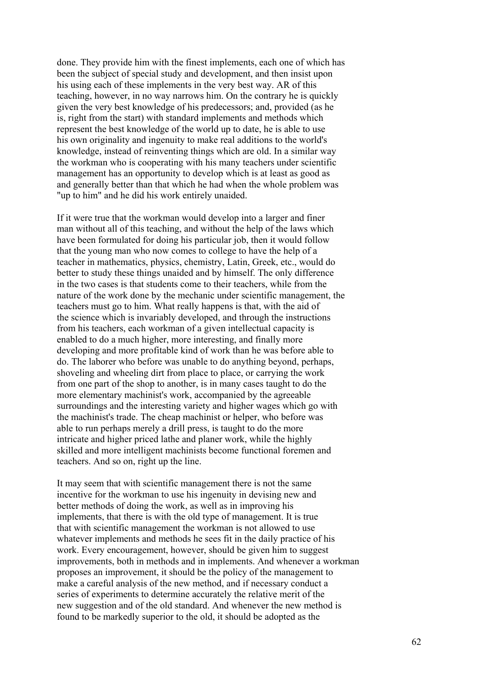done. They provide him with the finest implements, each one of which has been the subject of special study and development, and then insist upon his using each of these implements in the very best way. AR of this teaching, however, in no way narrows him. On the contrary he is quickly given the very best knowledge of his predecessors; and, provided (as he is, right from the start) with standard implements and methods which represent the best knowledge of the world up to date, he is able to use his own originality and ingenuity to make real additions to the world's knowledge, instead of reinventing things which are old. In a similar way the workman who is cooperating with his many teachers under scientific management has an opportunity to develop which is at least as good as and generally better than that which he had when the whole problem was "up to him" and he did his work entirely unaided.

If it were true that the workman would develop into a larger and finer man without all of this teaching, and without the help of the laws which have been formulated for doing his particular job, then it would follow that the young man who now comes to college to have the help of a teacher in mathematics, physics, chemistry, Latin, Greek, etc., would do better to study these things unaided and by himself. The only difference in the two cases is that students come to their teachers, while from the nature of the work done by the mechanic under scientific management, the teachers must go to him. What really happens is that, with the aid of the science which is invariably developed, and through the instructions from his teachers, each workman of a given intellectual capacity is enabled to do a much higher, more interesting, and finally more developing and more profitable kind of work than he was before able to do. The laborer who before was unable to do anything beyond, perhaps, shoveling and wheeling dirt from place to place, or carrying the work from one part of the shop to another, is in many cases taught to do the more elementary machinist's work, accompanied by the agreeable surroundings and the interesting variety and higher wages which go with the machinist's trade. The cheap machinist or helper, who before was able to run perhaps merely a drill press, is taught to do the more intricate and higher priced lathe and planer work, while the highly skilled and more intelligent machinists become functional foremen and teachers. And so on, right up the line.

It may seem that with scientific management there is not the same incentive for the workman to use his ingenuity in devising new and better methods of doing the work, as well as in improving his implements, that there is with the old type of management. It is true that with scientific management the workman is not allowed to use whatever implements and methods he sees fit in the daily practice of his work. Every encouragement, however, should be given him to suggest improvements, both in methods and in implements. And whenever a workman proposes an improvement, it should be the policy of the management to make a careful analysis of the new method, and if necessary conduct a series of experiments to determine accurately the relative merit of the new suggestion and of the old standard. And whenever the new method is found to be markedly superior to the old, it should be adopted as the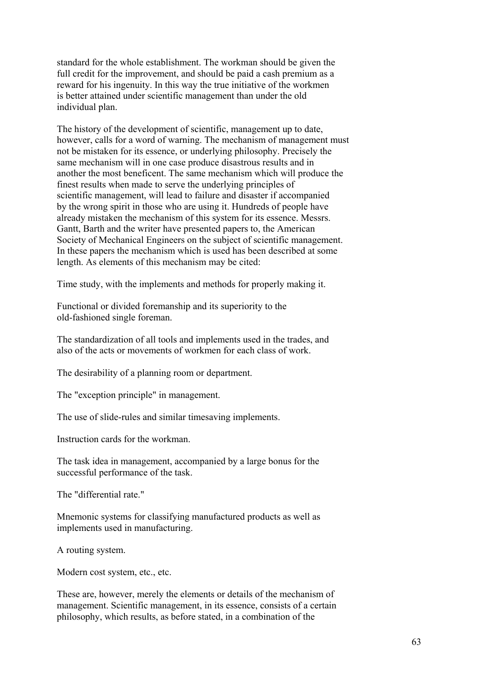standard for the whole establishment. The workman should be given the full credit for the improvement, and should be paid a cash premium as a reward for his ingenuity. In this way the true initiative of the workmen is better attained under scientific management than under the old individual plan.

The history of the development of scientific, management up to date, however, calls for a word of warning. The mechanism of management must not be mistaken for its essence, or underlying philosophy. Precisely the same mechanism will in one case produce disastrous results and in another the most beneficent. The same mechanism which will produce the finest results when made to serve the underlying principles of scientific management, will lead to failure and disaster if accompanied by the wrong spirit in those who are using it. Hundreds of people have already mistaken the mechanism of this system for its essence. Messrs. Gantt, Barth and the writer have presented papers to, the American Society of Mechanical Engineers on the subject of scientific management. In these papers the mechanism which is used has been described at some length. As elements of this mechanism may be cited:

Time study, with the implements and methods for properly making it.

Functional or divided foremanship and its superiority to the old-fashioned single foreman.

The standardization of all tools and implements used in the trades, and also of the acts or movements of workmen for each class of work.

The desirability of a planning room or department.

The "exception principle" in management.

The use of slide-rules and similar timesaving implements.

Instruction cards for the workman.

The task idea in management, accompanied by a large bonus for the successful performance of the task.

The "differential rate."

Mnemonic systems for classifying manufactured products as well as implements used in manufacturing.

A routing system.

Modern cost system, etc., etc.

These are, however, merely the elements or details of the mechanism of management. Scientific management, in its essence, consists of a certain philosophy, which results, as before stated, in a combination of the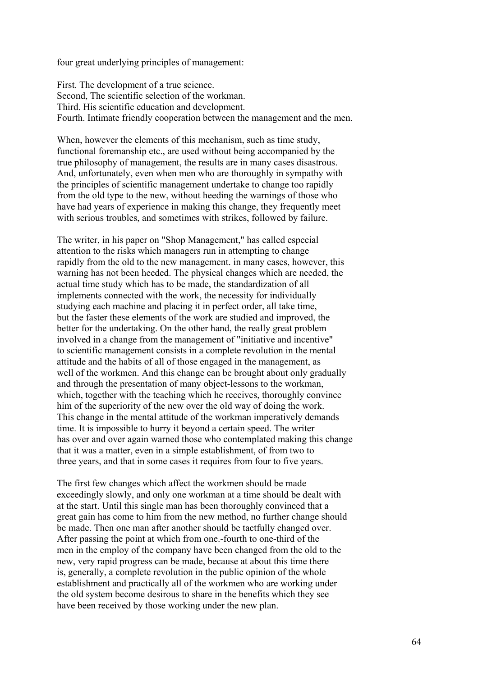four great underlying principles of management:

First. The development of a true science. Second, The scientific selection of the workman. Third. His scientific education and development. Fourth. Intimate friendly cooperation between the management and the men.

When, however the elements of this mechanism, such as time study, functional foremanship etc., are used without being accompanied by the true philosophy of management, the results are in many cases disastrous. And, unfortunately, even when men who are thoroughly in sympathy with the principles of scientific management undertake to change too rapidly from the old type to the new, without heeding the warnings of those who have had years of experience in making this change, they frequently meet with serious troubles, and sometimes with strikes, followed by failure.

The writer, in his paper on "Shop Management," has called especial attention to the risks which managers run in attempting to change rapidly from the old to the new management. in many cases, however, this warning has not been heeded. The physical changes which are needed, the actual time study which has to be made, the standardization of all implements connected with the work, the necessity for individually studying each machine and placing it in perfect order, all take time, but the faster these elements of the work are studied and improved, the better for the undertaking. On the other hand, the really great problem involved in a change from the management of "initiative and incentive" to scientific management consists in a complete revolution in the mental attitude and the habits of all of those engaged in the management, as well of the workmen. And this change can be brought about only gradually and through the presentation of many object-lessons to the workman, which, together with the teaching which he receives, thoroughly convince him of the superiority of the new over the old way of doing the work. This change in the mental attitude of the workman imperatively demands time. It is impossible to hurry it beyond a certain speed. The writer has over and over again warned those who contemplated making this change that it was a matter, even in a simple establishment, of from two to three years, and that in some cases it requires from four to five years.

The first few changes which affect the workmen should be made exceedingly slowly, and only one workman at a time should be dealt with at the start. Until this single man has been thoroughly convinced that a great gain has come to him from the new method, no further change should be made. Then one man after another should be tactfully changed over. After passing the point at which from one.-fourth to one-third of the men in the employ of the company have been changed from the old to the new, very rapid progress can be made, because at about this time there is, generally, a complete revolution in the public opinion of the whole establishment and practically all of the workmen who are working under the old system become desirous to share in the benefits which they see have been received by those working under the new plan.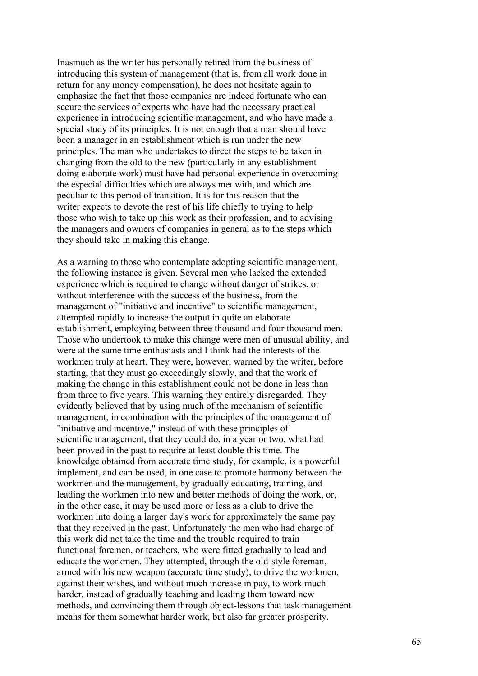Inasmuch as the writer has personally retired from the business of introducing this system of management (that is, from all work done in return for any money compensation), he does not hesitate again to emphasize the fact that those companies are indeed fortunate who can secure the services of experts who have had the necessary practical experience in introducing scientific management, and who have made a special study of its principles. It is not enough that a man should have been a manager in an establishment which is run under the new principles. The man who undertakes to direct the steps to be taken in changing from the old to the new (particularly in any establishment doing elaborate work) must have had personal experience in overcoming the especial difficulties which are always met with, and which are peculiar to this period of transition. It is for this reason that the writer expects to devote the rest of his life chiefly to trying to help those who wish to take up this work as their profession, and to advising the managers and owners of companies in general as to the steps which they should take in making this change.

As a warning to those who contemplate adopting scientific management, the following instance is given. Several men who lacked the extended experience which is required to change without danger of strikes, or without interference with the success of the business, from the management of "initiative and incentive" to scientific management, attempted rapidly to increase the output in quite an elaborate establishment, employing between three thousand and four thousand men. Those who undertook to make this change were men of unusual ability, and were at the same time enthusiasts and I think had the interests of the workmen truly at heart. They were, however, warned by the writer, before starting, that they must go exceedingly slowly, and that the work of making the change in this establishment could not be done in less than from three to five years. This warning they entirely disregarded. They evidently believed that by using much of the mechanism of scientific management, in combination with the principles of the management of "initiative and incentive," instead of with these principles of scientific management, that they could do, in a year or two, what had been proved in the past to require at least double this time. The knowledge obtained from accurate time study, for example, is a powerful implement, and can be used, in one case to promote harmony between the workmen and the management, by gradually educating, training, and leading the workmen into new and better methods of doing the work, or, in the other case, it may be used more or less as a club to drive the workmen into doing a larger day's work for approximately the same pay that they received in the past. Unfortunately the men who had charge of this work did not take the time and the trouble required to train functional foremen, or teachers, who were fitted gradually to lead and educate the workmen. They attempted, through the old-style foreman, armed with his new weapon (accurate time study), to drive the workmen, against their wishes, and without much increase in pay, to work much harder, instead of gradually teaching and leading them toward new methods, and convincing them through object-lessons that task management means for them somewhat harder work, but also far greater prosperity.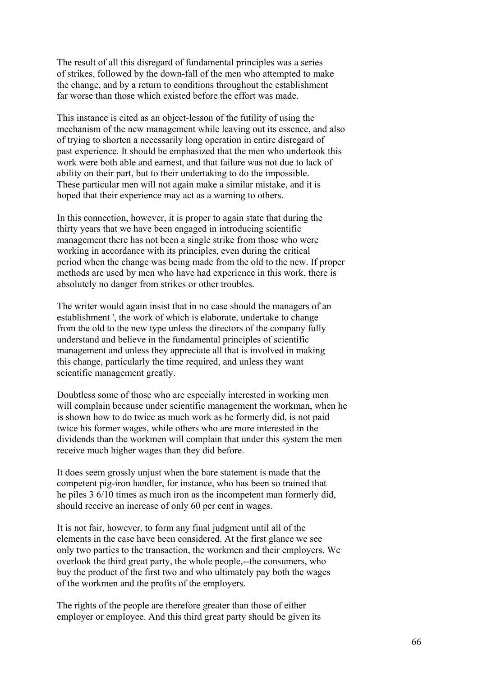The result of all this disregard of fundamental principles was a series of strikes, followed by the down-fall of the men who attempted to make the change, and by a return to conditions throughout the establishment far worse than those which existed before the effort was made.

This instance is cited as an object-lesson of the futility of using the mechanism of the new management while leaving out its essence, and also of trying to shorten a necessarily long operation in entire disregard of past experience. It should be emphasized that the men who undertook this work were both able and earnest, and that failure was not due to lack of ability on their part, but to their undertaking to do the impossible. These particular men will not again make a similar mistake, and it is hoped that their experience may act as a warning to others.

In this connection, however, it is proper to again state that during the thirty years that we have been engaged in introducing scientific management there has not been a single strike from those who were working in accordance with its principles, even during the critical period when the change was being made from the old to the new. If proper methods are used by men who have had experience in this work, there is absolutely no danger from strikes or other troubles.

The writer would again insist that in no case should the managers of an establishment ', the work of which is elaborate, undertake to change from the old to the new type unless the directors of the company fully understand and believe in the fundamental principles of scientific management and unless they appreciate all that is involved in making this change, particularly the time required, and unless they want scientific management greatly.

Doubtless some of those who are especially interested in working men will complain because under scientific management the workman, when he is shown how to do twice as much work as he formerly did, is not paid twice his former wages, while others who are more interested in the dividends than the workmen will complain that under this system the men receive much higher wages than they did before.

It does seem grossly unjust when the bare statement is made that the competent pig-iron handler, for instance, who has been so trained that he piles 3 6/10 times as much iron as the incompetent man formerly did, should receive an increase of only 60 per cent in wages.

It is not fair, however, to form any final judgment until all of the elements in the case have been considered. At the first glance we see only two parties to the transaction, the workmen and their employers. We overlook the third great party, the whole people,--the consumers, who buy the product of the first two and who ultimately pay both the wages of the workmen and the profits of the employers.

The rights of the people are therefore greater than those of either employer or employee. And this third great party should be given its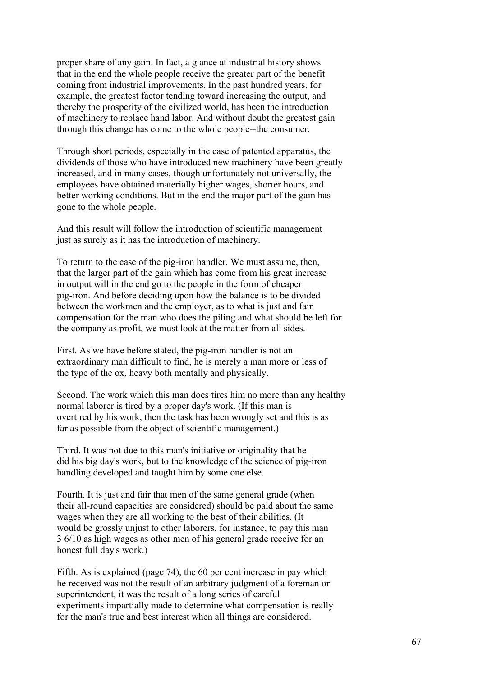proper share of any gain. In fact, a glance at industrial history shows that in the end the whole people receive the greater part of the benefit coming from industrial improvements. In the past hundred years, for example, the greatest factor tending toward increasing the output, and thereby the prosperity of the civilized world, has been the introduction of machinery to replace hand labor. And without doubt the greatest gain through this change has come to the whole people--the consumer.

Through short periods, especially in the case of patented apparatus, the dividends of those who have introduced new machinery have been greatly increased, and in many cases, though unfortunately not universally, the employees have obtained materially higher wages, shorter hours, and better working conditions. But in the end the major part of the gain has gone to the whole people.

And this result will follow the introduction of scientific management just as surely as it has the introduction of machinery.

To return to the case of the pig-iron handler. We must assume, then, that the larger part of the gain which has come from his great increase in output will in the end go to the people in the form of cheaper pig-iron. And before deciding upon how the balance is to be divided between the workmen and the employer, as to what is just and fair compensation for the man who does the piling and what should be left for the company as profit, we must look at the matter from all sides.

First. As we have before stated, the pig-iron handler is not an extraordinary man difficult to find, he is merely a man more or less of the type of the ox, heavy both mentally and physically.

Second. The work which this man does tires him no more than any healthy normal laborer is tired by a proper day's work. (If this man is overtired by his work, then the task has been wrongly set and this is as far as possible from the object of scientific management.)

Third. It was not due to this man's initiative or originality that he did his big day's work, but to the knowledge of the science of pig-iron handling developed and taught him by some one else.

Fourth. It is just and fair that men of the same general grade (when their all-round capacities are considered) should be paid about the same wages when they are all working to the best of their abilities. (It would be grossly unjust to other laborers, for instance, to pay this man 3 6/10 as high wages as other men of his general grade receive for an honest full day's work.)

Fifth. As is explained (page 74), the 60 per cent increase in pay which he received was not the result of an arbitrary judgment of a foreman or superintendent, it was the result of a long series of careful experiments impartially made to determine what compensation is really for the man's true and best interest when all things are considered.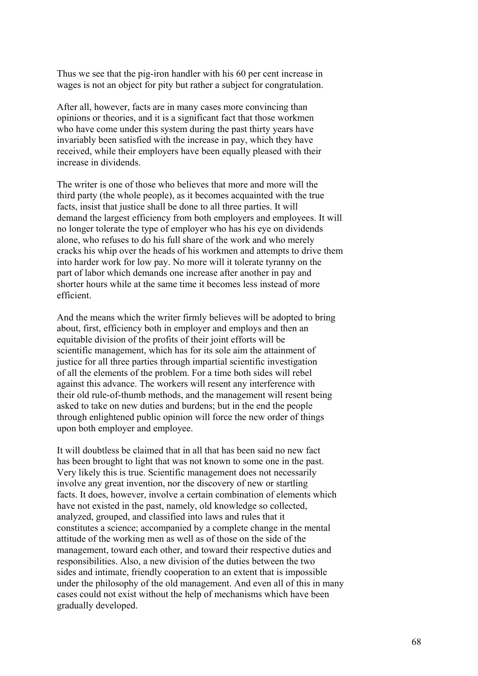Thus we see that the pig-iron handler with his 60 per cent increase in wages is not an object for pity but rather a subject for congratulation.

After all, however, facts are in many cases more convincing than opinions or theories, and it is a significant fact that those workmen who have come under this system during the past thirty years have invariably been satisfied with the increase in pay, which they have received, while their employers have been equally pleased with their increase in dividends.

The writer is one of those who believes that more and more will the third party (the whole people), as it becomes acquainted with the true facts, insist that justice shall be done to all three parties. It will demand the largest efficiency from both employers and employees. It will no longer tolerate the type of employer who has his eye on dividends alone, who refuses to do his full share of the work and who merely cracks his whip over the heads of his workmen and attempts to drive them into harder work for low pay. No more will it tolerate tyranny on the part of labor which demands one increase after another in pay and shorter hours while at the same time it becomes less instead of more efficient.

And the means which the writer firmly believes will be adopted to bring about, first, efficiency both in employer and employs and then an equitable division of the profits of their joint efforts will be scientific management, which has for its sole aim the attainment of justice for all three parties through impartial scientific investigation of all the elements of the problem. For a time both sides will rebel against this advance. The workers will resent any interference with their old rule-of-thumb methods, and the management will resent being asked to take on new duties and burdens; but in the end the people through enlightened public opinion will force the new order of things upon both employer and employee.

It will doubtless be claimed that in all that has been said no new fact has been brought to light that was not known to some one in the past. Very likely this is true. Scientific management does not necessarily involve any great invention, nor the discovery of new or startling facts. It does, however, involve a certain combination of elements which have not existed in the past, namely, old knowledge so collected, analyzed, grouped, and classified into laws and rules that it constitutes a science; accompanied by a complete change in the mental attitude of the working men as well as of those on the side of the management, toward each other, and toward their respective duties and responsibilities. Also, a new division of the duties between the two sides and intimate, friendly cooperation to an extent that is impossible under the philosophy of the old management. And even all of this in many cases could not exist without the help of mechanisms which have been gradually developed.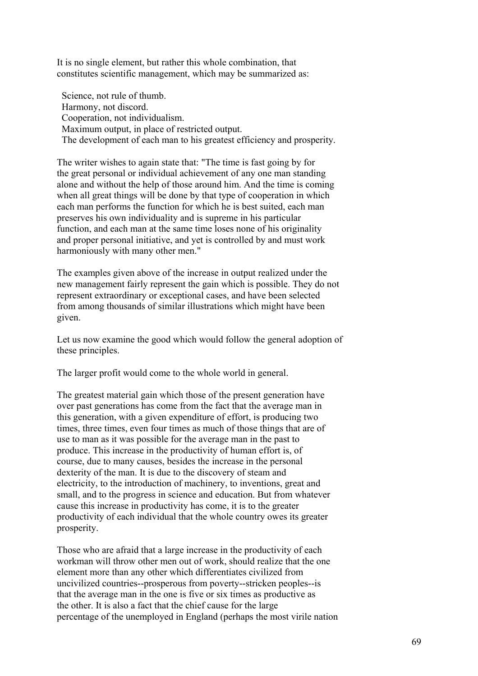It is no single element, but rather this whole combination, that constitutes scientific management, which may be summarized as:

 Science, not rule of thumb. Harmony, not discord. Cooperation, not individualism. Maximum output, in place of restricted output. The development of each man to his greatest efficiency and prosperity.

The writer wishes to again state that: "The time is fast going by for the great personal or individual achievement of any one man standing alone and without the help of those around him. And the time is coming when all great things will be done by that type of cooperation in which each man performs the function for which he is best suited, each man preserves his own individuality and is supreme in his particular function, and each man at the same time loses none of his originality and proper personal initiative, and yet is controlled by and must work harmoniously with many other men."

The examples given above of the increase in output realized under the new management fairly represent the gain which is possible. They do not represent extraordinary or exceptional cases, and have been selected from among thousands of similar illustrations which might have been given.

Let us now examine the good which would follow the general adoption of these principles.

The larger profit would come to the whole world in general.

The greatest material gain which those of the present generation have over past generations has come from the fact that the average man in this generation, with a given expenditure of effort, is producing two times, three times, even four times as much of those things that are of use to man as it was possible for the average man in the past to produce. This increase in the productivity of human effort is, of course, due to many causes, besides the increase in the personal dexterity of the man. It is due to the discovery of steam and electricity, to the introduction of machinery, to inventions, great and small, and to the progress in science and education. But from whatever cause this increase in productivity has come, it is to the greater productivity of each individual that the whole country owes its greater prosperity.

Those who are afraid that a large increase in the productivity of each workman will throw other men out of work, should realize that the one element more than any other which differentiates civilized from uncivilized countries--prosperous from poverty--stricken peoples--is that the average man in the one is five or six times as productive as the other. It is also a fact that the chief cause for the large percentage of the unemployed in England (perhaps the most virile nation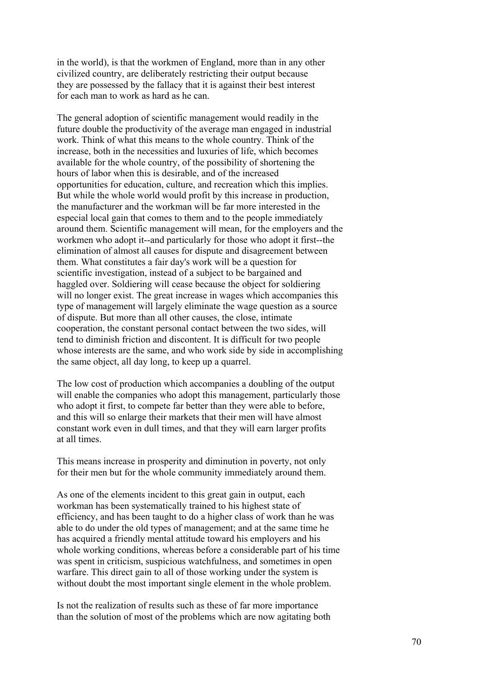in the world), is that the workmen of England, more than in any other civilized country, are deliberately restricting their output because they are possessed by the fallacy that it is against their best interest for each man to work as hard as he can.

The general adoption of scientific management would readily in the future double the productivity of the average man engaged in industrial work. Think of what this means to the whole country. Think of the increase, both in the necessities and luxuries of life, which becomes available for the whole country, of the possibility of shortening the hours of labor when this is desirable, and of the increased opportunities for education, culture, and recreation which this implies. But while the whole world would profit by this increase in production, the manufacturer and the workman will be far more interested in the especial local gain that comes to them and to the people immediately around them. Scientific management will mean, for the employers and the workmen who adopt it--and particularly for those who adopt it first--the elimination of almost all causes for dispute and disagreement between them. What constitutes a fair day's work will be a question for scientific investigation, instead of a subject to be bargained and haggled over. Soldiering will cease because the object for soldiering will no longer exist. The great increase in wages which accompanies this type of management will largely eliminate the wage question as a source of dispute. But more than all other causes, the close, intimate cooperation, the constant personal contact between the two sides, will tend to diminish friction and discontent. It is difficult for two people whose interests are the same, and who work side by side in accomplishing the same object, all day long, to keep up a quarrel.

The low cost of production which accompanies a doubling of the output will enable the companies who adopt this management, particularly those who adopt it first, to compete far better than they were able to before, and this will so enlarge their markets that their men will have almost constant work even in dull times, and that they will earn larger profits at all times.

This means increase in prosperity and diminution in poverty, not only for their men but for the whole community immediately around them.

As one of the elements incident to this great gain in output, each workman has been systematically trained to his highest state of efficiency, and has been taught to do a higher class of work than he was able to do under the old types of management; and at the same time he has acquired a friendly mental attitude toward his employers and his whole working conditions, whereas before a considerable part of his time was spent in criticism, suspicious watchfulness, and sometimes in open warfare. This direct gain to all of those working under the system is without doubt the most important single element in the whole problem.

Is not the realization of results such as these of far more importance than the solution of most of the problems which are now agitating both